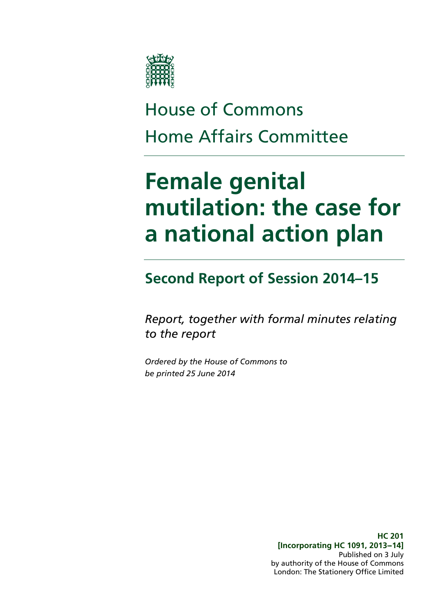

# House of Commons Home Affairs Committee

# **Female genital mutilation: the case for a national action plan**

### **Second Report of Session 2014–15**

*Report, together with formal minutes relating to the report*

*Ordered by the House of Commons to be printed 25 June 2014*

> **HC 201 [Incorporating HC 1091, 2013--14]** Published on 3 July by authority of the House of Commons London: The Stationery Office Limited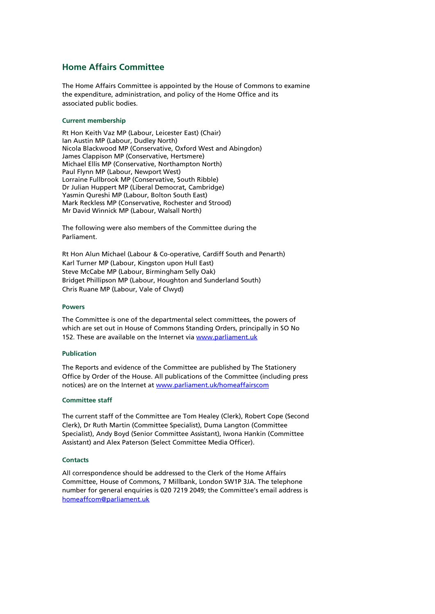#### **Home Affairs Committee**

The Home Affairs Committee is appointed by the House of Commons to examine the expenditure, administration, and policy of the Home Office and its associated public bodies.

#### **Current membership**

Rt Hon Keith Vaz MP (Labour, Leicester East) (Chair) Ian Austin MP (Labour, Dudley North) Nicola Blackwood MP (Conservative, Oxford West and Abingdon) James Clappison MP (Conservative, Hertsmere) Michael Ellis MP (Conservative, Northampton North) Paul Flynn MP (Labour, Newport West) Lorraine Fullbrook MP (Conservative, South Ribble) Dr Julian Huppert MP (Liberal Democrat, Cambridge) Yasmin Qureshi MP (Labour, Bolton South East) Mark Reckless MP (Conservative, Rochester and Strood) Mr David Winnick MP (Labour, Walsall North)

The following were also members of the Committee during the Parliament.

Rt Hon Alun Michael (Labour & Co-operative, Cardiff South and Penarth) Karl Turner MP (Labour, Kingston upon Hull East) Steve McCabe MP (Labour, Birmingham Selly Oak) Bridget Phillipson MP (Labour, Houghton and Sunderland South) Chris Ruane MP (Labour, Vale of Clwyd)

#### **Powers**

The Committee is one of the departmental select committees, the powers of which are set out in House of Commons Standing Orders, principally in SO No 152. These are available on the Internet vi[a www.parliament.uk](http://www.parliament.uk/)

#### **Publication**

The Reports and evidence of the Committee are published by The Stationery Office by Order of the House. All publications of the Committee (including press notices) are on the Internet a[t www.parliament.uk/homeaffairscom](http://www.parliament.uk/homeaffairscom)

#### **Committee staff**

The current staff of the Committee are Tom Healey (Clerk), Robert Cope (Second Clerk), Dr Ruth Martin (Committee Specialist), Duma Langton (Committee Specialist), Andy Boyd (Senior Committee Assistant), Iwona Hankin (Committee Assistant) and Alex Paterson (Select Committee Media Officer).

#### **Contacts**

All correspondence should be addressed to the Clerk of the Home Affairs Committee, House of Commons, 7 Millbank, London SW1P 3JA. The telephone number for general enquiries is 020 7219 2049; the Committee's email address is [homeaffcom@parliament.uk](mailto:homeaffcom@parliament.uk)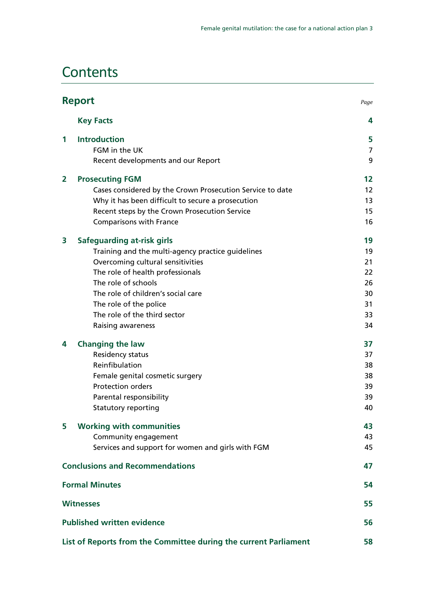### **Contents**

|   | <b>Report</b><br>Page                                            |                   |
|---|------------------------------------------------------------------|-------------------|
|   | <b>Key Facts</b>                                                 | 4                 |
| 1 | <b>Introduction</b>                                              | 5                 |
|   | FGM in the UK                                                    | 7                 |
|   | Recent developments and our Report                               | 9                 |
| 2 | <b>Prosecuting FGM</b>                                           | $12 \overline{ }$ |
|   | Cases considered by the Crown Prosecution Service to date        | 12                |
|   | Why it has been difficult to secure a prosecution                | 13                |
|   | Recent steps by the Crown Prosecution Service                    | 15                |
|   | <b>Comparisons with France</b>                                   | 16                |
| 3 | <b>Safeguarding at-risk girls</b>                                | 19                |
|   | Training and the multi-agency practice guidelines                | 19                |
|   | Overcoming cultural sensitivities                                | 21                |
|   | The role of health professionals                                 | 22                |
|   | The role of schools                                              | 26                |
|   | The role of children's social care                               | 30                |
|   | The role of the police                                           | 31                |
|   | The role of the third sector                                     | 33                |
|   | Raising awareness                                                | 34                |
| 4 | <b>Changing the law</b>                                          | 37                |
|   | Residency status                                                 | 37                |
|   | Reinfibulation                                                   | 38                |
|   | Female genital cosmetic surgery                                  | 38                |
|   | <b>Protection orders</b>                                         | 39                |
|   | Parental responsibility                                          | 39                |
|   | <b>Statutory reporting</b>                                       | 40                |
| 5 | <b>Working with communities</b>                                  | 43                |
|   | Community engagement                                             | 43                |
|   | Services and support for women and girls with FGM                | 45                |
|   | <b>Conclusions and Recommendations</b>                           | 47                |
|   | <b>Formal Minutes</b>                                            | 54                |
|   | <b>Witnesses</b>                                                 | 55                |
|   | <b>Published written evidence</b>                                | 56                |
|   | List of Reports from the Committee during the current Parliament | 58                |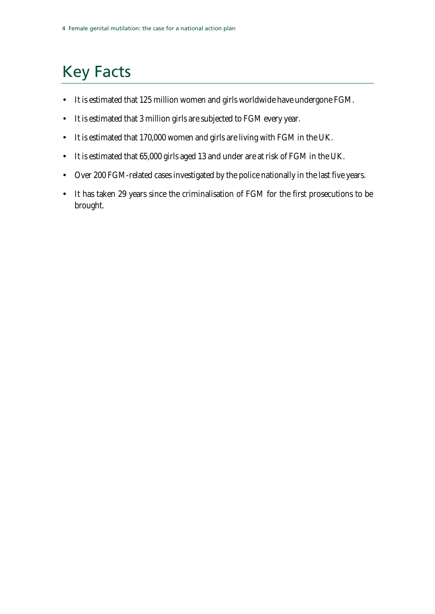# <span id="page-3-0"></span>Key Facts

- It is estimated that 125 million women and girls worldwide have undergone FGM.
- It is estimated that 3 million girls are subjected to FGM every year.
- It is estimated that 170,000 women and girls are living with FGM in the UK.
- It is estimated that 65,000 girls aged 13 and under are at risk of FGM in the UK.
- Over 200 FGM-related cases investigated by the police nationally in the last five years.
- It has taken 29 years since the criminalisation of FGM for the first prosecutions to be brought.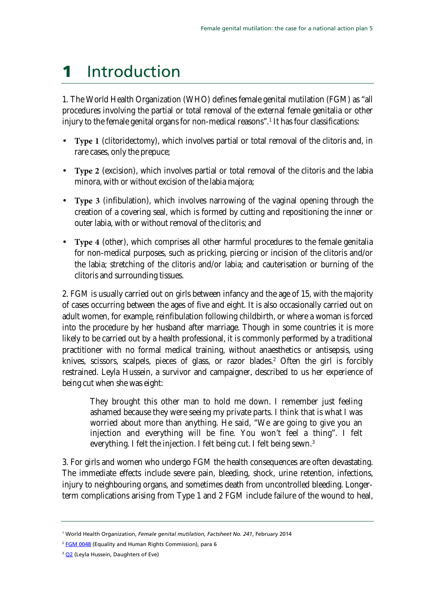# <span id="page-4-0"></span>1 Introduction

1. The World Health Organization (WHO) defines female genital mutilation (FGM) as "all procedures involving the partial or total removal of the external female genitalia or other injury to the female genital organs for non-medical reasons".<sup>[1](#page-4-1)</sup> It has four classifications:

- **Type 1** (clitoridectomy), which involves partial or total removal of the clitoris and, in rare cases, only the prepuce;
- **Type 2** (excision), which involves partial or total removal of the clitoris and the labia minora, with or without excision of the labia majora;
- **Type 3** (infibulation), which involves narrowing of the vaginal opening through the creation of a covering seal, which is formed by cutting and repositioning the inner or outer labia, with or without removal of the clitoris; and
- **Type 4** (other), which comprises all other harmful procedures to the female genitalia for non-medical purposes, such as pricking, piercing or incision of the clitoris and/or the labia; stretching of the clitoris and/or labia; and cauterisation or burning of the clitoris and surrounding tissues.

2. FGM is usually carried out on girls between infancy and the age of 15, with the majority of cases occurring between the ages of five and eight. It is also occasionally carried out on adult women, for example, reinfibulation following childbirth, or where a woman is forced into the procedure by her husband after marriage. Though in some countries it is more likely to be carried out by a health professional, it is commonly performed by a traditional practitioner with no formal medical training, without anaesthetics or antisepsis, using knives, scissors, scalpels, pieces of glass, or razor blades.<sup>[2](#page-4-2)</sup> Often the girl is forcibly restrained. Leyla Hussein, a survivor and campaigner, described to us her experience of being cut when she was eight:

They brought this other man to hold me down. I remember just feeling ashamed because they were seeing my private parts. I think that is what I was worried about more than anything. He said, "We are going to give you an injection and everything will be fine. You won't feel a thing". I felt everything. I felt the injection. I felt being cut. I felt being sewn.<sup>[3](#page-4-3)</sup>

3. For girls and women who undergo FGM the health consequences are often devastating. The immediate effects include severe pain, bleeding, shock, urine retention, infections, injury to neighbouring organs, and sometimes death from uncontrolled bleeding. Longerterm complications arising from Type 1 and 2 FGM include failure of the wound to heal,

<span id="page-4-3"></span><sup>3</sup> Q<sub>2</sub> (Leyla Hussein, Daughters of Eve)

<span id="page-4-1"></span><sup>1</sup> World Health Organization, *Female genital mutilation*, *Factsheet No. 241*, February 2014

<span id="page-4-2"></span><sup>&</sup>lt;sup>2</sup> [FGM 0048](http://data.parliament.uk/writtenevidence/committeeevidence.svc/evidencedocument/home-affairs-committee/female-genital-mutilation/written/6532.pdf) (Equality and Human Rights Commission), para 6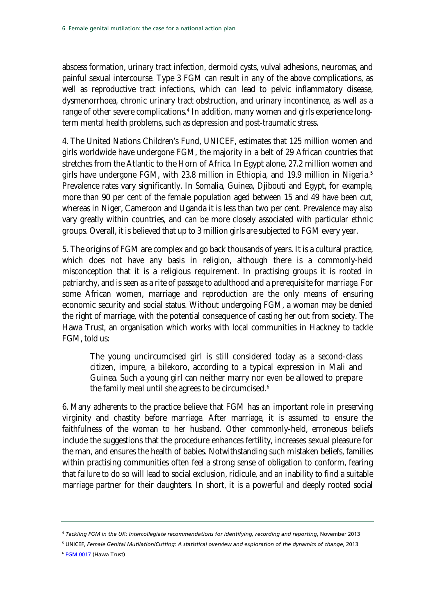abscess formation, urinary tract infection, dermoid cysts, vulval adhesions, neuromas, and painful sexual intercourse. Type 3 FGM can result in any of the above complications, as well as reproductive tract infections, which can lead to pelvic inflammatory disease, dysmenorrhoea, chronic urinary tract obstruction, and urinary incontinence, as well as a range of other severe complications.<sup>[4](#page-5-0)</sup> In addition, many women and girls experience longterm mental health problems, such as depression and post-traumatic stress.

4. The United Nations Children's Fund, UNICEF, estimates that 125 million women and girls worldwide have undergone FGM, the majority in a belt of 29 African countries that stretches from the Atlantic to the Horn of Africa. In Egypt alone, 27.2 million women and girls have undergone FGM, with 23.8 million in Ethiopia, and 19.9 million in Nigeria.<sup>[5](#page-5-0)</sup> Prevalence rates vary significantly. In Somalia, Guinea, Djibouti and Egypt, for example, more than 90 per cent of the female population aged between 15 and 49 have been cut, whereas in Niger, Cameroon and Uganda it is less than two per cent. Prevalence may also vary greatly within countries, and can be more closely associated with particular ethnic groups. Overall, it is believed that up to 3 million girls are subjected to FGM every year.

5. The origins of FGM are complex and go back thousands of years. It is a cultural practice, which does not have any basis in religion, although there is a commonly-held misconception that it is a religious requirement. In practising groups it is rooted in patriarchy, and is seen as a rite of passage to adulthood and a prerequisite for marriage. For some African women, marriage and reproduction are the only means of ensuring economic security and social status. Without undergoing FGM, a woman may be denied the right of marriage, with the potential consequence of casting her out from society. The Hawa Trust, an organisation which works with local communities in Hackney to tackle FGM, told us:

The young uncircumcised girl is still considered today as a second-class citizen, impure, a bilekoro, according to a typical expression in Mali and Guinea. Such a young girl can neither marry nor even be allowed to prepare the family meal until she agrees to be circumcised.<sup>[6](#page-5-0)</sup>

6. Many adherents to the practice believe that FGM has an important role in preserving virginity and chastity before marriage. After marriage, it is assumed to ensure the faithfulness of the woman to her husband. Other commonly-held, erroneous beliefs include the suggestions that the procedure enhances fertility, increases sexual pleasure for the man, and ensures the health of babies. Notwithstanding such mistaken beliefs, families within practising communities often feel a strong sense of obligation to conform, fearing that failure to do so will lead to social exclusion, ridicule, and an inability to find a suitable marriage partner for their daughters. In short, it is a powerful and deeply rooted social

<span id="page-5-0"></span><sup>4</sup> *Tackling FGM in the UK: Intercollegiate recommendations for identifying, recording and reporting*, November 2013

<sup>5</sup> UNICEF, *Female Genital Mutilation/Cutting: A statistical overview and exploration of the dynamics of change*, 2013

<sup>&</sup>lt;sup>6</sup> [FGM 0017](http://data.parliament.uk/writtenevidence/committeeevidence.svc/evidencedocument/home-affairs-committee/female-genital-mutilation/written/6031.pdf) (Hawa Trust)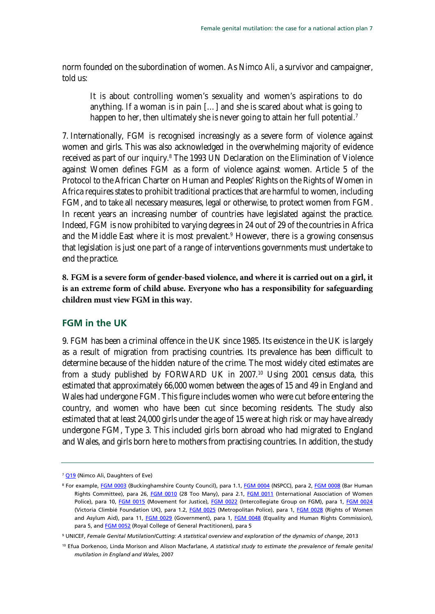norm founded on the subordination of women. As Nimco Ali, a survivor and campaigner, told us:

It is about controlling women's sexuality and women's aspirations to do anything. If a woman is in pain […] and she is scared about what is going to happen to her, then ultimately she is never going to attain her full potential.<sup>[7](#page-6-1)</sup>

7. Internationally, FGM is recognised increasingly as a severe form of violence against women and girls. This was also acknowledged in the overwhelming majority of evidence received as part of our inquiry.<sup>8</sup> The 1993 UN Declaration on the Elimination of Violence against Women defines FGM as a form of violence against women. Article 5 of the Protocol to the African Charter on Human and Peoples' Rights on the Rights of Women in Africa requires states to prohibit traditional practices that are harmful to women, including FGM, and to take all necessary measures, legal or otherwise, to protect women from FGM. In recent years an increasing number of countries have legislated against the practice. Indeed, FGM is now prohibited to varying degrees in 24 out of 29 of the countries in Africa and the Middle East where it is most prevalent.<sup>[9](#page-6-1)</sup> However, there is a growing consensus that legislation is just one part of a range of interventions governments must undertake to end the practice.

<span id="page-6-2"></span>**8. FGM is a severe form of gender-based violence, and where it is carried out on a girl, it is an extreme form of child abuse. Everyone who has a responsibility for safeguarding children must view FGM in this way.** 

### <span id="page-6-0"></span>**FGM in the UK**

9. FGM has been a criminal offence in the UK since 1985. Its existence in the UK is largely as a result of migration from practising countries. Its prevalence has been difficult to determine because of the hidden nature of the crime. The most widely cited estimates are from a study published by FORWARD UK in 2007.<sup>[10](#page-6-1)</sup> Using 2001 census data, this estimated that approximately 66,000 women between the ages of 15 and 49 in England and Wales had undergone FGM. This figure includes women who were cut before entering the country, and women who have been cut since becoming residents. The study also estimated that at least 24,000 girls under the age of 15 were at high risk or may have already undergone FGM, Type 3. This included girls born abroad who had migrated to England and Wales, and girls born here to mothers from practising countries. In addition, the study

<span id="page-6-1"></span><sup>&</sup>lt;sup>7</sup> [Q19](http://data.parliament.uk/writtenevidence/committeeevidence.svc/evidencedocument/home-affairs-committee/female-genital-mutilation/oral/7419.pdf) (Nimco Ali, Daughters of Eve)

<sup>8</sup> For example[, FGM 0003](http://data.parliament.uk/writtenevidence/committeeevidence.svc/evidencedocument/home-affairs-committee/female-genital-mutilation/written/5979.pdf) (Buckinghamshire County Council), para 1.1, [FGM 0004](http://data.parliament.uk/writtenevidence/committeeevidence.svc/evidencedocument/home-affairs-committee/female-genital-mutilation/written/6004.pdf) (NSPCC), para 2[, FGM 0008](http://data.parliament.uk/writtenevidence/committeeevidence.svc/evidencedocument/home-affairs-committee/female-genital-mutilation/written/6009.html) (Bar Human Rights Committee), para 26, [FGM 0010](http://data.parliament.uk/writtenevidence/committeeevidence.svc/evidencedocument/home-affairs-committee/female-genital-mutilation/written/6016.pdf) (28 Too Many), para 2.1, [FGM 0011](http://data.parliament.uk/writtenevidence/committeeevidence.svc/evidencedocument/home-affairs-committee/female-genital-mutilation/written/6017.pdf) (International Association of Women Police), para 10, [FGM 0015](http://data.parliament.uk/writtenevidence/committeeevidence.svc/evidencedocument/home-affairs-committee/female-genital-mutilation/written/6028.pdf) (Movement for Justice), [FGM 0022](http://data.parliament.uk/writtenevidence/committeeevidence.svc/evidencedocument/home-affairs-committee/female-genital-mutilation/written/6044.pdf) (Intercollegiate Group on FGM), para 1, [FGM 0024](http://data.parliament.uk/writtenevidence/committeeevidence.svc/evidencedocument/home-affairs-committee/female-genital-mutilation/written/6047.pdf) (Victoria Climbié Foundation UK), para 1.2, [FGM 0025](http://data.parliament.uk/writtenevidence/committeeevidence.svc/evidencedocument/home-affairs-committee/female-genital-mutilation/written/6048.pdf) (Metropolitan Police), para 1, [FGM 0028](http://data.parliament.uk/writtenevidence/committeeevidence.svc/evidencedocument/home-affairs-committee/female-genital-mutilation/written/6052.pdf) (Rights of Women and Asylum Aid), para 11, [FGM 0029](http://data.parliament.uk/writtenevidence/committeeevidence.svc/evidencedocument/home-affairs-committee/female-genital-mutilation/written/6056.pdf) (Government), para 1, [FGM 0048](http://data.parliament.uk/writtenevidence/committeeevidence.svc/evidencedocument/home-affairs-committee/female-genital-mutilation/written/6532.pdf) (Equality and Human Rights Commission), para 5, and **FGM 0052** (Royal College of General Practitioners), para 5

<sup>9</sup> UNICEF, *Female Genital Mutilation/Cutting: A statistical overview and exploration of the dynamics of change*, 2013

<sup>10</sup> Efua Dorkenoo, Linda Morison and Alison Macfarlane, *A statistical study to estimate the prevalence of female genital mutilation in England and Wales*, 2007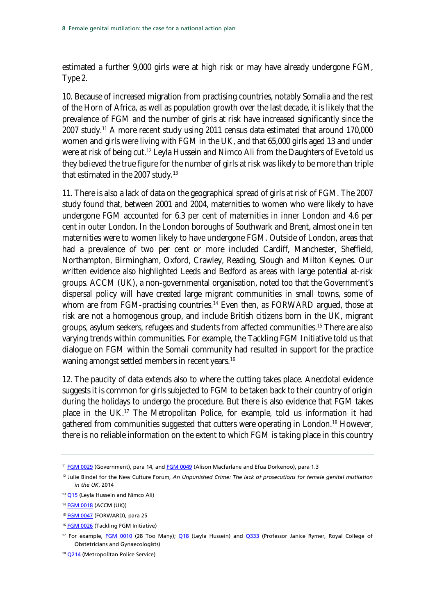estimated a further 9,000 girls were at high risk or may have already undergone FGM, Type 2.

10. Because of increased migration from practising countries, notably Somalia and the rest of the Horn of Africa, as well as population growth over the last decade, it is likely that the prevalence of FGM and the number of girls at risk have increased significantly since the 2007 study.[11](#page-7-0) A more recent study using 2011 census data estimated that around 170,000 women and girls were living with FGM in the UK, and that 65,000 girls aged 13 and under were at risk of being cut.<sup>12</sup> Leyla Hussein and Nimco Ali from the Daughters of Eve told us they believed the true figure for the number of girls at risk was likely to be more than triple that estimated in the 2007 study.<sup>[13](#page-7-0)</sup>

11. There is also a lack of data on the geographical spread of girls at risk of FGM. The 2007 study found that, between 2001 and 2004, maternities to women who were likely to have undergone FGM accounted for 6.3 per cent of maternities in inner London and 4.6 per cent in outer London. In the London boroughs of Southwark and Brent, almost one in ten maternities were to women likely to have undergone FGM. Outside of London, areas that had a prevalence of two per cent or more included Cardiff, Manchester, Sheffield, Northampton, Birmingham, Oxford, Crawley, Reading, Slough and Milton Keynes. Our written evidence also highlighted Leeds and Bedford as areas with large potential at-risk groups. ACCM (UK), a non-governmental organisation, noted too that the Government's dispersal policy will have created large migrant communities in small towns, some of whom are from FGM-practising countries.<sup>[14](#page-7-0)</sup> Even then, as FORWARD argued, those at risk are not a homogenous group, and include British citizens born in the UK, migrant groups, asylum seekers, refugees and students from affected communities.[15](#page-7-0) There are also varying trends within communities. For example, the Tackling FGM Initiative told us that dialogue on FGM within the Somali community had resulted in support for the practice waning amongst settled members in recent years.<sup>[16](#page-7-0)</sup>

12. The paucity of data extends also to where the cutting takes place. Anecdotal evidence suggests it is common for girls subjected to FGM to be taken back to their country of origin during the holidays to undergo the procedure. But there is also evidence that FGM takes place in the UK.[17](#page-7-0) The Metropolitan Police, for example, told us information it had gathered from communities suggested that cutters were operating in London.<sup>[18](#page-7-0)</sup> However, there is no reliable information on the extent to which FGM is taking place in this country

<span id="page-7-0"></span><sup>&</sup>lt;sup>11</sup> [FGM 0029](http://data.parliament.uk/writtenevidence/committeeevidence.svc/evidencedocument/home-affairs-committee/female-genital-mutilation/written/6056.pdf) (Government), para 14, and [FGM 0049](http://data.parliament.uk/writtenevidence/committeeevidence.svc/evidencedocument/home-affairs-committee/female-genital-mutilation/written/6535.pdf) (Alison Macfarlane and Efua Dorkenoo), para 1.3

<sup>12</sup> Julie Bindel for the New Culture Forum, *An Unpunished Crime: The lack of prosecutions for female genital mutilation in the UK*, 2014

<sup>&</sup>lt;sup>13</sup> [Q15](http://data.parliament.uk/writtenevidence/committeeevidence.svc/evidencedocument/home-affairs-committee/female-genital-mutilation/oral/7419.pdf) (Leyla Hussein and Nimco Ali)

<sup>14</sup> **[FGM 0018](http://data.parliament.uk/writtenevidence/committeeevidence.svc/evidencedocument/home-affairs-committee/female-genital-mutilation/written/6032.pdf)** (ACCM (UK))

<sup>15</sup> FGM [0047](http://data.parliament.uk/writtenevidence/committeeevidence.svc/evidencedocument/home-affairs-committee/female-genital-mutilation/written/6531.pdf) (FORWARD), para 25

<sup>&</sup>lt;sup>16</sup> [FGM 0026](http://data.parliament.uk/writtenevidence/committeeevidence.svc/evidencedocument/home-affairs-committee/female-genital-mutilation/written/6050.pdf) (Tackling FGM Initiative)

<sup>&</sup>lt;sup>17</sup> For example, [FGM 0010](http://data.parliament.uk/writtenevidence/committeeevidence.svc/evidencedocument/home-affairs-committee/female-genital-mutilation/written/6016.pdf) (28 Too Many); [Q18](http://data.parliament.uk/writtenevidence/committeeevidence.svc/evidencedocument/home-affairs-committee/female-genital-mutilation/oral/7419.pdf) (Leyla Hussein) and [Q333](http://data.parliament.uk/writtenevidence/committeeevidence.svc/evidencedocument/home-affairs-committee/female-genital-mutilation/oral/9447.pdf) (Professor Janice Rymer, Royal College of Obstetricians and Gynaecologists)

<sup>&</sup>lt;sup>18</sup> [Q214](http://data.parliament.uk/writtenevidence/committeeevidence.svc/evidencedocument/home-affairs-committee/female-genital-mutilation/oral/9021.pdf) (Metropolitan Police Service)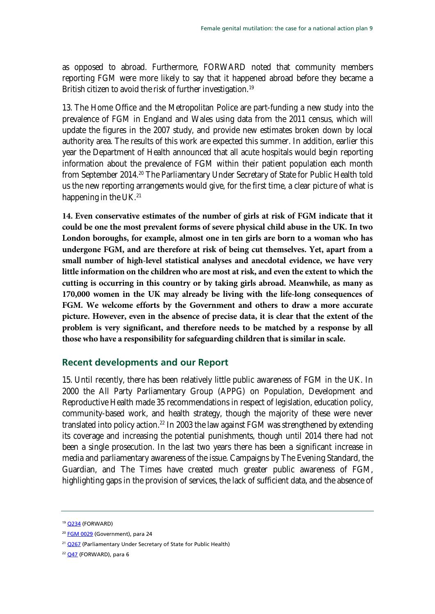as opposed to abroad. Furthermore, FORWARD noted that community members reporting FGM were more likely to say that it happened abroad before they became a British citizen to avoid the risk of further investigation.<sup>[19](#page-8-1)</sup>

13. The Home Office and the Metropolitan Police are part-funding a new study into the prevalence of FGM in England and Wales using data from the 2011 census, which will update the figures in the 2007 study, and provide new estimates broken down by local authority area. The results of this work are expected this summer. In addition, earlier this year the Department of Health announced that all acute hospitals would begin reporting information about the prevalence of FGM within their patient population each month from September [20](#page-8-1)14.<sup>20</sup> The Parliamentary Under Secretary of State for Public Health told us the new reporting arrangements would give, for the first time, a clear picture of what is happening in the UK.<sup>[21](#page-8-1)</sup>

**14. Even conservative estimates of the number of girls at risk of FGM indicate that it could be one the most prevalent forms of severe physical child abuse in the UK. In two London boroughs, for example, almost one in ten girls are born to a woman who has undergone FGM, and are therefore at risk of being cut themselves. Yet, apart from a small number of high-level statistical analyses and anecdotal evidence, we have very little information on the children who are most at risk, and even the extent to which the cutting is occurring in this country or by taking girls abroad. Meanwhile, as many as 170,000 women in the UK may already be living with the life-long consequences of FGM. We welcome efforts by the Government and others to draw a more accurate picture. However, even in the absence of precise data, it is clear that the extent of the problem is very significant, and therefore needs to be matched by a response by all those who have a responsibility for safeguarding children that is similar in scale.** 

### <span id="page-8-0"></span>**Recent developments and our Report**

15. Until recently, there has been relatively little public awareness of FGM in the UK. In 2000 the All Party Parliamentary Group (APPG) on Population, Development and Reproductive Health made 35 recommendations in respect of legislation, education policy, community-based work, and health strategy, though the majority of these were never translated into policy action.<sup>[22](#page-8-1)</sup> In 2003 the law against FGM was strengthened by extending its coverage and increasing the potential punishments, though until 2014 there had not been a single prosecution. In the last two years there has been a significant increase in media and parliamentary awareness of the issue. Campaigns by The Evening Standard, the Guardian, and The Times have created much greater public awareness of FGM, highlighting gaps in the provision of services, the lack of sufficient data, and the absence of

<span id="page-8-1"></span><sup>&</sup>lt;sup>19</sup> [Q234](http://data.parliament.uk/writtenevidence/committeeevidence.svc/evidencedocument/home-affairs-committee/female-genital-mutilation/oral/9021.pdf) (FORWARD)

<sup>&</sup>lt;sup>20</sup> [FGM 0029](http://data.parliament.uk/writtenevidence/committeeevidence.svc/evidencedocument/home-affairs-committee/female-genital-mutilation/written/6056.pdf) (Government), para 24

<sup>&</sup>lt;sup>21</sup> [Q267](http://data.parliament.uk/writtenevidence/committeeevidence.svc/evidencedocument/home-affairs-committee/female-genital-mutilation/oral/9021.pdf) (Parliamentary Under Secretary of State for Public Health)

<sup>&</sup>lt;sup>22</sup> [Q47](http://data.parliament.uk/writtenevidence/committeeevidence.svc/evidencedocument/home-affairs-committee/female-genital-mutilation/oral/9021.pdf) (FORWARD), para 6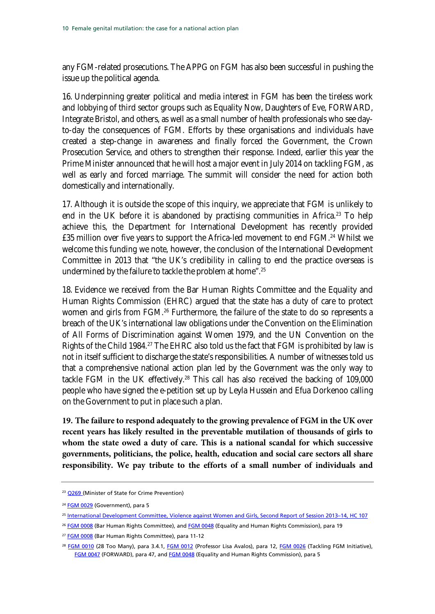any FGM-related prosecutions. The APPG on FGM has also been successful in pushing the issue up the political agenda.

16. Underpinning greater political and media interest in FGM has been the tireless work and lobbying of third sector groups such as Equality Now, Daughters of Eve, FORWARD, Integrate Bristol, and others, as well as a small number of health professionals who see dayto-day the consequences of FGM. Efforts by these organisations and individuals have created a step-change in awareness and finally forced the Government, the Crown Prosecution Service, and others to strengthen their response. Indeed, earlier this year the Prime Minister announced that he will host a major event in July 2014 on tackling FGM, as well as early and forced marriage. The summit will consider the need for action both domestically and internationally.

17. Although it is outside the scope of this inquiry, we appreciate that FGM is unlikely to end in the UK before it is abandoned by practising communities in Africa.<sup>[23](#page-9-0)</sup> To help achieve this, the Department for International Development has recently provided £35 million over five years to support the Africa-led movement to end FGM.<sup>[24](#page-9-0)</sup> Whilst we welcome this funding we note, however, the conclusion of the International Development Committee in 2013 that "the UK's credibility in calling to end the practice overseas is undermined by the failure to tackle the problem at home".[25](#page-9-0)

18. Evidence we received from the Bar Human Rights Committee and the Equality and Human Rights Commission (EHRC) argued that the state has a duty of care to protect women and girls from FGM.<sup>[26](#page-9-0)</sup> Furthermore, the failure of the state to do so represents a breach of the UK's international law obligations under the Convention on the Elimination of All Forms of Discrimination against Women 1979, and the UN Convention on the Rights of the Child 1984.<sup>[27](#page-9-0)</sup> The EHRC also told us the fact that FGM is prohibited by law is not in itself sufficient to discharge the state's responsibilities. A number of witnesses told us that a comprehensive national action plan led by the Government was the only way to tackle FGM in the UK effectively.<sup>[28](#page-9-0)</sup> This call has also received the backing of 109,000 people who have signed the e-petition set up by Leyla Hussein and Efua Dorkenoo calling on the Government to put in place such a plan.

**19. The failure to respond adequately to the growing prevalence of FGM in the UK over recent years has likely resulted in the preventable mutilation of thousands of girls to whom the state owed a duty of care. This is a national scandal for which successive governments, politicians, the police, health, education and social care sectors all share responsibility. We pay tribute to the efforts of a small number of individuals and** 

<span id="page-9-0"></span><sup>&</sup>lt;sup>23</sup> [Q269](http://data.parliament.uk/writtenevidence/committeeevidence.svc/evidencedocument/home-affairs-committee/female-genital-mutilation/oral/9021.pdf) (Minister of State for Crime Prevention)

<sup>&</sup>lt;sup>24</sup> [FGM 0029](http://data.parliament.uk/writtenevidence/committeeevidence.svc/evidencedocument/home-affairs-committee/female-genital-mutilation/written/6056.pdf) (Government), para 5

<sup>25</sup> [International Development Committee, Violence against Women and Girls, Second Report of Session 2013–14, HC 107](http://www.publications.parliament.uk/pa/cm201314/cmselect/cmintdev/107/107.pdf)

<sup>&</sup>lt;sup>26</sup> [FGM 0008](http://data.parliament.uk/writtenevidence/committeeevidence.svc/evidencedocument/home-affairs-committee/female-genital-mutilation/written/6009.pdf) (Bar Human Rights Committee), an[d FGM](http://data.parliament.uk/writtenevidence/committeeevidence.svc/evidencedocument/home-affairs-committee/female-genital-mutilation/written/6532.pdf) 0048 (Equality and Human Rights Commission), para 19

<sup>&</sup>lt;sup>27</sup> [FGM 0008](http://data.parliament.uk/writtenevidence/committeeevidence.svc/evidencedocument/home-affairs-committee/female-genital-mutilation/written/6009.pdf) (Bar Human Rights Committee), para 11-12

<sup>&</sup>lt;sup>28</sup> [FGM 0010](http://data.parliament.uk/writtenevidence/committeeevidence.svc/evidencedocument/home-affairs-committee/female-genital-mutilation/written/6016.pdf) (28 Too Many), para 3.4.1, [FGM 0012](http://data.parliament.uk/writtenevidence/committeeevidence.svc/evidencedocument/home-affairs-committee/female-genital-mutilation/written/6018.pdf) (Professor Lisa Avalos), para 12, [FGM 0026](http://data.parliament.uk/writtenevidence/committeeevidence.svc/evidencedocument/home-affairs-committee/female-genital-mutilation/written/6050.pdf) (Tackling FGM Initiative), FGM [0047](http://data.parliament.uk/writtenevidence/committeeevidence.svc/evidencedocument/home-affairs-committee/female-genital-mutilation/written/6531.pdf) (FORWARD), para 47, an[d FGM 0048](http://data.parliament.uk/writtenevidence/committeeevidence.svc/evidencedocument/home-affairs-committee/female-genital-mutilation/written/6532.pdf) (Equality and Human Rights Commission), para 5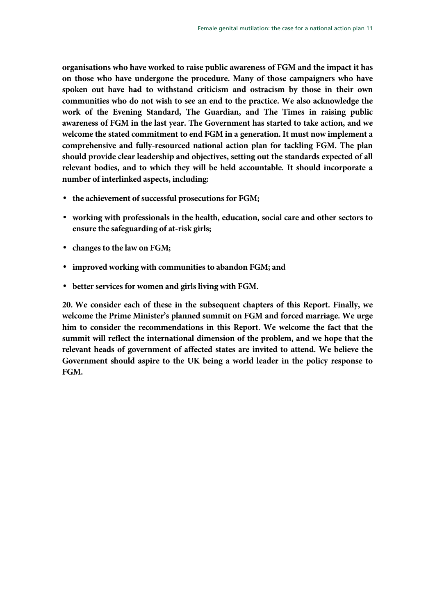**organisations who have worked to raise public awareness of FGM and the impact it has on those who have undergone the procedure. Many of those campaigners who have spoken out have had to withstand criticism and ostracism by those in their own communities who do not wish to see an end to the practice. We also acknowledge the work of the Evening Standard, The Guardian, and The Times in raising public awareness of FGM in the last year. The Government has started to take action, and we welcome the stated commitment to end FGM in a generation. It must now implement a comprehensive and fully-resourced national action plan for tackling FGM. The plan should provide clear leadership and objectives, setting out the standards expected of all relevant bodies, and to which they will be held accountable. It should incorporate a number of interlinked aspects, including:**

- **the achievement of successful prosecutions for FGM;**
- **working with professionals in the health, education, social care and other sectors to ensure the safeguarding of at-risk girls;**
- **changes to the law on FGM;**
- **improved working with communities to abandon FGM; and**
- <span id="page-10-0"></span>• **better services for women and girls living with FGM.**

**20. We consider each of these in the subsequent chapters of this Report. Finally, we welcome the Prime Minister's planned summit on FGM and forced marriage. We urge him to consider the recommendations in this Report. We welcome the fact that the summit will reflect the international dimension of the problem, and we hope that the relevant heads of government of affected states are invited to attend. We believe the Government should aspire to the UK being a world leader in the policy response to FGM.**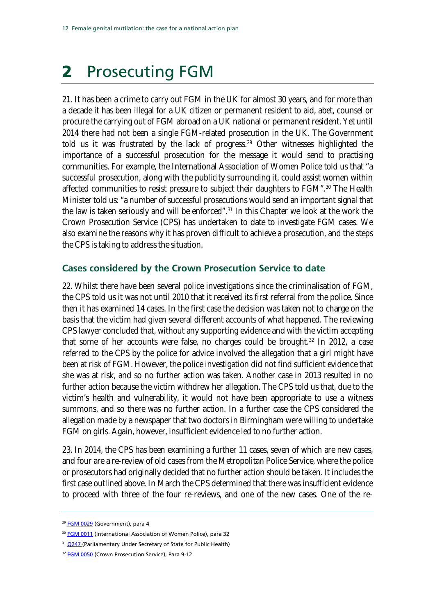# <span id="page-11-0"></span>2 Prosecuting FGM

21. It has been a crime to carry out FGM in the UK for almost 30 years, and for more than a decade it has been illegal for a UK citizen or permanent resident to aid, abet, counsel or procure the carrying out of FGM abroad on a UK national or permanent resident. Yet until 2014 there had not been a single FGM-related prosecution in the UK. The Government told us it was frustrated by the lack of progress.<sup>[29](#page-11-2)</sup> Other witnesses highlighted the importance of a successful prosecution for the message it would send to practising communities. For example, the International Association of Women Police told us that "a successful prosecution, along with the publicity surrounding it, could assist women within affected communities to resist pressure to subject their daughters to FGM".<sup>[30](#page-11-2)</sup> The Health Minister told us: "a number of successful prosecutions would send an important signal that the law is taken seriously and will be enforced".<sup>[31](#page-11-2)</sup> In this Chapter we look at the work the Crown Prosecution Service (CPS) has undertaken to date to investigate FGM cases. We also examine the reasons why it has proven difficult to achieve a prosecution, and the steps the CPS is taking to address the situation.

### <span id="page-11-1"></span>**Cases considered by the Crown Prosecution Service to date**

22. Whilst there have been several police investigations since the criminalisation of FGM, the CPS told us it was not until 2010 that it received its first referral from the police. Since then it has examined 14 cases. In the first case the decision was taken not to charge on the basis that the victim had given several different accounts of what happened. The reviewing CPS lawyer concluded that, without any supporting evidence and with the victim accepting that some of her accounts were false, no charges could be brought. [32](#page-11-2) In 2012, a case referred to the CPS by the police for advice involved the allegation that a girl might have been at risk of FGM. However, the police investigation did not find sufficient evidence that she was at risk, and so no further action was taken. Another case in 2013 resulted in no further action because the victim withdrew her allegation. The CPS told us that, due to the victim's health and vulnerability, it would not have been appropriate to use a witness summons, and so there was no further action. In a further case the CPS considered the allegation made by a newspaper that two doctors in Birmingham were willing to undertake FGM on girls. Again, however, insufficient evidence led to no further action.

23. In 2014, the CPS has been examining a further 11 cases, seven of which are new cases, and four are a re-review of old cases from the Metropolitan Police Service, where the police or prosecutors had originally decided that no further action should be taken. It includes the first case outlined above. In March the CPS determined that there was insufficient evidence to proceed with three of the four re-reviews, and one of the new cases. One of the re-

<span id="page-11-2"></span><sup>&</sup>lt;sup>29</sup> [FGM 0029](http://data.parliament.uk/writtenevidence/committeeevidence.svc/evidencedocument/home-affairs-committee/female-genital-mutilation/written/6056.pdf) (Government), para 4

<sup>&</sup>lt;sup>30</sup> [FGM 0011](http://data.parliament.uk/writtenevidence/committeeevidence.svc/evidencedocument/home-affairs-committee/female-genital-mutilation/written/6017.pdf) (International Association of Women Police), para 32

<sup>&</sup>lt;sup>31</sup> [Q247](http://data.parliament.uk/writtenevidence/committeeevidence.svc/evidencedocument/home-affairs-committee/female-genital-mutilation/oral/9021.pdf) (Parliamentary Under Secretary of State for Public Health)

<sup>&</sup>lt;sup>32</sup> [FGM 0050](http://data.parliament.uk/writtenevidence/committeeevidence.svc/evidencedocument/home-affairs-committee/female-genital-mutilation/written/6536.pdf) (Crown Prosecution Service), Para 9-12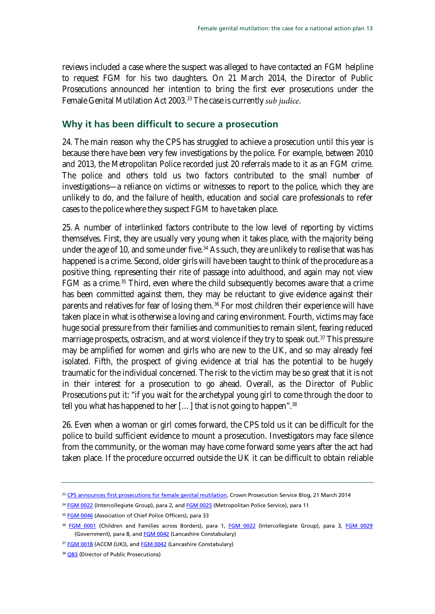reviews included a case where the suspect was alleged to have contacted an FGM helpline to request FGM for his two daughters. On 21 March 2014, the Director of Public Prosecutions announced her intention to bring the first ever prosecutions under the Female Genital Mutilation Act 2003.<sup>[33](#page-12-1)</sup> The case is currently *sub judice*.

### <span id="page-12-0"></span>**Why it has been difficult to secure a prosecution**

24. The main reason why the CPS has struggled to achieve a prosecution until this year is because there have been very few investigations by the police. For example, between 2010 and 2013, the Metropolitan Police recorded just 20 referrals made to it as an FGM crime. The police and others told us two factors contributed to the small number of investigations—a reliance on victims or witnesses to report to the police, which they are unlikely to do, and the failure of health, education and social care professionals to refer cases to the police where they suspect FGM to have taken place.

25. A number of interlinked factors contribute to the low level of reporting by victims themselves. First, they are usually very young when it takes place, with the majority being under the age of 10, and some under five.<sup>[34](#page-12-1)</sup> As such, they are unlikely to realise that was has happened is a crime. Second, older girls will have been taught to think of the procedure as a positive thing, representing their rite of passage into adulthood, and again may not view FGM as a crime.[35](#page-12-1) Third, even where the child subsequently becomes aware that a crime has been committed against them, they may be reluctant to give evidence against their parents and relatives for fear of losing them.<sup>[36](#page-12-1)</sup> For most children their experience will have taken place in what is otherwise a loving and caring environment. Fourth, victims may face huge social pressure from their families and communities to remain silent, fearing reduced marriage prospects, ostracism, and at worst violence if they try to speak out.<sup>[37](#page-12-1)</sup> This pressure may be amplified for women and girls who are new to the UK, and so may already feel isolated. Fifth, the prospect of giving evidence at trial has the potential to be hugely traumatic for the individual concerned. The risk to the victim may be so great that it is not in their interest for a prosecution to go ahead. Overall, as the Director of Public Prosecutions put it: "if you wait for the archetypal young girl to come through the door to tell you what has happened to her  $\left[ \ldots \right]$  that is not going to happen".<sup>[38](#page-12-1)</sup>

26. Even when a woman or girl comes forward, the CPS told us it can be difficult for the police to build sufficient evidence to mount a prosecution. Investigators may face silence from the community, or the woman may have come forward some years after the act had taken place. If the procedure occurred outside the UK it can be difficult to obtain reliable

<span id="page-12-1"></span><sup>&</sup>lt;sup>33</sup> [CPS announces first prosecutions for female genital mutilation,](http://blog.cps.gov.uk/2014/03/cps-announces-first-prosecutions-for-female-genital-mutilation.html) Crown Prosecution Service Blog, 21 March 2014

<sup>34</sup> [FGM 0022](http://data.parliament.uk/writtenevidence/committeeevidence.svc/evidencedocument/home-affairs-committee/female-genital-mutilation/written/6044.pdf) (Intercollegiate Group), para 2, an[d FGM 0025](http://data.parliament.uk/writtenevidence/committeeevidence.svc/evidencedocument/home-affairs-committee/female-genital-mutilation/written/6048.pdf) (Metropolitan Police Service), para 11

<sup>&</sup>lt;sup>35</sup> [FGM 0046](http://data.parliament.uk/writtenevidence/committeeevidence.svc/evidencedocument/home-affairs-committee/female-genital-mutilation/written/6530.pdf) (Association of Chief Police Officers), para 33

<sup>&</sup>lt;sup>36</sup> [FGM 0001](http://data.parliament.uk/writtenevidence/committeeevidence.svc/evidencedocument/home-affairs-committee/female-genital-mutilation/written/4910.pdf) (Children and Families across Borders), para 1, [FGM 0022](http://data.parliament.uk/writtenevidence/committeeevidence.svc/evidencedocument/home-affairs-committee/female-genital-mutilation/written/6044.pdf) (Intercollegiate Group), para 3, [FGM 0029](http://data.parliament.uk/writtenevidence/committeeevidence.svc/evidencedocument/home-affairs-committee/female-genital-mutilation/written/6056.pdf) (Government), para 8, and **FGM 0042** (Lancashire Constabulary)

<sup>&</sup>lt;sup>37</sup> [FGM 0018](http://data.parliament.uk/writtenevidence/committeeevidence.svc/evidencedocument/home-affairs-committee/female-genital-mutilation/written/6032.pdf) (ACCM (UK)), an[d FGM 0042](http://data.parliament.uk/writtenevidence/committeeevidence.svc/evidencedocument/home-affairs-committee/female-genital-mutilation/written/6087.pdf) (Lancashire Constabulary)

<sup>38</sup> [Q83](http://data.parliament.uk/writtenevidence/committeeevidence.svc/evidencedocument/home-affairs-committee/female-genital-mutilation/oral/8083.pdf) (Director of Public Prosecutions)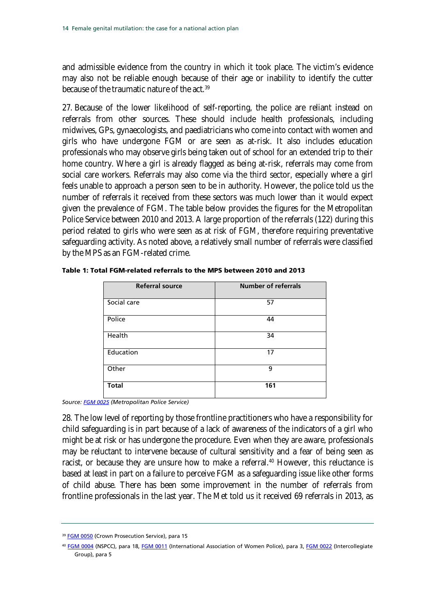and admissible evidence from the country in which it took place. The victim's evidence may also not be reliable enough because of their age or inability to identify the cutter because of the traumatic nature of the act.<sup>[39](#page-13-0)</sup>

27. Because of the lower likelihood of self-reporting, the police are reliant instead on referrals from other sources. These should include health professionals, including midwives, GPs, gynaecologists, and paediatricians who come into contact with women and girls who have undergone FGM or are seen as at-risk. It also includes education professionals who may observe girls being taken out of school for an extended trip to their home country. Where a girl is already flagged as being at-risk, referrals may come from social care workers. Referrals may also come via the third sector, especially where a girl feels unable to approach a person seen to be in authority. However, the police told us the number of referrals it received from these sectors was much lower than it would expect given the prevalence of FGM. The table below provides the figures for the Metropolitan Police Service between 2010 and 2013. A large proportion of the referrals (122) during this period related to girls who were seen as at risk of FGM, therefore requiring preventative safeguarding activity. As noted above, a relatively small number of referrals were classified by the MPS as an FGM-related crime.

| <b>Referral source</b> | <b>Number of referrals</b> |
|------------------------|----------------------------|
| Social care            | 57                         |
| Police                 | 44                         |
| Health                 | 34                         |
| Education              | 17                         |
| Other                  | 9                          |
| <b>Total</b>           | 161                        |

Table 1: Total FGM-related referrals to the MPS between 2010 and 2013

*Source[: FGM 0025](http://data.parliament.uk/writtenevidence/committeeevidence.svc/evidencedocument/home-affairs-committee/female-genital-mutilation/written/6048.pdf) (Metropolitan Police Service)*

28. The low level of reporting by those frontline practitioners who have a responsibility for child safeguarding is in part because of a lack of awareness of the indicators of a girl who might be at risk or has undergone the procedure. Even when they are aware, professionals may be reluctant to intervene because of cultural sensitivity and a fear of being seen as racist, or because they are unsure how to make a referral.<sup>[40](#page-13-0)</sup> However, this reluctance is based at least in part on a failure to perceive FGM as a safeguarding issue like other forms of child abuse. There has been some improvement in the number of referrals from frontline professionals in the last year. The Met told us it received 69 referrals in 2013, as

<sup>&</sup>lt;sup>39</sup> [FGM 0050](http://data.parliament.uk/writtenevidence/committeeevidence.svc/evidencedocument/home-affairs-committee/female-genital-mutilation/written/6536.pdf) (Crown Prosecution Service), para 15

<span id="page-13-0"></span><sup>40</sup> [FGM 0004](http://data.parliament.uk/writtenevidence/committeeevidence.svc/evidencedocument/home-affairs-committee/female-genital-mutilation/written/6004.pdf) (NSPCC), para 18[, FGM 0011](http://data.parliament.uk/writtenevidence/committeeevidence.svc/evidencedocument/home-affairs-committee/female-genital-mutilation/written/6017.pdf) (International Association of Women Police), para 3, [FGM 0022](http://data.parliament.uk/writtenevidence/committeeevidence.svc/evidencedocument/home-affairs-committee/female-genital-mutilation/written/6044.pdf) (Intercollegiate Group), para 5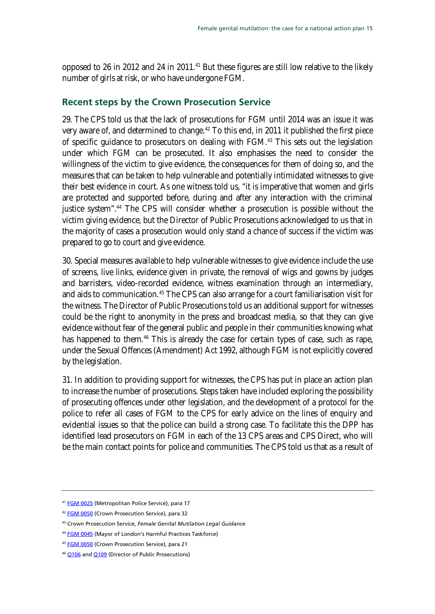opposed to 26 in 2012 and 24 in 2011.<sup>41</sup> But these figures are still low relative to the likely number of girls at risk, or who have undergone FGM.

### <span id="page-14-0"></span>**Recent steps by the Crown Prosecution Service**

29. The CPS told us that the lack of prosecutions for FGM until 2014 was an issue it was very aware of, and determined to change.<sup>[42](#page-14-1)</sup> To this end, in 2011 it published the first piece of specific guidance to prosecutors on dealing with FGM.<sup>[43](#page-14-1)</sup> This sets out the legislation under which FGM can be prosecuted. It also emphasises the need to consider the willingness of the victim to give evidence, the consequences for them of doing so, and the measures that can be taken to help vulnerable and potentially intimidated witnesses to give their best evidence in court. As one witness told us, "it is imperative that women and girls are protected and supported before, during and after any interaction with the criminal justice system".<sup>[44](#page-14-1)</sup> The CPS will consider whether a prosecution is possible without the victim giving evidence, but the Director of Public Prosecutions acknowledged to us that in the majority of cases a prosecution would only stand a chance of success if the victim was prepared to go to court and give evidence.

30. Special measures available to help vulnerable witnesses to give evidence include the use of screens, live links, evidence given in private, the removal of wigs and gowns by judges and barristers, video-recorded evidence, witness examination through an intermediary, and aids to communication.<sup>[45](#page-14-1)</sup> The CPS can also arrange for a court familiarisation visit for the witness. The Director of Public Prosecutions told us an additional support for witnesses could be the right to anonymity in the press and broadcast media, so that they can give evidence without fear of the general public and people in their communities knowing what has happened to them.<sup>[46](#page-14-1)</sup> This is already the case for certain types of case, such as rape, under the Sexual Offences (Amendment) Act 1992, although FGM is not explicitly covered by the legislation.

31. In addition to providing support for witnesses, the CPS has put in place an action plan to increase the number of prosecutions. Steps taken have included exploring the possibility of prosecuting offences under other legislation, and the development of a protocol for the police to refer all cases of FGM to the CPS for early advice on the lines of enquiry and evidential issues so that the police can build a strong case. To facilitate this the DPP has identified lead prosecutors on FGM in each of the 13 CPS areas and CPS Direct, who will be the main contact points for police and communities. The CPS told us that as a result of

<span id="page-14-1"></span><sup>41</sup> [FGM 0025](http://data.parliament.uk/writtenevidence/committeeevidence.svc/evidencedocument/home-affairs-committee/female-genital-mutilation/written/6048.pdf) (Metropolitan Police Service), para 17

<sup>&</sup>lt;sup>42</sup> [FGM 0050](http://data.parliament.uk/writtenevidence/committeeevidence.svc/evidencedocument/home-affairs-committee/female-genital-mutilation/written/6536.pdf) (Crown Prosecution Service), para 32

<sup>43</sup> Crown Prosecution Service, *Female Genital Mutilation Legal Guidance*

<sup>44</sup> [FGM 0045](http://data.parliament.uk/writtenevidence/committeeevidence.svc/evidencedocument/home-affairs-committee/female-genital-mutilation/written/6524.pdf) (Mayor of London's Harmful Practices Taskforce)

<sup>45</sup> [FGM 0050](http://data.parliament.uk/writtenevidence/committeeevidence.svc/evidencedocument/home-affairs-committee/female-genital-mutilation/written/6536.pdf) (Crown Prosecution Service), para 21

<sup>&</sup>lt;sup>46</sup> [Q106](http://data.parliament.uk/writtenevidence/committeeevidence.svc/evidencedocument/home-affairs-committee/female-genital-mutilation/oral/8083.pdf) an[d Q109](http://data.parliament.uk/writtenevidence/committeeevidence.svc/evidencedocument/home-affairs-committee/female-genital-mutilation/oral/8083.pdf) (Director of Public Prosecutions)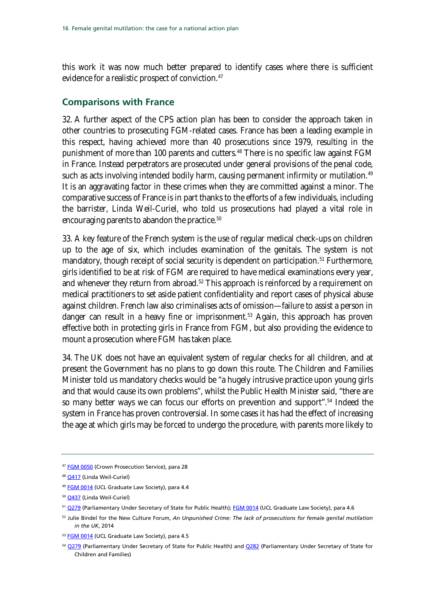this work it was now much better prepared to identify cases where there is sufficient evidence for a realistic prospect of conviction.<sup>47</sup>

### <span id="page-15-0"></span>**Comparisons with France**

32. A further aspect of the CPS action plan has been to consider the approach taken in other countries to prosecuting FGM-related cases. France has been a leading example in this respect, having achieved more than 40 prosecutions since 1979, resulting in the punishment of more than 100 parents and cutters.<sup>48</sup> There is no specific law against FGM in France. Instead perpetrators are prosecuted under general provisions of the penal code, such as acts involving intended bodily harm, causing permanent infirmity or mutilation.<sup>[49](#page-15-1)</sup> It is an aggravating factor in these crimes when they are committed against a minor. The comparative success of France is in part thanks to the efforts of a few individuals, including the barrister, Linda Weil-Curiel, who told us prosecutions had played a vital role in encouraging parents to abandon the practice.<sup>[50](#page-15-1)</sup>

33. A key feature of the French system is the use of regular medical check-ups on children up to the age of six, which includes examination of the genitals. The system is not mandatory, though receipt of social security is dependent on participation.<sup>[51](#page-15-1)</sup> Furthermore, girls identified to be at risk of FGM are required to have medical examinations every year, and whenever they return from abroad.<sup>[52](#page-15-1)</sup> This approach is reinforced by a requirement on medical practitioners to set aside patient confidentiality and report cases of physical abuse against children. French law also criminalises acts of omission—failure to assist a person in danger can result in a heavy fine or imprisonment.<sup>[53](#page-15-1)</sup> Again, this approach has proven effective both in protecting girls in France from FGM, but also providing the evidence to mount a prosecution where FGM has taken place.

34. The UK does not have an equivalent system of regular checks for all children, and at present the Government has no plans to go down this route. The Children and Families Minister told us mandatory checks would be "a hugely intrusive practice upon young girls and that would cause its own problems", whilst the Public Health Minister said, "there are so many better ways we can focus our efforts on prevention and support".<sup>[54](#page-15-1)</sup> Indeed the system in France has proven controversial. In some cases it has had the effect of increasing the age at which girls may be forced to undergo the procedure, with parents more likely to

<span id="page-15-1"></span><sup>47</sup> [FGM 0050](http://data.parliament.uk/writtenevidence/committeeevidence.svc/evidencedocument/home-affairs-committee/female-genital-mutilation/written/6536.pdf) (Crown Prosecution Service), para 28

<sup>48</sup> [Q417](http://data.parliament.uk/writtenevidence/committeeevidence.svc/evidencedocument/home-affairs-committee/female-genital-mutilation/oral/9447.pdf) (Linda Weil-Curiel)

<sup>49</sup> [FGM 0014](http://data.parliament.uk/writtenevidence/committeeevidence.svc/evidencedocument/home-affairs-committee/female-genital-mutilation/written/6027.pdf) (UCL Graduate Law Society), para 4.4

<sup>50</sup> [Q437](http://data.parliament.uk/writtenevidence/committeeevidence.svc/evidencedocument/home-affairs-committee/female-genital-mutilation/oral/9447.pdf) (Linda Weil-Curiel)

<sup>51</sup> [Q279](http://data.parliament.uk/writtenevidence/committeeevidence.svc/evidencedocument/home-affairs-committee/female-genital-mutilation/oral/9021.pdf) (Parliamentary Under Secretary of State for Public Health); [FGM 0014](http://data.parliament.uk/writtenevidence/committeeevidence.svc/evidencedocument/home-affairs-committee/female-genital-mutilation/written/6027.pdf) (UCL Graduate Law Society), para 4.6

<sup>52</sup> Julie Bindel for the New Culture Forum, *An Unpunished Crime: The lack of prosecutions for female genital mutilation in the UK*, 2014

<sup>53</sup> [FGM 0014](http://data.parliament.uk/writtenevidence/committeeevidence.svc/evidencedocument/home-affairs-committee/female-genital-mutilation/written/6027.pdf) (UCL Graduate Law Society), para 4.5

<sup>54</sup> [Q279](http://data.parliament.uk/writtenevidence/committeeevidence.svc/evidencedocument/home-affairs-committee/female-genital-mutilation/oral/9021.pdf) (Parliamentary Under Secretary of State for Public Health) and [Q282](http://data.parliament.uk/writtenevidence/committeeevidence.svc/evidencedocument/home-affairs-committee/female-genital-mutilation/oral/9021.pdf) (Parliamentary Under Secretary of State for Children and Families)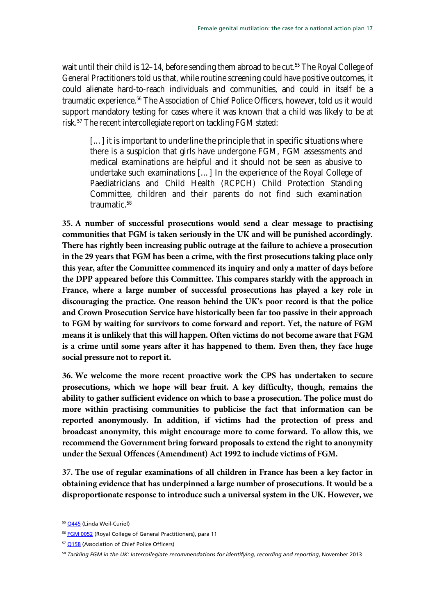wait until their child is 12–14, before sending them abroad to be cut.<sup>[55](#page-16-0)</sup> The Royal College of General Practitioners told us that, while routine screening could have positive outcomes, it could alienate hard-to-reach individuals and communities, and could in itself be a traumatic experience.<sup>[56](#page-16-0)</sup> The Association of Chief Police Officers, however, told us it would support mandatory testing for cases where it was known that a child was likely to be at risk.[57](#page-16-0) The recent intercollegiate report on tackling FGM stated:

[...] it is important to underline the principle that in specific situations where there is a suspicion that girls have undergone FGM, FGM assessments and medical examinations are helpful and it should not be seen as abusive to undertake such examinations […] In the experience of the Royal College of Paediatricians and Child Health (RCPCH) Child Protection Standing Committee, children and their parents do not find such examination traumatic.<sup>[58](#page-16-0)</sup>

**35. A number of successful prosecutions would send a clear message to practising communities that FGM is taken seriously in the UK and will be punished accordingly. There has rightly been increasing public outrage at the failure to achieve a prosecution in the 29 years that FGM has been a crime, with the first prosecutions taking place only this year, after the Committee commenced its inquiry and only a matter of days before the DPP appeared before this Committee. This compares starkly with the approach in France, where a large number of successful prosecutions has played a key role in discouraging the practice. One reason behind the UK's poor record is that the police and Crown Prosecution Service have historically been far too passive in their approach to FGM by waiting for survivors to come forward and report. Yet, the nature of FGM means it is unlikely that this will happen. Often victims do not become aware that FGM is a crime until some years after it has happened to them. Even then, they face huge social pressure not to report it.** 

**36. We welcome the more recent proactive work the CPS has undertaken to secure prosecutions, which we hope will bear fruit. A key difficulty, though, remains the ability to gather sufficient evidence on which to base a prosecution. The police must do more within practising communities to publicise the fact that information can be reported anonymously. In addition, if victims had the protection of press and broadcast anonymity, this might encourage more to come forward. To allow this, we recommend the Government bring forward proposals to extend the right to anonymity under the Sexual Offences (Amendment) Act 1992 to include victims of FGM.** 

**37. The use of regular examinations of all children in France has been a key factor in obtaining evidence that has underpinned a large number of prosecutions. It would be a disproportionate response to introduce such a universal system in the UK. However, we** 

<span id="page-16-0"></span><sup>&</sup>lt;sup>55</sup> [Q445](http://data.parliament.uk/writtenevidence/committeeevidence.svc/evidencedocument/home-affairs-committee/female-genital-mutilation/oral/9447.pdf) (Linda Weil-Curiel)

<sup>&</sup>lt;sup>56</sup> [FGM 0052](http://data.parliament.uk/writtenevidence/committeeevidence.svc/evidencedocument/home-affairs-committee/female-genital-mutilation/written/6577.pdf) (Royal College of General Practitioners), para 11

<sup>&</sup>lt;sup>57</sup> [Q158](http://data.parliament.uk/writtenevidence/committeeevidence.svc/evidencedocument/home-affairs-committee/female-genital-mutilation/oral/9021.pdf) (Association of Chief Police Officers)

<sup>58</sup> *Tackling FGM in the UK: Intercollegiate recommendations for identifying, recording and reporting*, November 2013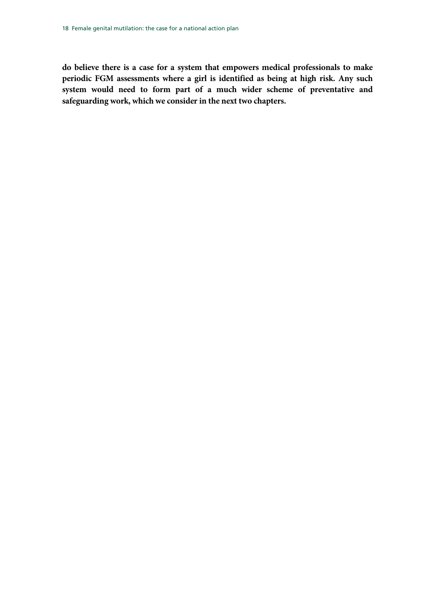**do believe there is a case for a system that empowers medical professionals to make periodic FGM assessments where a girl is identified as being at high risk. Any such system would need to form part of a much wider scheme of preventative and safeguarding work, which we consider in the next two chapters.**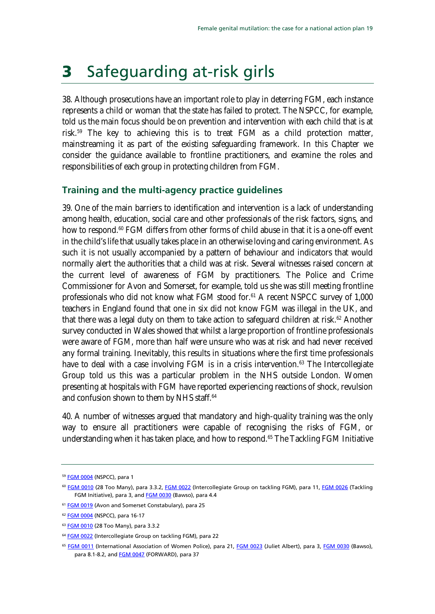# <span id="page-18-0"></span>3 Safeguarding at-risk girls

38. Although prosecutions have an important role to play in deterring FGM, each instance represents a child or woman that the state has failed to protect. The NSPCC, for example, told us the main focus should be on prevention and intervention with each child that is at risk.[59](#page-18-2) The key to achieving this is to treat FGM as a child protection matter, mainstreaming it as part of the existing safeguarding framework. In this Chapter we consider the guidance available to frontline practitioners, and examine the roles and responsibilities of each group in protecting children from FGM.

### <span id="page-18-1"></span>**Training and the multi-agency practice guidelines**

39. One of the main barriers to identification and intervention is a lack of understanding among health, education, social care and other professionals of the risk factors, signs, and how to respond.<sup>[60](#page-18-2)</sup> FGM differs from other forms of child abuse in that it is a one-off event in the child's life that usually takes place in an otherwise loving and caring environment. As such it is not usually accompanied by a pattern of behaviour and indicators that would normally alert the authorities that a child was at risk. Several witnesses raised concern at the current level of awareness of FGM by practitioners. The Police and Crime Commissioner for Avon and Somerset, for example, told us she was still meeting frontline professionals who did not know what FGM stood for.<sup>[61](#page-18-2)</sup> A recent NSPCC survey of 1,000 teachers in England found that one in six did not know FGM was illegal in the UK, and that there was a legal duty on them to take action to safeguard children at risk.<sup>[62](#page-18-2)</sup> Another survey conducted in Wales showed that whilst a large proportion of frontline professionals were aware of FGM, more than half were unsure who was at risk and had never received any formal training. Inevitably, this results in situations where the first time professionals have to deal with a case involving FGM is in a crisis intervention.<sup>[63](#page-18-2)</sup> The Intercollegiate Group told us this was a particular problem in the NHS outside London. Women presenting at hospitals with FGM have reported experiencing reactions of shock, revulsion and confusion shown to them by NHS staff.<sup>[64](#page-18-2)</sup>

40. A number of witnesses argued that mandatory and high-quality training was the only way to ensure all practitioners were capable of recognising the risks of FGM, or understanding when it has taken place, and how to respond.<sup>65</sup> The Tackling FGM Initiative

<span id="page-18-2"></span><sup>59</sup> [FGM 0004](http://data.parliament.uk/writtenevidence/committeeevidence.svc/evidencedocument/home-affairs-committee/female-genital-mutilation/written/6004.pdf) (NSPCC), para 1

<sup>60</sup> [FGM 0010](http://data.parliament.uk/writtenevidence/committeeevidence.svc/evidencedocument/home-affairs-committee/female-genital-mutilation/written/6016.pdf) (28 Too Many), para 3.3.2, [FGM 0022](http://data.parliament.uk/writtenevidence/committeeevidence.svc/evidencedocument/home-affairs-committee/female-genital-mutilation/written/6044.pdf) (Intercollegiate Group on tackling FGM), para 11[, FGM 0026](http://data.parliament.uk/writtenevidence/committeeevidence.svc/evidencedocument/home-affairs-committee/female-genital-mutilation/written/6050.pdf) (Tackling FGM Initiative), para 3, and **FGM 0030** (Bawso), para 4.4

<sup>&</sup>lt;sup>61</sup> [FGM 0019](http://data.parliament.uk/writtenevidence/committeeevidence.svc/evidencedocument/home-affairs-committee/female-genital-mutilation/written/6033.pdf) (Avon and Somerset Constabulary), para 25

<sup>62</sup> [FGM 0004](http://data.parliament.uk/writtenevidence/committeeevidence.svc/evidencedocument/home-affairs-committee/female-genital-mutilation/written/6004.pdf) (NSPCC), para 16-17

<sup>63</sup> [FGM 0010](http://data.parliament.uk/writtenevidence/committeeevidence.svc/evidencedocument/home-affairs-committee/female-genital-mutilation/written/6016.pdf) (28 Too Many), para 3.3.2

<sup>&</sup>lt;sup>64</sup> [FGM 0022](http://data.parliament.uk/writtenevidence/committeeevidence.svc/evidencedocument/home-affairs-committee/female-genital-mutilation/written/6044.pdf) (Intercollegiate Group on tackling FGM), para 22

<sup>&</sup>lt;sup>65</sup> [FGM 0011](http://data.parliament.uk/writtenevidence/committeeevidence.svc/evidencedocument/home-affairs-committee/female-genital-mutilation/written/6017.pdf) (International Association of Women Police), para 21[, FGM 0023](http://data.parliament.uk/writtenevidence/committeeevidence.svc/evidencedocument/home-affairs-committee/female-genital-mutilation/written/6046.pdf) (Juliet Albert), para 3[, FGM 0030](http://data.parliament.uk/writtenevidence/committeeevidence.svc/evidencedocument/home-affairs-committee/female-genital-mutilation/written/6057.pdf) (Bawso), para 8.1-8.2, and **FGM 0047** (FORWARD), para 37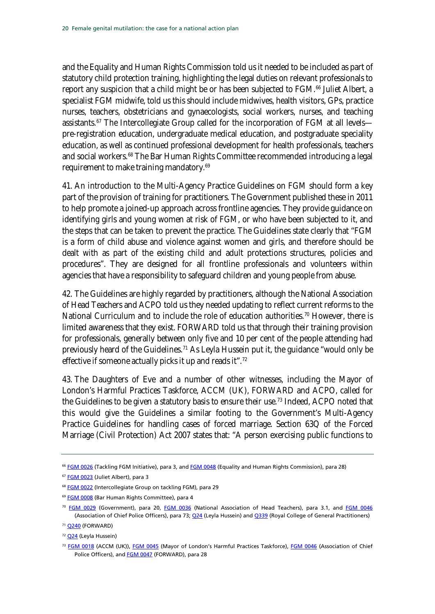and the Equality and Human Rights Commission told us it needed to be included as part of statutory child protection training, highlighting the legal duties on relevant professionals to report any suspicion that a child might be or has been subjected to FGM.<sup>[66](#page-19-0)</sup> Juliet Albert, a specialist FGM midwife, told us this should include midwives, health visitors, GPs, practice nurses, teachers, obstetricians and gynaecologists, social workers, nurses, and teaching assistants.<sup>[67](#page-19-0)</sup> The Intercollegiate Group called for the incorporation of FGM at all levels pre-registration education, undergraduate medical education, and postgraduate speciality education, as well as continued professional development for health professionals, teachers and social workers.<sup>[68](#page-19-0)</sup> The Bar Human Rights Committee recommended introducing a legal requirement to make training mandatory.<sup>[69](#page-19-0)</sup>

41. An introduction to the Multi-Agency Practice Guidelines on FGM should form a key part of the provision of training for practitioners. The Government published these in 2011 to help promote a joined-up approach across frontline agencies. They provide guidance on identifying girls and young women at risk of FGM, or who have been subjected to it, and the steps that can be taken to prevent the practice. The Guidelines state clearly that "FGM is a form of child abuse and violence against women and girls, and therefore should be dealt with as part of the existing child and adult protections structures, policies and procedures". They are designed for all frontline professionals and volunteers within agencies that have a responsibility to safeguard children and young people from abuse.

42. The Guidelines are highly regarded by practitioners, although the National Association of Head Teachers and ACPO told us they needed updating to reflect current reforms to the National Curriculum and to include the role of education authorities.<sup>[70](#page-19-0)</sup> However, there is limited awareness that they exist. FORWARD told us that through their training provision for professionals, generally between only five and 10 per cent of the people attending had previously heard of the Guidelines.<sup>[71](#page-19-0)</sup> As Leyla Hussein put it, the guidance "would only be effective if someone actually picks it up and reads it".[72](#page-19-0)

43. The Daughters of Eve and a number of other witnesses, including the Mayor of London's Harmful Practices Taskforce, ACCM (UK), FORWARD and ACPO, called for the Guidelines to be given a statutory basis to ensure their use.<sup>[73](#page-19-0)</sup> Indeed, ACPO noted that this would give the Guidelines a similar footing to the Government's Multi-Agency Practice Guidelines for handling cases of forced marriage. Section 63Q of the Forced Marriage (Civil Protection) Act 2007 states that: "A person exercising public functions to

<span id="page-19-0"></span><sup>&</sup>lt;sup>66</sup> [FGM 0026](http://data.parliament.uk/writtenevidence/committeeevidence.svc/evidencedocument/home-affairs-committee/female-genital-mutilation/written/6050.pdf) (Tackling FGM Initiative), para 3, an[d FGM 0048](http://data.parliament.uk/writtenevidence/committeeevidence.svc/evidencedocument/home-affairs-committee/female-genital-mutilation/written/6532.pdf) (Equality and Human Rights Commission), para 28)

<sup>67</sup> [FGM 0023](http://data.parliament.uk/writtenevidence/committeeevidence.svc/evidencedocument/home-affairs-committee/female-genital-mutilation/written/6046.pdf) (Juliet Albert), para 3

<sup>&</sup>lt;sup>68</sup> [FGM 0022](http://data.parliament.uk/writtenevidence/committeeevidence.svc/evidencedocument/home-affairs-committee/female-genital-mutilation/written/6044.pdf) (Intercollegiate Group on tackling FGM), para 29

<sup>69</sup> [FGM 0008](http://data.parliament.uk/writtenevidence/committeeevidence.svc/evidencedocument/home-affairs-committee/female-genital-mutilation/written/6009.pdf) (Bar Human Rights Committee), para 4

<sup>70</sup> [FGM 0029](http://data.parliament.uk/writtenevidence/committeeevidence.svc/evidencedocument/home-affairs-committee/female-genital-mutilation/written/6056.pdf) (Government), para 20, [FGM 0036](http://data.parliament.uk/writtenevidence/committeeevidence.svc/evidencedocument/home-affairs-committee/female-genital-mutilation/written/6068.pdf) (National Association of Head Teachers), para 3.1, and [FGM 0046](http://data.parliament.uk/writtenevidence/committeeevidence.svc/evidencedocument/home-affairs-committee/female-genital-mutilation/written/6530.pdf) (Association of Chief Police Officers), para 73; [Q24](http://data.parliament.uk/writtenevidence/committeeevidence.svc/evidencedocument/home-affairs-committee/female-genital-mutilation/oral/7419.pdf) (Leyla Hussein) an[d Q339](http://data.parliament.uk/writtenevidence/committeeevidence.svc/evidencedocument/home-affairs-committee/female-genital-mutilation/oral/9447.pdf) (Royal College of General Practitioners)

<sup>71</sup> [Q240](http://data.parliament.uk/writtenevidence/committeeevidence.svc/evidencedocument/home-affairs-committee/female-genital-mutilation/oral/9021.pdf) (FORWARD)

<sup>72</sup> [Q24](http://data.parliament.uk/writtenevidence/committeeevidence.svc/evidencedocument/home-affairs-committee/female-genital-mutilation/oral/7419.pdf) (Leyla Hussein)

<sup>&</sup>lt;sup>73</sup> [FGM 0018](http://data.parliament.uk/writtenevidence/committeeevidence.svc/evidencedocument/home-affairs-committee/female-genital-mutilation/written/6032.pdf) (ACCM (UK)), [FGM 0045](http://data.parliament.uk/writtenevidence/committeeevidence.svc/evidencedocument/home-affairs-committee/female-genital-mutilation/written/6524.pdf) (Mayor of London's Harmful Practices Taskforce), [FGM 0046](http://data.parliament.uk/writtenevidence/committeeevidence.svc/evidencedocument/home-affairs-committee/female-genital-mutilation/written/6530.pdf) (Association of Chief Police Officers), and **FGM 0047** (FORWARD), para 28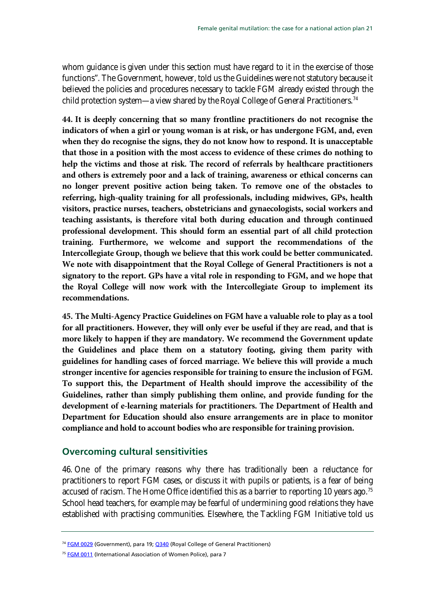whom guidance is given under this section must have regard to it in the exercise of those functions". The Government, however, told us the Guidelines were not statutory because it believed the policies and procedures necessary to tackle FGM already existed through the child protection system—a view shared by the Royal College of General Practitioners.[74](#page-20-1)

<span id="page-20-2"></span>**44. It is deeply concerning that so many frontline practitioners do not recognise the indicators of when a girl or young woman is at risk, or has undergone FGM, and, even when they do recognise the signs, they do not know how to respond. It is unacceptable that those in a position with the most access to evidence of these crimes do nothing to help the victims and those at risk. The record of referrals by healthcare practitioners and others is extremely poor and a lack of training, awareness or ethical concerns can no longer prevent positive action being taken. To remove one of the obstacles to referring, high-quality training for all professionals, including midwives, GPs, health visitors, practice nurses, teachers, obstetricians and gynaecologists, social workers and teaching assistants, is therefore vital both during education and through continued professional development. This should form an essential part of all child protection training. Furthermore, we welcome and support the recommendations of the Intercollegiate Group, though we believe that this work could be better communicated. We note with disappointment that the Royal College of General Practitioners is not a signatory to the report. GPs have a vital role in responding to FGM, and we hope that the Royal College will now work with the Intercollegiate Group to implement its recommendations.** 

<span id="page-20-3"></span>**45. The Multi-Agency Practice Guidelines on FGM have a valuable role to play as a tool for all practitioners. However, they will only ever be useful if they are read, and that is more likely to happen if they are mandatory. We recommend the Government update the Guidelines and place them on a statutory footing, giving them parity with guidelines for handling cases of forced marriage. We believe this will provide a much stronger incentive for agencies responsible for training to ensure the inclusion of FGM. To support this, the Department of Health should improve the accessibility of the Guidelines, rather than simply publishing them online, and provide funding for the development of e-learning materials for practitioners. The Department of Health and Department for Education should also ensure arrangements are in place to monitor compliance and hold to account bodies who are responsible for training provision.** 

### <span id="page-20-0"></span>**Overcoming cultural sensitivities**

46. One of the primary reasons why there has traditionally been a reluctance for practitioners to report FGM cases, or discuss it with pupils or patients, is a fear of being accused of racism. The Home Office identified this as a barrier to reporting 10 years ago.<sup>[75](#page-20-1)</sup> School head teachers, for example may be fearful of undermining good relations they have established with practising communities. Elsewhere, the Tackling FGM Initiative told us

<span id="page-20-1"></span><sup>&</sup>lt;sup>74</sup> [FGM 0029](http://data.parliament.uk/writtenevidence/committeeevidence.svc/evidencedocument/home-affairs-committee/female-genital-mutilation/written/6056.pdf) (Government), para 19[; Q340](http://data.parliament.uk/writtenevidence/committeeevidence.svc/evidencedocument/home-affairs-committee/female-genital-mutilation/oral/9447.pdf) (Royal College of General Practitioners)

<sup>&</sup>lt;sup>75</sup> [FGM 0011](http://data.parliament.uk/writtenevidence/committeeevidence.svc/evidencedocument/home-affairs-committee/female-genital-mutilation/written/6017.pdf) (International Association of Women Police), para 7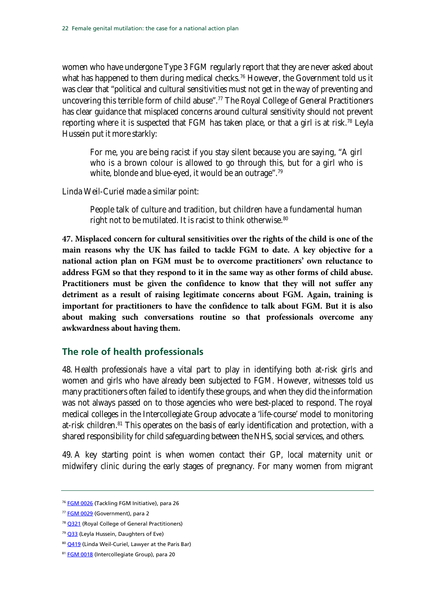women who have undergone Type 3 FGM regularly report that they are never asked about what has happened to them during medical checks.<sup>[76](#page-21-1)</sup> However, the Government told us it was clear that "political and cultural sensitivities must not get in the way of preventing and uncovering this terrible form of child abuse".<sup>[77](#page-21-1)</sup> The Royal College of General Practitioners has clear guidance that misplaced concerns around cultural sensitivity should not prevent reporting where it is suspected that FGM has taken place, or that a girl is at risk.<sup>[78](#page-21-1)</sup> Leyla Hussein put it more starkly:

For me, you are being racist if you stay silent because you are saying, "A girl who is a brown colour is allowed to go through this, but for a girl who is white, blonde and blue-eyed, it would be an outrage".<sup>[79](#page-21-1)</sup>

Linda Weil-Curiel made a similar point:

People talk of culture and tradition, but children have a fundamental human right not to be mutilated. It is racist to think otherwise.<sup>[80](#page-21-1)</sup>

**47. Misplaced concern for cultural sensitivities over the rights of the child is one of the main reasons why the UK has failed to tackle FGM to date. A key objective for a national action plan on FGM must be to overcome practitioners' own reluctance to address FGM so that they respond to it in the same way as other forms of child abuse. Practitioners must be given the confidence to know that they will not suffer any detriment as a result of raising legitimate concerns about FGM. Again, training is important for practitioners to have the confidence to talk about FGM. But it is also about making such conversations routine so that professionals overcome any awkwardness about having them.** 

### <span id="page-21-0"></span>**The role of health professionals**

48. Health professionals have a vital part to play in identifying both at-risk girls and women and girls who have already been subjected to FGM. However, witnesses told us many practitioners often failed to identify these groups, and when they did the information was not always passed on to those agencies who were best-placed to respond. The royal medical colleges in the Intercollegiate Group advocate a 'life-course' model to monitoring at-risk children.<sup>[81](#page-21-1)</sup> This operates on the basis of early identification and protection, with a shared responsibility for child safeguarding between the NHS, social services, and others.

49. A key starting point is when women contact their GP, local maternity unit or midwifery clinic during the early stages of pregnancy. For many women from migrant

<span id="page-21-1"></span><sup>&</sup>lt;sup>76</sup> [FGM 0026](http://data.parliament.uk/writtenevidence/committeeevidence.svc/evidencedocument/home-affairs-committee/female-genital-mutilation/written/6050.pdf) (Tackling FGM Initiative), para 26

<sup>&</sup>lt;sup>77</sup> [FGM 0029](http://data.parliament.uk/writtenevidence/committeeevidence.svc/evidencedocument/home-affairs-committee/female-genital-mutilation/written/6056.pdf) (Government), para 2

<sup>&</sup>lt;sup>78</sup> [Q321](http://data.parliament.uk/writtenevidence/committeeevidence.svc/evidencedocument/home-affairs-committee/female-genital-mutilation/oral/9447.pdf) (Royal College of General Practitioners)

<sup>&</sup>lt;sup>79</sup> [Q33](http://data.parliament.uk/writtenevidence/committeeevidence.svc/evidencedocument/home-affairs-committee/female-genital-mutilation/oral/7419.pdf) (Leyla Hussein, Daughters of Eve)

<sup>80</sup> [Q419](http://data.parliament.uk/writtenevidence/committeeevidence.svc/evidencedocument/home-affairs-committee/female-genital-mutilation/oral/9447.pdf) (Linda Weil-Curiel, Lawyer at the Paris Bar)

<sup>81</sup> [FGM 0018](http://data.parliament.uk/writtenevidence/committeeevidence.svc/evidencedocument/home-affairs-committee/female-genital-mutilation/written/6032.pdf) (Intercollegiate Group), para 20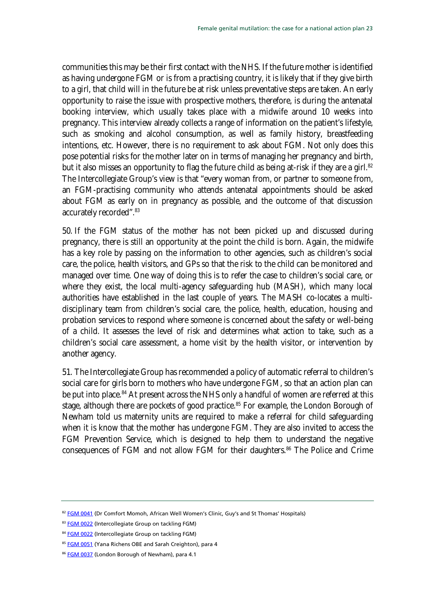communities this may be their first contact with the NHS. If the future mother is identified as having undergone FGM or is from a practising country, it is likely that if they give birth to a girl, that child will in the future be at risk unless preventative steps are taken. An early opportunity to raise the issue with prospective mothers, therefore, is during the antenatal booking interview, which usually takes place with a midwife around 10 weeks into pregnancy. This interview already collects a range of information on the patient's lifestyle, such as smoking and alcohol consumption, as well as family history, breastfeeding intentions, etc. However, there is no requirement to ask about FGM. Not only does this pose potential risks for the mother later on in terms of managing her pregnancy and birth, but it also misses an opportunity to flag the future child as being at-risk if they are a girl.<sup>[82](#page-22-0)</sup> The Intercollegiate Group's view is that "every woman from, or partner to someone from, an FGM-practising community who attends antenatal appointments should be asked about FGM as early on in pregnancy as possible, and the outcome of that discussion accurately recorded".<sup>83</sup>

50. If the FGM status of the mother has not been picked up and discussed during pregnancy, there is still an opportunity at the point the child is born. Again, the midwife has a key role by passing on the information to other agencies, such as children's social care, the police, health visitors, and GPs so that the risk to the child can be monitored and managed over time. One way of doing this is to refer the case to children's social care, or where they exist, the local multi-agency safeguarding hub (MASH), which many local authorities have established in the last couple of years. The MASH co-locates a multidisciplinary team from children's social care, the police, health, education, housing and probation services to respond where someone is concerned about the safety or well-being of a child. It assesses the level of risk and determines what action to take, such as a children's social care assessment, a home visit by the health visitor, or intervention by another agency.

51. The Intercollegiate Group has recommended a policy of automatic referral to children's social care for girls born to mothers who have undergone FGM, so that an action plan can be put into place.<sup>84</sup> At present across the NHS only a handful of women are referred at this stage, although there are pockets of good practice.<sup>[85](#page-22-0)</sup> For example, the London Borough of Newham told us maternity units are required to make a referral for child safeguarding when it is know that the mother has undergone FGM. They are also invited to access the FGM Prevention Service, which is designed to help them to understand the negative consequences of FGM and not allow FGM for their daughters.<sup>[86](#page-22-0)</sup> The Police and Crime

<span id="page-22-0"></span><sup>82</sup> [FGM 0041](http://data.parliament.uk/writtenevidence/committeeevidence.svc/evidencedocument/home-affairs-committee/female-genital-mutilation/written/6085.pdf) (Dr Comfort Momoh, African Well Women's Clinic, Guy's and St Thomas' Hospitals)

<sup>83</sup> [FGM 0022](http://data.parliament.uk/writtenevidence/committeeevidence.svc/evidencedocument/home-affairs-committee/female-genital-mutilation/written/6044.pdf) (Intercollegiate Group on tackling FGM)

<sup>84</sup> [FGM 0022](http://data.parliament.uk/writtenevidence/committeeevidence.svc/evidencedocument/home-affairs-committee/female-genital-mutilation/written/6044.pdf) (Intercollegiate Group on tackling FGM)

<sup>85</sup> [FGM 0051](http://data.parliament.uk/writtenevidence/committeeevidence.svc/evidencedocument/home-affairs-committee/female-genital-mutilation/written/6548.pdf) (Yana Richens OBE and Sarah Creighton), para 4

<sup>86</sup> [FGM 0037](http://data.parliament.uk/writtenevidence/committeeevidence.svc/evidencedocument/home-affairs-committee/female-genital-mutilation/written/6071.pdf) (London Borough of Newham), para 4.1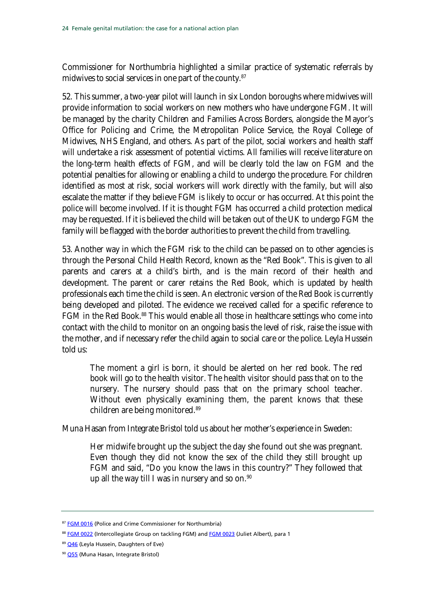Commissioner for Northumbria highlighted a similar practice of systematic referrals by midwives to social services in one part of the county.<sup>[87](#page-23-0)</sup>

52. This summer, a two-year pilot will launch in six London boroughs where midwives will provide information to social workers on new mothers who have undergone FGM. It will be managed by the charity Children and Families Across Borders, alongside the Mayor's Office for Policing and Crime, the Metropolitan Police Service, the Royal College of Midwives, NHS England, and others. As part of the pilot, social workers and health staff will undertake a risk assessment of potential victims. All families will receive literature on the long-term health effects of FGM, and will be clearly told the law on FGM and the potential penalties for allowing or enabling a child to undergo the procedure. For children identified as most at risk, social workers will work directly with the family, but will also escalate the matter if they believe FGM is likely to occur or has occurred. At this point the police will become involved. If it is thought FGM has occurred a child protection medical may be requested. If it is believed the child will be taken out of the UK to undergo FGM the family will be flagged with the border authorities to prevent the child from travelling.

53. Another way in which the FGM risk to the child can be passed on to other agencies is through the Personal Child Health Record, known as the "Red Book". This is given to all parents and carers at a child's birth, and is the main record of their health and development. The parent or carer retains the Red Book, which is updated by health professionals each time the child is seen. An electronic version of the Red Book is currently being developed and piloted. The evidence we received called for a specific reference to FGM in the Red Book.<sup>[88](#page-23-0)</sup> This would enable all those in healthcare settings who come into contact with the child to monitor on an ongoing basis the level of risk, raise the issue with the mother, and if necessary refer the child again to social care or the police. Leyla Hussein told us:

The moment a girl is born, it should be alerted on her red book. The red book will go to the health visitor. The health visitor should pass that on to the nursery. The nursery should pass that on the primary school teacher. Without even physically examining them, the parent knows that these children are being monitored.[89](#page-23-0)

Muna Hasan from Integrate Bristol told us about her mother's experience in Sweden:

Her midwife brought up the subject the day she found out she was pregnant. Even though they did not know the sex of the child they still brought up FGM and said, "Do you know the laws in this country?" They followed that up all the way till I was in nursery and so on.<sup>[90](#page-23-0)</sup>

<span id="page-23-0"></span><sup>87</sup> [FGM 0016](http://data.parliament.uk/writtenevidence/committeeevidence.svc/evidencedocument/home-affairs-committee/female-genital-mutilation/written/6029.pdf) (Police and Crime Commissioner for Northumbria)

<sup>88</sup> [FGM 0022](http://data.parliament.uk/writtenevidence/committeeevidence.svc/evidencedocument/home-affairs-committee/female-genital-mutilation/written/6044.pdf) (Intercollegiate Group on tackling FGM) an[d FGM 0023](http://data.parliament.uk/writtenevidence/committeeevidence.svc/evidencedocument/home-affairs-committee/female-genital-mutilation/written/6046.pdf) (Juliet Albert), para 1

<sup>89</sup> [Q46](http://data.parliament.uk/writtenevidence/committeeevidence.svc/evidencedocument/home-affairs-committee/female-genital-mutilation/oral/7419.pdf) (Leyla Hussein, Daughters of Eve)

<sup>90</sup> [Q55](http://data.parliament.uk/writtenevidence/committeeevidence.svc/evidencedocument/home-affairs-committee/female-genital-mutilation/oral/7419.pdf) (Muna Hasan, Integrate Bristol)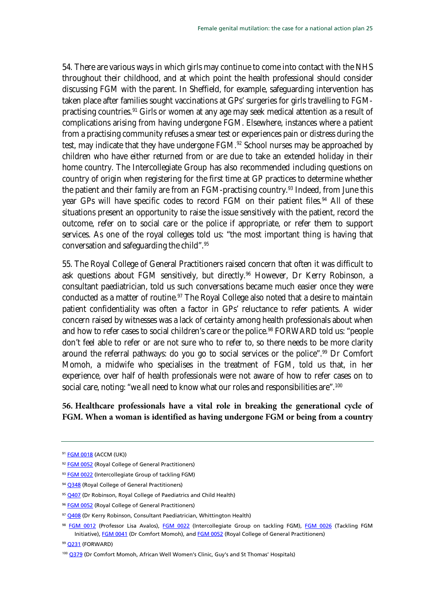54. There are various ways in which girls may continue to come into contact with the NHS throughout their childhood, and at which point the health professional should consider discussing FGM with the parent. In Sheffield, for example, safeguarding intervention has taken place after families sought vaccinations at GPs' surgeries for girls travelling to FGM-practising countries.<sup>[91](#page-24-0)</sup> Girls or women at any age may seek medical attention as a result of complications arising from having undergone FGM. Elsewhere, instances where a patient from a practising community refuses a smear test or experiences pain or distress during the test, may indicate that they have undergone FGM.<sup>[92](#page-24-0)</sup> School nurses may be approached by children who have either returned from or are due to take an extended holiday in their home country. The Intercollegiate Group has also recommended including questions on country of origin when registering for the first time at GP practices to determine whether the patient and their family are from an FGM-practising country.<sup>[93](#page-24-0)</sup> Indeed, from June this year GPs will have specific codes to record FGM on their patient files.<sup>[94](#page-24-0)</sup> All of these situations present an opportunity to raise the issue sensitively with the patient, record the outcome, refer on to social care or the police if appropriate, or refer them to support services. As one of the royal colleges told us: "the most important thing is having that conversation and safeguarding the child".[95](#page-24-0)

55. The Royal College of General Practitioners raised concern that often it was difficult to ask questions about FGM sensitively, but directly.<sup>[96](#page-24-0)</sup> However, Dr Kerry Robinson, a consultant paediatrician, told us such conversations became much easier once they were conducted as a matter of routine.<sup>[97](#page-24-0)</sup> The Royal College also noted that a desire to maintain patient confidentiality was often a factor in GPs' reluctance to refer patients. A wider concern raised by witnesses was a lack of certainty among health professionals about when and how to refer cases to social children's care or the police.<sup>[98](#page-24-0)</sup> FORWARD told us: "people don't feel able to refer or are not sure who to refer to, so there needs to be more clarity around the referral pathways: do you go to social services or the police".<sup>[99](#page-24-0)</sup> Dr Comfort Momoh, a midwife who specialises in the treatment of FGM, told us that, in her experience, over half of health professionals were not aware of how to refer cases on to social care, noting: "we all need to know what our roles and responsibilities are".<sup>[100](#page-24-0)</sup>

### <span id="page-24-1"></span>**56. Healthcare professionals have a vital role in breaking the generational cycle of FGM. When a woman is identified as having undergone FGM or being from a country**

<span id="page-24-0"></span><sup>91</sup> [FGM 0018](http://data.parliament.uk/writtenevidence/committeeevidence.svc/evidencedocument/home-affairs-committee/female-genital-mutilation/written/6032.pdf) (ACCM (UK))

<sup>92</sup> [FGM 0052](http://data.parliament.uk/writtenevidence/committeeevidence.svc/evidencedocument/home-affairs-committee/female-genital-mutilation/written/6577.pdf) (Royal College of General Practitioners)

<sup>93</sup> [FGM 0022](http://data.parliament.uk/writtenevidence/committeeevidence.svc/evidencedocument/home-affairs-committee/female-genital-mutilation/written/6044.pdf) (Intercollegiate Group of tackling FGM)

<sup>94</sup> [Q348](http://data.parliament.uk/writtenevidence/committeeevidence.svc/evidencedocument/home-affairs-committee/female-genital-mutilation/oral/9447.pdf) (Royal College of General Practitioners)

<sup>&</sup>lt;sup>95</sup> [Q407](http://data.parliament.uk/writtenevidence/committeeevidence.svc/evidencedocument/home-affairs-committee/female-genital-mutilation/oral/9447.pdf) (Dr Robinson, Royal College of Paediatrics and Child Health)

<sup>96</sup> [FGM 0052](http://data.parliament.uk/writtenevidence/committeeevidence.svc/evidencedocument/home-affairs-committee/female-genital-mutilation/written/6577.pdf) (Royal College of General Practitioners)

<sup>97</sup> [Q408](http://data.parliament.uk/writtenevidence/committeeevidence.svc/evidencedocument/home-affairs-committee/female-genital-mutilation/oral/9447.pdf) (Dr Kerry Robinson, Consultant Paediatrician, Whittington Health)

<sup>98</sup> [FGM 0012](http://data.parliament.uk/writtenevidence/committeeevidence.svc/evidencedocument/home-affairs-committee/female-genital-mutilation/written/6018.pdf) (Professor Lisa Avalos), [FGM 0022](http://data.parliament.uk/writtenevidence/committeeevidence.svc/evidencedocument/home-affairs-committee/female-genital-mutilation/written/6044.pdf) (Intercollegiate Group on tackling FGM), [FGM 0026](http://data.parliament.uk/writtenevidence/committeeevidence.svc/evidencedocument/home-affairs-committee/female-genital-mutilation/written/6050.pdf) (Tackling FGM Initiative)[, FGM 0041](http://data.parliament.uk/writtenevidence/committeeevidence.svc/evidencedocument/home-affairs-committee/female-genital-mutilation/written/6085.pdf) (Dr Comfort Momoh), an[d FGM 0052](http://data.parliament.uk/writtenevidence/committeeevidence.svc/evidencedocument/home-affairs-committee/female-genital-mutilation/written/6577.pdf) (Royal College of General Practitioners)

<sup>99</sup> [Q231](http://data.parliament.uk/writtenevidence/committeeevidence.svc/evidencedocument/home-affairs-committee/female-genital-mutilation/oral/9021.pdf) (FORWARD)

<sup>100</sup> [Q379](http://data.parliament.uk/writtenevidence/committeeevidence.svc/evidencedocument/home-affairs-committee/female-genital-mutilation/oral/9447.pdf) (Dr Comfort Momoh, African Well Women's Clinic, Guy's and St Thomas' Hospitals)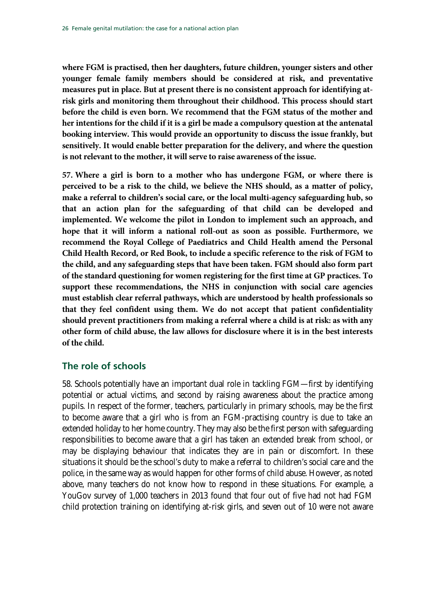**where FGM is practised, then her daughters, future children, younger sisters and other younger female family members should be considered at risk, and preventative measures put in place. But at present there is no consistent approach for identifying atrisk girls and monitoring them throughout their childhood. This process should start before the child is even born. We recommend that the FGM status of the mother and her intentions for the child if it is a girl be made a compulsory question at the antenatal booking interview. This would provide an opportunity to discuss the issue frankly, but sensitively. It would enable better preparation for the delivery, and where the question is not relevant to the mother, it will serve to raise awareness of the issue.**

<span id="page-25-1"></span>**57. Where a girl is born to a mother who has undergone FGM, or where there is perceived to be a risk to the child, we believe the NHS should, as a matter of policy, make a referral to children's social care, or the local multi-agency safeguarding hub, so that an action plan for the safeguarding of that child can be developed and implemented. We welcome the pilot in London to implement such an approach, and hope that it will inform a national roll-out as soon as possible. Furthermore, we recommend the Royal College of Paediatrics and Child Health amend the Personal Child Health Record, or Red Book, to include a specific reference to the risk of FGM to the child, and any safeguarding steps that have been taken. FGM should also form part of the standard questioning for women registering for the first time at GP practices. To support these recommendations, the NHS in conjunction with social care agencies must establish clear referral pathways, which are understood by health professionals so that they feel confident using them. We do not accept that patient confidentiality should prevent practitioners from making a referral where a child is at risk: as with any other form of child abuse, the law allows for disclosure where it is in the best interests of the child.** 

### <span id="page-25-0"></span>**The role of schools**

58. Schools potentially have an important dual role in tackling FGM—first by identifying potential or actual victims, and second by raising awareness about the practice among pupils. In respect of the former, teachers, particularly in primary schools, may be the first to become aware that a girl who is from an FGM-practising country is due to take an extended holiday to her home country. They may also be the first person with safeguarding responsibilities to become aware that a girl has taken an extended break from school, or may be displaying behaviour that indicates they are in pain or discomfort. In these situations it should be the school's duty to make a referral to children's social care and the police, in the same way as would happen for other forms of child abuse. However, as noted above, many teachers do not know how to respond in these situations. For example, a YouGov survey of 1,000 teachers in 2013 found that four out of five had not had FGM child protection training on identifying at-risk girls, and seven out of 10 were not aware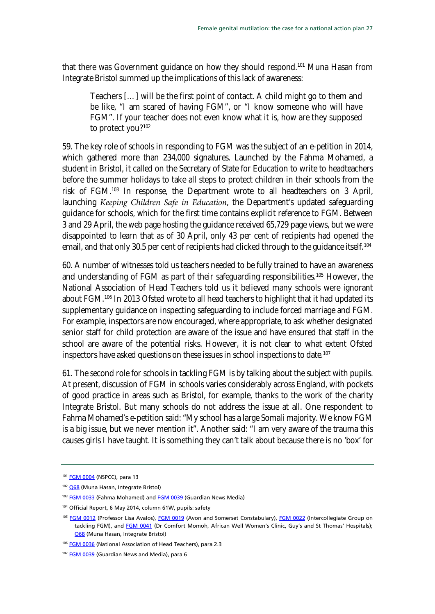that there was Government guidance on how they should respond.<sup>[101](#page-26-0)</sup> Muna Hasan from Integrate Bristol summed up the implications of this lack of awareness:

Teachers […] will be the first point of contact. A child might go to them and be like, "I am scared of having FGM", or "I know someone who will have FGM". If your teacher does not even know what it is, how are they supposed to protect you?<sup>[102](#page-26-0)</sup>

59. The key role of schools in responding to FGM was the subject of an e-petition in 2014, which gathered more than 234,000 signatures. Launched by the Fahma Mohamed, a student in Bristol, it called on the Secretary of State for Education to write to headteachers before the summer holidays to take all steps to protect children in their schools from the risk of FGM.[103](#page-26-0) In response, the Department wrote to all headteachers on 3 April, launching *Keeping Children Safe in Education*, the Department's updated safeguarding guidance for schools, which for the first time contains explicit reference to FGM. Between 3 and 29 April, the web page hosting the guidance received 65,729 page views, but we were disappointed to learn that as of 30 April, only 43 per cent of recipients had opened the email, and that only 30.5 per cent of recipients had clicked through to the guidance itself. [104](#page-26-0)

60. A number of witnesses told us teachers needed to be fully trained to have an awareness and understanding of FGM as part of their safeguarding responsibilities.<sup>[105](#page-26-0)</sup> However, the National Association of Head Teachers told us it believed many schools were ignorant about FGM.<sup>[106](#page-26-0)</sup> In 2013 Ofsted wrote to all head teachers to highlight that it had updated its supplementary guidance on inspecting safeguarding to include forced marriage and FGM. For example, inspectors are now encouraged, where appropriate, to ask whether designated senior staff for child protection are aware of the issue and have ensured that staff in the school are aware of the potential risks. However, it is not clear to what extent Ofsted inspectors have asked questions on these issues in school inspections to date.<sup>[107](#page-26-0)</sup>

61. The second role for schools in tackling FGM is by talking about the subject with pupils. At present, discussion of FGM in schools varies considerably across England, with pockets of good practice in areas such as Bristol, for example, thanks to the work of the charity Integrate Bristol. But many schools do not address the issue at all. One respondent to Fahma Mohamed's e-petition said: "My school has a large Somali majority. We know FGM is a big issue, but we never mention it". Another said: "I am very aware of the trauma this causes girls I have taught. It is something they can't talk about because there is no 'box' for

<span id="page-26-0"></span><sup>101</sup> [FGM 0004](http://data.parliament.uk/writtenevidence/committeeevidence.svc/evidencedocument/home-affairs-committee/female-genital-mutilation/written/6004.pdf) (NSPCC), para 13

<sup>102</sup> [Q68](http://data.parliament.uk/writtenevidence/committeeevidence.svc/evidencedocument/home-affairs-committee/female-genital-mutilation/oral/7419.pdf) (Muna Hasan, Integrate Bristol)

<sup>103</sup> [FGM 0033](http://data.parliament.uk/writtenevidence/committeeevidence.svc/evidencedocument/home-affairs-committee/female-genital-mutilation/written/6064.pdf) (Fahma Mohamed) an[d FGM 0039](http://data.parliament.uk/writtenevidence/committeeevidence.svc/evidencedocument/home-affairs-committee/female-genital-mutilation/written/6082.pdf) (Guardian News Media)

<sup>104</sup> Official Report, 6 May 2014, column 61W, pupils: safety

<sup>&</sup>lt;sup>105</sup> [FGM 0012](http://data.parliament.uk/writtenevidence/committeeevidence.svc/evidencedocument/home-affairs-committee/female-genital-mutilation/written/6018.pdf) (Professor Lisa Avalos), [FGM 0019](http://data.parliament.uk/writtenevidence/committeeevidence.svc/evidencedocument/home-affairs-committee/female-genital-mutilation/written/6033.pdf) (Avon and Somerset Constabulary), [FGM 0022](http://data.parliament.uk/writtenevidence/committeeevidence.svc/evidencedocument/home-affairs-committee/female-genital-mutilation/written/6044.pdf) (Intercollegiate Group on tackling FGM), and **FGM 0041** (Dr Comfort Momoh, African Well Women's Clinic, Guy's and St Thomas' Hospitals); [Q68](http://data.parliament.uk/writtenevidence/committeeevidence.svc/evidencedocument/home-affairs-committee/female-genital-mutilation/oral/7419.pdf) (Muna Hasan, Integrate Bristol)

<sup>106</sup> [FGM 0036](http://data.parliament.uk/writtenevidence/committeeevidence.svc/evidencedocument/home-affairs-committee/female-genital-mutilation/written/6068.pdf) (National Association of Head Teachers), para 2.3

<sup>107</sup> [FGM 0039](http://data.parliament.uk/writtenevidence/committeeevidence.svc/evidencedocument/home-affairs-committee/female-genital-mutilation/written/6082.pdf) (Guardian News and Media), para 6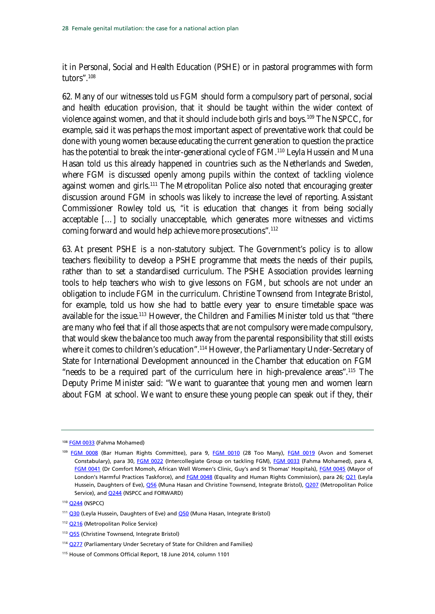it in Personal, Social and Health Education (PSHE) or in pastoral programmes with form tutors".[108](#page-27-0)

62. Many of our witnesses told us FGM should form a compulsory part of personal, social and health education provision, that it should be taught within the wider context of violence against women, and that it should include both girls and boys.[109](#page-27-0) The NSPCC, for example, said it was perhaps the most important aspect of preventative work that could be done with young women because educating the current generation to question the practice has the potential to break the inter-generational cycle of FGM.<sup>[110](#page-27-0)</sup> Leyla Hussein and Muna Hasan told us this already happened in countries such as the Netherlands and Sweden, where FGM is discussed openly among pupils within the context of tackling violence against women and girls.<sup>[111](#page-27-0)</sup> The Metropolitan Police also noted that encouraging greater discussion around FGM in schools was likely to increase the level of reporting. Assistant Commissioner Rowley told us, "it is education that changes it from being socially acceptable […] to socially unacceptable, which generates more witnesses and victims coming forward and would help achieve more prosecutions"[.112](#page-27-0)

63. At present PSHE is a non-statutory subject. The Government's policy is to allow teachers flexibility to develop a PSHE programme that meets the needs of their pupils, rather than to set a standardised curriculum. The PSHE Association provides learning tools to help teachers who wish to give lessons on FGM, but schools are not under an obligation to include FGM in the curriculum. Christine Townsend from Integrate Bristol, for example, told us how she had to battle every year to ensure timetable space was available for the issue.<sup>[113](#page-27-0)</sup> However, the Children and Families Minister told us that "there are many who feel that if all those aspects that are not compulsory were made compulsory, that would skew the balance too much away from the parental responsibility that still exists where it comes to children's education".<sup>[114](#page-27-0)</sup> However, the Parliamentary Under-Secretary of State for International Development announced in the Chamber that education on FGM "needs to be a required part of the curriculum here in high-prevalence areas".[115](#page-27-0) The Deputy Prime Minister said: "We want to guarantee that young men and women learn about FGM at school. We want to ensure these young people can speak out if they, their

<span id="page-27-0"></span><sup>108</sup> [FGM 0033](http://data.parliament.uk/writtenevidence/committeeevidence.svc/evidencedocument/home-affairs-committee/female-genital-mutilation/written/6064.pdf) (Fahma Mohamed)

<sup>&</sup>lt;sup>109</sup> [FGM 0008](http://data.parliament.uk/writtenevidence/committeeevidence.svc/evidencedocument/home-affairs-committee/female-genital-mutilation/written/6009.pdf) (Bar Human Rights Committee), para 9, [FGM 0010](http://data.parliament.uk/writtenevidence/committeeevidence.svc/evidencedocument/home-affairs-committee/female-genital-mutilation/written/6016.pdf) (28 Too Many), [FGM 0019](http://data.parliament.uk/writtenevidence/committeeevidence.svc/evidencedocument/home-affairs-committee/female-genital-mutilation/written/6033.pdf) (Avon and Somerset Constabulary), para 30, [FGM 0022](http://data.parliament.uk/writtenevidence/committeeevidence.svc/evidencedocument/home-affairs-committee/female-genital-mutilation/written/6044.pdf) (Intercollegiate Group on tackling FGM), [FGM 0033](http://data.parliament.uk/writtenevidence/committeeevidence.svc/evidencedocument/home-affairs-committee/female-genital-mutilation/written/6064.pdf) (Fahma Mohamed), para 4, [FGM 0041](http://data.parliament.uk/writtenevidence/committeeevidence.svc/evidencedocument/home-affairs-committee/female-genital-mutilation/written/6085.pdf) (Dr Comfort Momoh, African Well Women's Clinic, Guy's and St Thomas' Hospitals)[, FGM 0045](http://data.parliament.uk/writtenevidence/committeeevidence.svc/evidencedocument/home-affairs-committee/female-genital-mutilation/written/6524.pdf) (Mayor of London's Harmful Practices Taskforce), an[d FGM 0048](http://data.parliament.uk/writtenevidence/committeeevidence.svc/evidencedocument/home-affairs-committee/female-genital-mutilation/written/6532.pdf) (Equality and Human Rights Commission), para 26[; Q21](http://data.parliament.uk/writtenevidence/committeeevidence.svc/evidencedocument/home-affairs-committee/female-genital-mutilation/oral/7419.pdf) (Leyla Hussein, Daughters of Eve)[, Q56](http://data.parliament.uk/writtenevidence/committeeevidence.svc/evidencedocument/home-affairs-committee/female-genital-mutilation/oral/7419.pdf) (Muna Hasan and Christine Townsend, Integrate Bristol), [Q207](http://data.parliament.uk/writtenevidence/committeeevidence.svc/evidencedocument/home-affairs-committee/female-genital-mutilation/oral/9021.pdf) (Metropolitan Police Service), and **Q244** (NSPCC and FORWARD)

<sup>110</sup> [Q244](http://data.parliament.uk/writtenevidence/committeeevidence.svc/evidencedocument/home-affairs-committee/female-genital-mutilation/oral/9021.pdf) (NSPCC)

<sup>&</sup>lt;sup>111</sup> [Q30](http://data.parliament.uk/writtenevidence/committeeevidence.svc/evidencedocument/home-affairs-committee/female-genital-mutilation/oral/7419.pdf) (Leyla Hussein, Daughters of Eve) an[d Q50](http://data.parliament.uk/writtenevidence/committeeevidence.svc/evidencedocument/home-affairs-committee/female-genital-mutilation/oral/7419.pdf) (Muna Hasan, Integrate Bristol)

<sup>&</sup>lt;sup>112</sup> [Q216](http://data.parliament.uk/writtenevidence/committeeevidence.svc/evidencedocument/home-affairs-committee/female-genital-mutilation/oral/9021.pdf) (Metropolitan Police Service)

<sup>113</sup> [Q55](http://data.parliament.uk/writtenevidence/committeeevidence.svc/evidencedocument/home-affairs-committee/female-genital-mutilation/oral/7419.pdf) (Christine Townsend, Integrate Bristol)

<sup>114</sup> [Q277](http://data.parliament.uk/writtenevidence/committeeevidence.svc/evidencedocument/home-affairs-committee/female-genital-mutilation/oral/9021.pdf) (Parliamentary Under Secretary of State for Children and Families)

<sup>115</sup> House of Commons Official Report, 18 June 2014, column 1101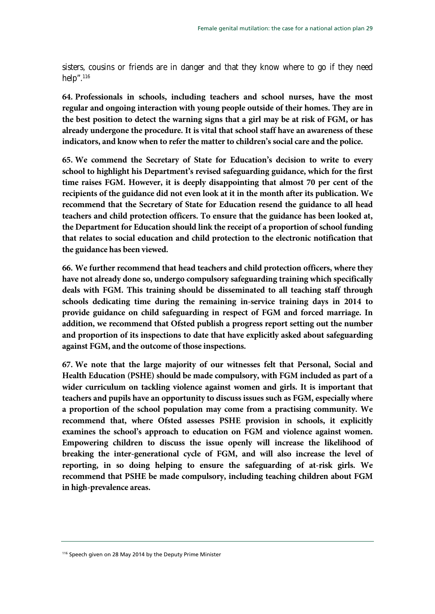sisters, cousins or friends are in danger and that they know where to go if they need help".<sup>[116](#page-28-0)</sup>

**64. Professionals in schools, including teachers and school nurses, have the most regular and ongoing interaction with young people outside of their homes. They are in the best position to detect the warning signs that a girl may be at risk of FGM, or has already undergone the procedure. It is vital that school staff have an awareness of these indicators, and know when to refer the matter to children's social care and the police.** 

**65. We commend the Secretary of State for Education's decision to write to every school to highlight his Department's revised safeguarding guidance, which for the first time raises FGM. However, it is deeply disappointing that almost 70 per cent of the recipients of the guidance did not even look at it in the month after its publication. We recommend that the Secretary of State for Education resend the guidance to all head teachers and child protection officers. To ensure that the guidance has been looked at, the Department for Education should link the receipt of a proportion of school funding that relates to social education and child protection to the electronic notification that the guidance has been viewed.**

**66. We further recommend that head teachers and child protection officers, where they have not already done so, undergo compulsory safeguarding training which specifically deals with FGM. This training should be disseminated to all teaching staff through schools dedicating time during the remaining in-service training days in 2014 to provide guidance on child safeguarding in respect of FGM and forced marriage. In addition, we recommend that Ofsted publish a progress report setting out the number and proportion of its inspections to date that have explicitly asked about safeguarding against FGM, and the outcome of those inspections.** 

<span id="page-28-1"></span>**67. We note that the large majority of our witnesses felt that Personal, Social and Health Education (PSHE) should be made compulsory, with FGM included as part of a wider curriculum on tackling violence against women and girls. It is important that teachers and pupils have an opportunity to discuss issues such as FGM, especially where a proportion of the school population may come from a practising community. We recommend that, where Ofsted assesses PSHE provision in schools, it explicitly examines the school's approach to education on FGM and violence against women. Empowering children to discuss the issue openly will increase the likelihood of breaking the inter-generational cycle of FGM, and will also increase the level of reporting, in so doing helping to ensure the safeguarding of at-risk girls. We recommend that PSHE be made compulsory, including teaching children about FGM in high-prevalence areas.**

<span id="page-28-0"></span><sup>116</sup> Speech given on 28 May 2014 by the Deputy Prime Minister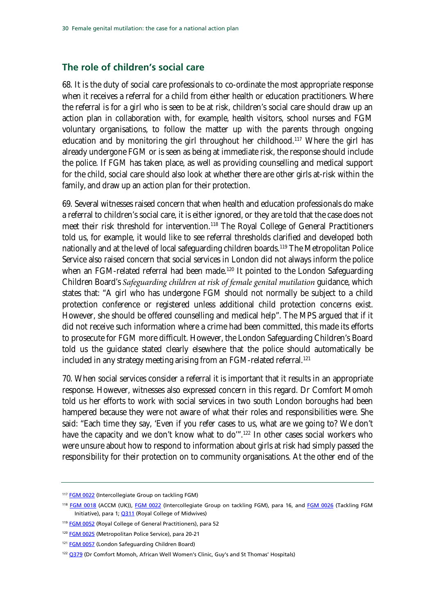#### <span id="page-29-0"></span>**The role of children's social care**

68. It is the duty of social care professionals to co-ordinate the most appropriate response when it receives a referral for a child from either health or education practitioners. Where the referral is for a girl who is seen to be at risk, children's social care should draw up an action plan in collaboration with, for example, health visitors, school nurses and FGM voluntary organisations, to follow the matter up with the parents through ongoing education and by monitoring the girl throughout her childhood.<sup>[117](#page-29-1)</sup> Where the girl has already undergone FGM or is seen as being at immediate risk, the response should include the police. If FGM has taken place, as well as providing counselling and medical support for the child, social care should also look at whether there are other girls at-risk within the family, and draw up an action plan for their protection.

69. Several witnesses raised concern that when health and education professionals do make a referral to children's social care, it is either ignored, or they are told that the case does not meet their risk threshold for intervention.<sup>[118](#page-29-1)</sup> The Royal College of General Practitioners told us, for example, it would like to see referral thresholds clarified and developed both nationally and at the level of local safeguarding children boards.<sup>[119](#page-29-1)</sup> The Metropolitan Police Service also raised concern that social services in London did not always inform the police when an FGM-related referral had been made.<sup>[120](#page-29-1)</sup> It pointed to the London Safequarding Children Board's *Safeguarding children at risk of female genital mutilation* guidance, which states that: "A girl who has undergone FGM should not normally be subject to a child protection conference or registered unless additional child protection concerns exist. However, she should be offered counselling and medical help". The MPS argued that if it did not receive such information where a crime had been committed, this made its efforts to prosecute for FGM more difficult. However, the London Safeguarding Children's Board told us the guidance stated clearly elsewhere that the police should automatically be included in any strategy meeting arising from an FGM-related referral.[121](#page-29-1)

70. When social services consider a referral it is important that it results in an appropriate response. However, witnesses also expressed concern in this regard. Dr Comfort Momoh told us her efforts to work with social services in two south London boroughs had been hampered because they were not aware of what their roles and responsibilities were. She said: "Each time they say, 'Even if you refer cases to us, what are we going to? We don't have the capacity and we don't know what to do'".<sup>[122](#page-29-1)</sup> In other cases social workers who were unsure about how to respond to information about girls at risk had simply passed the responsibility for their protection on to community organisations. At the other end of the

<span id="page-29-1"></span><sup>117</sup> [FGM 0022](http://data.parliament.uk/writtenevidence/committeeevidence.svc/evidencedocument/home-affairs-committee/female-genital-mutilation/written/6044.pdf) (Intercollegiate Group on tackling FGM)

<sup>118</sup> [FGM 0018](http://data.parliament.uk/writtenevidence/committeeevidence.svc/evidencedocument/home-affairs-committee/female-genital-mutilation/written/6032.pdf) (ACCM (UK)), [FGM 0022](http://data.parliament.uk/writtenevidence/committeeevidence.svc/evidencedocument/home-affairs-committee/female-genital-mutilation/written/6044.pdf) (Intercollegiate Group on tackling FGM), para 16, and [FGM 0026](http://data.parliament.uk/writtenevidence/committeeevidence.svc/evidencedocument/home-affairs-committee/female-genital-mutilation/written/6050.pdf) (Tackling FGM Initiative), para 1; [Q311](http://data.parliament.uk/writtenevidence/committeeevidence.svc/evidencedocument/home-affairs-committee/female-genital-mutilation/oral/9447.pdf) (Royal College of Midwives)

<sup>&</sup>lt;sup>119</sup> [FGM 0052](http://data.parliament.uk/writtenevidence/committeeevidence.svc/evidencedocument/home-affairs-committee/female-genital-mutilation/written/6577.pdf) (Royal College of General Practitioners), para 52

<sup>120</sup> [FGM 0025](http://data.parliament.uk/writtenevidence/committeeevidence.svc/evidencedocument/home-affairs-committee/female-genital-mutilation/written/6048.pdf) (Metropolitan Police Service), para 20-21

<sup>121</sup> **[FGM 0057](http://data.parliament.uk/writtenevidence/committeeevidence.svc/evidencedocument/home-affairs-committee/female-genital-mutilation/written/9483.pdf)** (London Safeguarding Children Board)

<sup>&</sup>lt;sup>122</sup> [Q379](http://data.parliament.uk/writtenevidence/committeeevidence.svc/evidencedocument/home-affairs-committee/female-genital-mutilation/oral/9447.pdf) (Dr Comfort Momoh, African Well Women's Clinic, Guy's and St Thomas' Hospitals)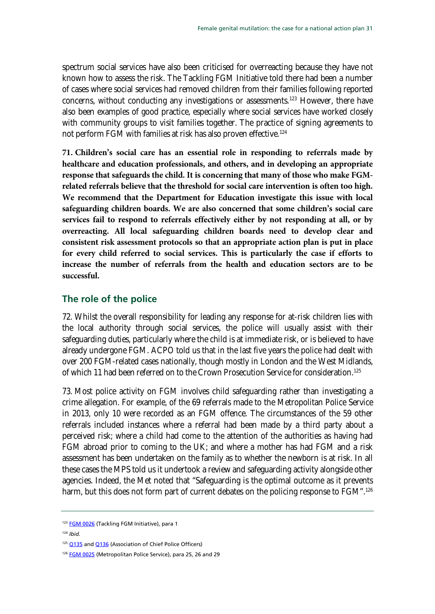spectrum social services have also been criticised for overreacting because they have not known how to assess the risk. The Tackling FGM Initiative told there had been a number of cases where social services had removed children from their families following reported concerns, without conducting any investigations or assessments.[123](#page-30-1) However, there have also been examples of good practice, especially where social services have worked closely with community groups to visit families together. The practice of signing agreements to not perform FGM with families at risk has also proven effective.<sup>[124](#page-30-1)</sup>

<span id="page-30-2"></span>**71. Children's social care has an essential role in responding to referrals made by healthcare and education professionals, and others, and in developing an appropriate response that safeguards the child. It is concerning that many of those who make FGMrelated referrals believe that the threshold for social care intervention is often too high. We recommend that the Department for Education investigate this issue with local safeguarding children boards. We are also concerned that some children's social care services fail to respond to referrals effectively either by not responding at all, or by overreacting. All local safeguarding children boards need to develop clear and consistent risk assessment protocols so that an appropriate action plan is put in place for every child referred to social services. This is particularly the case if efforts to increase the number of referrals from the health and education sectors are to be successful.** 

### <span id="page-30-0"></span>**The role of the police**

72. Whilst the overall responsibility for leading any response for at-risk children lies with the local authority through social services, the police will usually assist with their safeguarding duties, particularly where the child is at immediate risk, or is believed to have already undergone FGM. ACPO told us that in the last five years the police had dealt with over 200 FGM-related cases nationally, though mostly in London and the West Midlands, of which 11 had been referred on to the Crown Prosecution Service for consideration.<sup>[125](#page-30-1)</sup>

73. Most police activity on FGM involves child safeguarding rather than investigating a crime allegation. For example, of the 69 referrals made to the Metropolitan Police Service in 2013, only 10 were recorded as an FGM offence. The circumstances of the 59 other referrals included instances where a referral had been made by a third party about a perceived risk; where a child had come to the attention of the authorities as having had FGM abroad prior to coming to the UK; and where a mother has had FGM and a risk assessment has been undertaken on the family as to whether the newborn is at risk. In all these cases the MPS told us it undertook a review and safeguarding activity alongside other agencies. Indeed, the Met noted that "Safeguarding is the optimal outcome as it prevents harm, but this does not form part of current debates on the policing response to FGM".<sup>[126](#page-30-1)</sup>

<span id="page-30-1"></span><sup>&</sup>lt;sup>123</sup> [FGM 0026](http://data.parliament.uk/writtenevidence/committeeevidence.svc/evidencedocument/home-affairs-committee/female-genital-mutilation/written/6050.pdf) (Tackling FGM Initiative), para 1

<sup>124</sup> *Ibid.*

<sup>&</sup>lt;sup>125</sup> [Q135](http://data.parliament.uk/writtenevidence/committeeevidence.svc/evidencedocument/home-affairs-committee/female-genital-mutilation/oral/9021.pdf) an[d Q136](http://data.parliament.uk/writtenevidence/committeeevidence.svc/evidencedocument/home-affairs-committee/female-genital-mutilation/oral/9021.pdf) (Association of Chief Police Officers)

<sup>126</sup> [FGM 0025](http://data.parliament.uk/writtenevidence/committeeevidence.svc/evidencedocument/home-affairs-committee/female-genital-mutilation/written/6048.pdf) (Metropolitan Police Service), para 25, 26 and 29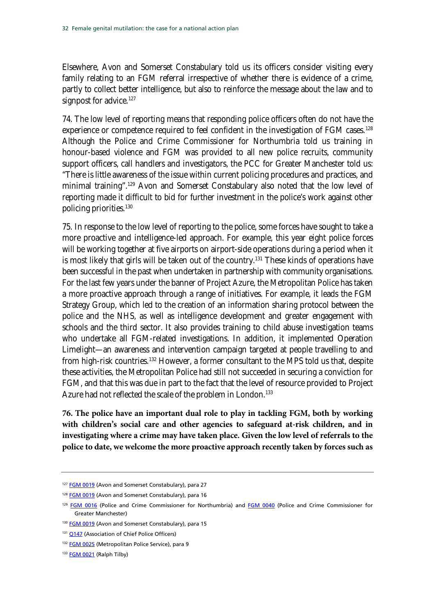Elsewhere, Avon and Somerset Constabulary told us its officers consider visiting every family relating to an FGM referral irrespective of whether there is evidence of a crime, partly to collect better intelligence, but also to reinforce the message about the law and to signpost for advice.<sup>[127](#page-31-0)</sup>

74. The low level of reporting means that responding police officers often do not have the experience or competence required to feel confident in the investigation of FGM cases.<sup>[128](#page-31-0)</sup> Although the Police and Crime Commissioner for Northumbria told us training in honour-based violence and FGM was provided to all new police recruits, community support officers, call handlers and investigators, the PCC for Greater Manchester told us: "There is little awareness of the issue within current policing procedures and practices, and minimal training".[129](#page-31-0) Avon and Somerset Constabulary also noted that the low level of reporting made it difficult to bid for further investment in the police's work against other policing priorities.[130](#page-31-0)

75. In response to the low level of reporting to the police, some forces have sought to take a more proactive and intelligence-led approach. For example, this year eight police forces will be working together at five airports on airport-side operations during a period when it is most likely that girls will be taken out of the country.<sup>[131](#page-31-0)</sup> These kinds of operations have been successful in the past when undertaken in partnership with community organisations. For the last few years under the banner of Project Azure, the Metropolitan Police has taken a more proactive approach through a range of initiatives. For example, it leads the FGM Strategy Group, which led to the creation of an information sharing protocol between the police and the NHS, as well as intelligence development and greater engagement with schools and the third sector. It also provides training to child abuse investigation teams who undertake all FGM-related investigations. In addition, it implemented Operation Limelight—an awareness and intervention campaign targeted at people travelling to and from high-risk countries.[132](#page-31-0) However, a former consultant to the MPS told us that, despite these activities, the Metropolitan Police had still not succeeded in securing a conviction for FGM, and that this was due in part to the fact that the level of resource provided to Project Azure had not reflected the scale of the problem in London.<sup>133</sup>

**76. The police have an important dual role to play in tackling FGM, both by working with children's social care and other agencies to safeguard at-risk children, and in investigating where a crime may have taken place. Given the low level of referrals to the police to date, we welcome the more proactive approach recently taken by forces such as** 

- 130 [FGM 0019](http://data.parliament.uk/writtenevidence/committeeevidence.svc/evidencedocument/home-affairs-committee/female-genital-mutilation/written/6033.pdf) (Avon and Somerset Constabulary), para 15
- 131 [Q147](http://data.parliament.uk/writtenevidence/committeeevidence.svc/evidencedocument/home-affairs-committee/female-genital-mutilation/oral/9021.pdf) (Association of Chief Police Officers)
- 132 [FGM 0025](http://data.parliament.uk/writtenevidence/committeeevidence.svc/evidencedocument/home-affairs-committee/female-genital-mutilation/written/6048.pdf) (Metropolitan Police Service), para 9
- 133 **[FGM 0021](http://data.parliament.uk/writtenevidence/committeeevidence.svc/evidencedocument/home-affairs-committee/female-genital-mutilation/written/6042.pdf)** (Ralph Tilby)

<span id="page-31-0"></span><sup>&</sup>lt;sup>127</sup> [FGM 0019](http://data.parliament.uk/writtenevidence/committeeevidence.svc/evidencedocument/home-affairs-committee/female-genital-mutilation/written/6033.pdf) (Avon and Somerset Constabulary), para 27

<sup>&</sup>lt;sup>128</sup> [FGM 0019](http://data.parliament.uk/writtenevidence/committeeevidence.svc/evidencedocument/home-affairs-committee/female-genital-mutilation/written/6033.pdf) (Avon and Somerset Constabulary), para 16

<sup>&</sup>lt;sup>129</sup> [FGM 0016](http://data.parliament.uk/writtenevidence/committeeevidence.svc/evidencedocument/home-affairs-committee/female-genital-mutilation/written/6029.pdf) (Police and Crime Commissioner for Northumbria) and [FGM 0040](http://data.parliament.uk/writtenevidence/committeeevidence.svc/evidencedocument/home-affairs-committee/female-genital-mutilation/written/6083.pdf) (Police and Crime Commissioner for Greater Manchester)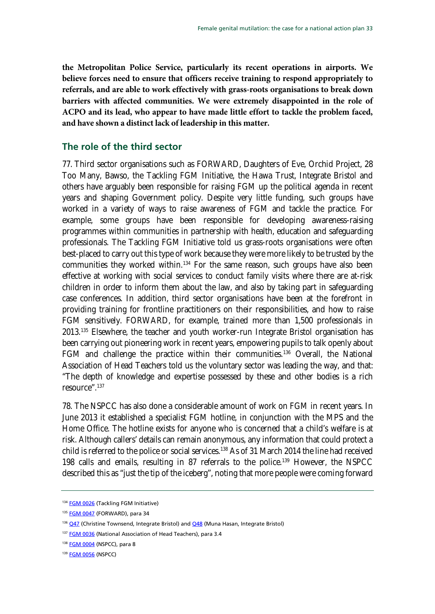**the Metropolitan Police Service, particularly its recent operations in airports. We believe forces need to ensure that officers receive training to respond appropriately to referrals, and are able to work effectively with grass-roots organisations to break down barriers with affected communities. We were extremely disappointed in the role of ACPO and its lead, who appear to have made little effort to tackle the problem faced, and have shown a distinct lack of leadership in this matter.** 

#### <span id="page-32-0"></span>**The role of the third sector**

77. Third sector organisations such as FORWARD, Daughters of Eve, Orchid Project, 28 Too Many, Bawso, the Tackling FGM Initiative, the Hawa Trust, Integrate Bristol and others have arguably been responsible for raising FGM up the political agenda in recent years and shaping Government policy. Despite very little funding, such groups have worked in a variety of ways to raise awareness of FGM and tackle the practice. For example, some groups have been responsible for developing awareness-raising programmes within communities in partnership with health, education and safeguarding professionals. The Tackling FGM Initiative told us grass-roots organisations were often best-placed to carry out this type of work because they were more likely to be trusted by the communities they worked within.<sup>134</sup> For the same reason, such groups have also been effective at working with social services to conduct family visits where there are at-risk children in order to inform them about the law, and also by taking part in safeguarding case conferences. In addition, third sector organisations have been at the forefront in providing training for frontline practitioners on their responsibilities, and how to raise FGM sensitively. FORWARD, for example, trained more than 1,500 professionals in 2013.[135](#page-32-1) Elsewhere, the teacher and youth worker-run Integrate Bristol organisation has been carrying out pioneering work in recent years, empowering pupils to talk openly about FGM and challenge the practice within their communities.<sup>[136](#page-32-1)</sup> Overall, the National Association of Head Teachers told us the voluntary sector was leading the way, and that: "The depth of knowledge and expertise possessed by these and other bodies is a rich resource".[137](#page-32-1)

78. The NSPCC has also done a considerable amount of work on FGM in recent years. In June 2013 it established a specialist FGM hotline, in conjunction with the MPS and the Home Office. The hotline exists for anyone who is concerned that a child's welfare is at risk. Although callers' details can remain anonymous, any information that could protect a child is referred to the police or social services.<sup>[138](#page-32-1)</sup> As of 31 March 2014 the line had received 198 calls and emails, resulting in 87 referrals to the police.<sup>[139](#page-32-1)</sup> However, the NSPCC described this as "just the tip of the iceberg", noting that more people were coming forward

<span id="page-32-1"></span><sup>134</sup> **[FGM 0026](http://data.parliament.uk/writtenevidence/committeeevidence.svc/evidencedocument/home-affairs-committee/female-genital-mutilation/written/6050.pdf)** (Tackling FGM Initiative)

<sup>135</sup> [FGM 0047](http://data.parliament.uk/writtenevidence/committeeevidence.svc/evidencedocument/home-affairs-committee/female-genital-mutilation/written/6531.pdf) (FORWARD), para 34

<sup>&</sup>lt;sup>136</sup> [Q47](http://data.parliament.uk/writtenevidence/committeeevidence.svc/evidencedocument/home-affairs-committee/female-genital-mutilation/oral/7419.pdf) (Christine Townsend, Integrate Bristol) an[d Q48](http://data.parliament.uk/writtenevidence/committeeevidence.svc/evidencedocument/home-affairs-committee/female-genital-mutilation/oral/7419.pdf) (Muna Hasan, Integrate Bristol)

<sup>137</sup> [FGM 0036](http://data.parliament.uk/writtenevidence/committeeevidence.svc/evidencedocument/home-affairs-committee/female-genital-mutilation/written/6068.pdf) (National Association of Head Teachers), para 3.4

<sup>138</sup> [FGM 0004](http://data.parliament.uk/writtenevidence/committeeevidence.svc/evidencedocument/home-affairs-committee/female-genital-mutilation/written/6004.pdf) (NSPCC), para 8

<sup>139</sup> **[FGM 0056](http://data.parliament.uk/writtenevidence/committeeevidence.svc/evidencedocument/home-affairs-committee/female-genital-mutilation/written/9305.pdf)** (NSPCC)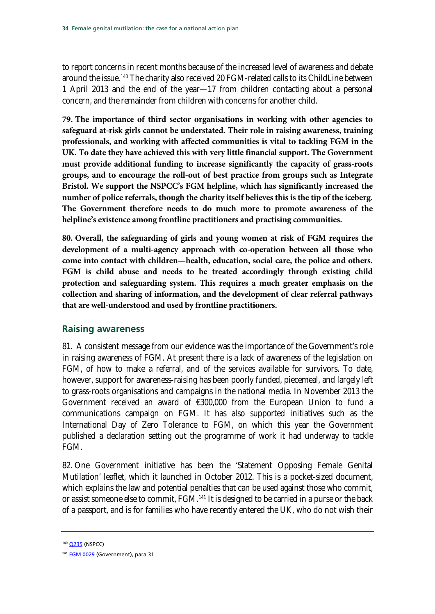to report concerns in recent months because of the increased level of awareness and debate around the issue.<sup>[140](#page-33-1)</sup> The charity also received 20 FGM-related calls to its ChildLine between 1 April 2013 and the end of the year—17 from children contacting about a personal concern, and the remainder from children with concerns for another child.

**79. The importance of third sector organisations in working with other agencies to safeguard at-risk girls cannot be understated. Their role in raising awareness, training professionals, and working with affected communities is vital to tackling FGM in the UK. To date they have achieved this with very little financial support. The Government must provide additional funding to increase significantly the capacity of grass-roots groups, and to encourage the roll-out of best practice from groups such as Integrate Bristol. We support the NSPCC's FGM helpline, which has significantly increased the number of police referrals, though the charity itself believes this is the tip of the iceberg. The Government therefore needs to do much more to promote awareness of the helpline's existence among frontline practitioners and practising communities.** 

<span id="page-33-2"></span>**80. Overall, the safeguarding of girls and young women at risk of FGM requires the development of a multi-agency approach with co-operation between all those who come into contact with children—health, education, social care, the police and others. FGM is child abuse and needs to be treated accordingly through existing child protection and safeguarding system. This requires a much greater emphasis on the collection and sharing of information, and the development of clear referral pathways that are well-understood and used by frontline practitioners.**

### <span id="page-33-0"></span>**Raising awareness**

81. A consistent message from our evidence was the importance of the Government's role in raising awareness of FGM. At present there is a lack of awareness of the legislation on FGM, of how to make a referral, and of the services available for survivors. To date, however, support for awareness-raising has been poorly funded, piecemeal, and largely left to grass-roots organisations and campaigns in the national media. In November 2013 the Government received an award of €300,000 from the European Union to fund a communications campaign on FGM. It has also supported initiatives such as the International Day of Zero Tolerance to FGM, on which this year the Government published a declaration setting out the programme of work it had underway to tackle FGM.

82. One Government initiative has been the 'Statement Opposing Female Genital Mutilation' leaflet, which it launched in October 2012. This is a pocket-sized document, which explains the law and potential penalties that can be used against those who commit, or assist someone else to commit, FGM.<sup>[141](#page-33-1)</sup> It is designed to be carried in a purse or the back of a passport, and is for families who have recently entered the UK, who do not wish their

<span id="page-33-1"></span><sup>140</sup> [Q235](http://data.parliament.uk/writtenevidence/committeeevidence.svc/evidencedocument/home-affairs-committee/female-genital-mutilation/oral/9021.pdf) (NSPCC)

<sup>&</sup>lt;sup>141</sup> [FGM 0029](http://data.parliament.uk/writtenevidence/committeeevidence.svc/evidencedocument/home-affairs-committee/female-genital-mutilation/written/6056.pdf) (Government), para 31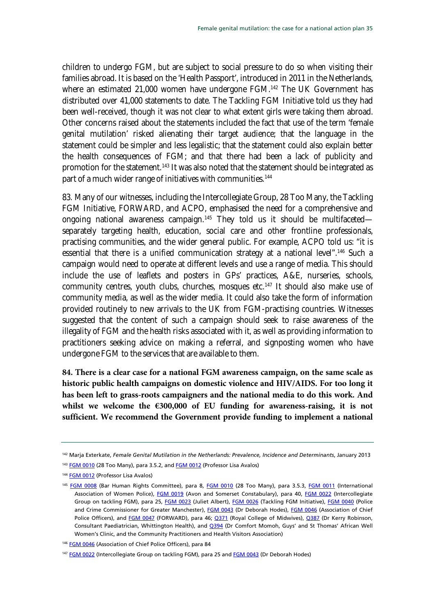children to undergo FGM, but are subject to social pressure to do so when visiting their families abroad. It is based on the 'Health Passport', introduced in 2011 in the Netherlands, where an estimated 21,000 women have undergone FGM.<sup>[142](#page-34-0)</sup> The UK Government has distributed over 41,000 statements to date. The Tackling FGM Initiative told us they had been well-received, though it was not clear to what extent girls were taking them abroad. Other concerns raised about the statements included the fact that use of the term 'female genital mutilation' risked alienating their target audience; that the language in the statement could be simpler and less legalistic; that the statement could also explain better the health consequences of FGM; and that there had been a lack of publicity and promotion for the statement.<sup>[143](#page-34-0)</sup> It was also noted that the statement should be integrated as part of a much wider range of initiatives with communities.<sup>[144](#page-34-0)</sup>

83. Many of our witnesses, including the Intercollegiate Group, 28 Too Many, the Tackling FGM Initiative, FORWARD, and ACPO, emphasised the need for a comprehensive and ongoing national awareness campaign.<sup>[145](#page-34-0)</sup> They told us it should be multifaceted separately targeting health, education, social care and other frontline professionals, practising communities, and the wider general public. For example, ACPO told us: "it is essential that there is a unified communication strategy at a national level".<sup>[146](#page-34-0)</sup> Such a campaign would need to operate at different levels and use a range of media. This should include the use of leaflets and posters in GPs' practices, A&E, nurseries, schools, community centres, youth clubs, churches, mosques etc.<sup>[147](#page-34-0)</sup> It should also make use of community media, as well as the wider media. It could also take the form of information provided routinely to new arrivals to the UK from FGM-practising countries. Witnesses suggested that the content of such a campaign should seek to raise awareness of the illegality of FGM and the health risks associated with it, as well as providing information to practitioners seeking advice on making a referral, and signposting women who have undergone FGM to the services that are available to them.

**84. There is a clear case for a national FGM awareness campaign, on the same scale as historic public health campaigns on domestic violence and HIV/AIDS. For too long it has been left to grass-roots campaigners and the national media to do this work. And whilst we welcome the €300,000 of EU funding for awareness-raising, it is not sufficient. We recommend the Government provide funding to implement a national** 

<span id="page-34-0"></span><sup>142</sup> Marja Exterkate, *Female Genital Mutilation in the Netherlands: Prevalence, Incidence and Determinants*, January 2013

<sup>&</sup>lt;sup>143</sup> [FGM 0010](http://data.parliament.uk/writtenevidence/committeeevidence.svc/evidencedocument/home-affairs-committee/female-genital-mutilation/written/6016.pdf) (28 Too Many), para 3.5.2, an[d FGM 0012](http://data.parliament.uk/writtenevidence/committeeevidence.svc/evidencedocument/home-affairs-committee/female-genital-mutilation/written/6018.pdf) (Professor Lisa Avalos)

<sup>&</sup>lt;sup>144</sup> [FGM 0012](http://data.parliament.uk/writtenevidence/committeeevidence.svc/evidencedocument/home-affairs-committee/female-genital-mutilation/written/6018.pdf) (Professor Lisa Avalos)

<sup>145</sup> [FGM 0008](http://data.parliament.uk/writtenevidence/committeeevidence.svc/evidencedocument/home-affairs-committee/female-genital-mutilation/written/6009.pdf) (Bar Human Rights Committee), para 8, [FGM 0010](http://data.parliament.uk/writtenevidence/committeeevidence.svc/evidencedocument/home-affairs-committee/female-genital-mutilation/written/6016.pdf) (28 Too Many), para 3.5.3, [FGM 0011](http://data.parliament.uk/writtenevidence/committeeevidence.svc/evidencedocument/home-affairs-committee/female-genital-mutilation/written/6017.pdf) (International Association of Women Police), [FGM 0019](http://data.parliament.uk/writtenevidence/committeeevidence.svc/evidencedocument/home-affairs-committee/female-genital-mutilation/written/6033.pdf) (Avon and Somerset Constabulary), para 40, [FGM 0022](http://data.parliament.uk/writtenevidence/committeeevidence.svc/evidencedocument/home-affairs-committee/female-genital-mutilation/written/6044.pdf) (Intercollegiate Group on tackling FGM), para 25, [FGM 0023](http://data.parliament.uk/writtenevidence/committeeevidence.svc/evidencedocument/home-affairs-committee/female-genital-mutilation/written/6046.pdf) (Juliet Albert), [FGM 0026](http://data.parliament.uk/writtenevidence/committeeevidence.svc/evidencedocument/home-affairs-committee/female-genital-mutilation/written/6050.pdf) (Tackling FGM Initiative), [FGM 0040](http://data.parliament.uk/writtenevidence/committeeevidence.svc/evidencedocument/home-affairs-committee/female-genital-mutilation/written/6083.pdf) (Police and Crime Commissioner for Greater Manchester), [FGM 0043](http://data.parliament.uk/writtenevidence/committeeevidence.svc/evidencedocument/home-affairs-committee/female-genital-mutilation/written/6149.pdf) (Dr Deborah Hodes), [FGM 0046](http://data.parliament.uk/writtenevidence/committeeevidence.svc/evidencedocument/home-affairs-committee/female-genital-mutilation/written/6530.pdf) (Association of Chief Police Officers), and [FGM 0047](http://data.parliament.uk/writtenevidence/committeeevidence.svc/evidencedocument/home-affairs-committee/female-genital-mutilation/written/6531.pdf) (FORWARD), para 46; 0371 (Royal College of Midwives), 0387 (Dr Kerry Robinson, Consultant Paediatrician, Whittington Health), and [Q394](http://data.parliament.uk/writtenevidence/committeeevidence.svc/evidencedocument/home-affairs-committee/female-genital-mutilation/oral/9447.pdf) (Dr Comfort Momoh, Guys' and St Thomas' African Well Women's Clinic, and the Community Practitioners and Health Visitors Association)

<sup>&</sup>lt;sup>146</sup> [FGM 0046](http://data.parliament.uk/writtenevidence/committeeevidence.svc/evidencedocument/home-affairs-committee/female-genital-mutilation/written/6530.pdf) (Association of Chief Police Officers), para 84

<sup>&</sup>lt;sup>147</sup> [FGM 0022](http://data.parliament.uk/writtenevidence/committeeevidence.svc/evidencedocument/home-affairs-committee/female-genital-mutilation/written/6044.pdf) (Intercollegiate Group on tackling FGM), para 25 an[d FGM 0043](http://data.parliament.uk/writtenevidence/committeeevidence.svc/evidencedocument/home-affairs-committee/female-genital-mutilation/written/6149.pdf) (Dr Deborah Hodes)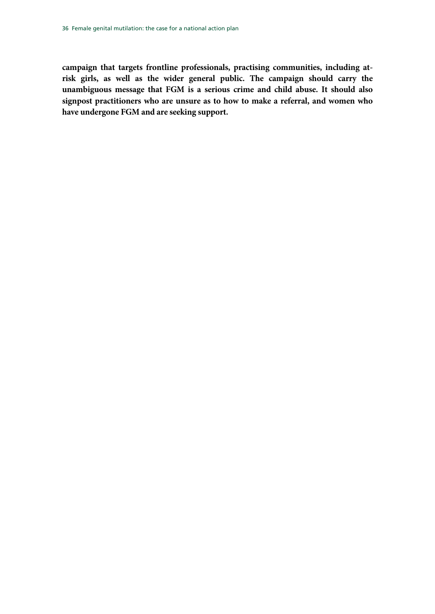**campaign that targets frontline professionals, practising communities, including atrisk girls, as well as the wider general public. The campaign should carry the unambiguous message that FGM is a serious crime and child abuse. It should also signpost practitioners who are unsure as to how to make a referral, and women who have undergone FGM and are seeking support.**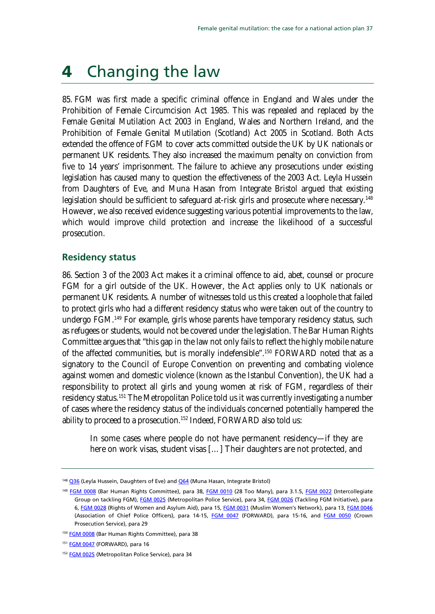# <span id="page-36-0"></span>4 Changing the law

85. FGM was first made a specific criminal offence in England and Wales under the Prohibition of Female Circumcision Act 1985. This was repealed and replaced by the Female Genital Mutilation Act 2003 in England, Wales and Northern Ireland, and the Prohibition of Female Genital Mutilation (Scotland) Act 2005 in Scotland. Both Acts extended the offence of FGM to cover acts committed outside the UK by UK nationals or permanent UK residents. They also increased the maximum penalty on conviction from five to 14 years' imprisonment. The failure to achieve any prosecutions under existing legislation has caused many to question the effectiveness of the 2003 Act. Leyla Hussein from Daughters of Eve, and Muna Hasan from Integrate Bristol argued that existing legislation should be sufficient to safeguard at-risk girls and prosecute where necessary.<sup>[148](#page-36-2)</sup> However, we also received evidence suggesting various potential improvements to the law, which would improve child protection and increase the likelihood of a successful prosecution.

### <span id="page-36-1"></span>**Residency status**

86. Section 3 of the 2003 Act makes it a criminal offence to aid, abet, counsel or procure FGM for a girl outside of the UK. However, the Act applies only to UK nationals or permanent UK residents. A number of witnesses told us this created a loophole that failed to protect girls who had a different residency status who were taken out of the country to undergo FGM.[149](#page-36-2) For example, girls whose parents have temporary residency status, such as refugees or students, would not be covered under the legislation. The Bar Human Rights Committee argues that "this gap in the law not only fails to reflect the highly mobile nature of the affected communities, but is morally indefensible".<sup>[150](#page-36-2)</sup> FORWARD noted that as a signatory to the Council of Europe Convention on preventing and combating violence against women and domestic violence (known as the Istanbul Convention), the UK had a responsibility to protect all girls and young women at risk of FGM, regardless of their residency status.<sup>[151](#page-36-2)</sup> The Metropolitan Police told us it was currently investigating a number of cases where the residency status of the individuals concerned potentially hampered the ability to proceed to a prosecution.[152](#page-36-2) Indeed, FORWARD also told us:

In some cases where people do not have permanent residency—if they are here on work visas, student visas […] Their daughters are not protected, and

<span id="page-36-2"></span><sup>148</sup> [Q36](http://data.parliament.uk/writtenevidence/committeeevidence.svc/evidencedocument/home-affairs-committee/female-genital-mutilation/oral/7419.pdf) (Leyla Hussein, Daughters of Eve) an[d Q64](http://data.parliament.uk/writtenevidence/committeeevidence.svc/evidencedocument/home-affairs-committee/female-genital-mutilation/oral/7419.pdf) (Muna Hasan, Integrate Bristol)

<sup>149</sup> [FGM 0008](http://data.parliament.uk/writtenevidence/committeeevidence.svc/evidencedocument/home-affairs-committee/female-genital-mutilation/written/6009.pdf) (Bar Human Rights Committee), para 38, [FGM 0010](http://data.parliament.uk/writtenevidence/committeeevidence.svc/evidencedocument/home-affairs-committee/female-genital-mutilation/written/6016.pdf) (28 Too Many), para 3.1.5, [FGM 0022](http://data.parliament.uk/writtenevidence/committeeevidence.svc/evidencedocument/home-affairs-committee/female-genital-mutilation/written/6044.pdf) (Intercollegiate Group on tackling FGM)[, FGM 0025](http://data.parliament.uk/writtenevidence/committeeevidence.svc/evidencedocument/home-affairs-committee/female-genital-mutilation/written/6048.pdf) (Metropolitan Police Service), para 34, [FGM 0026](http://data.parliament.uk/writtenevidence/committeeevidence.svc/evidencedocument/home-affairs-committee/female-genital-mutilation/written/6050.pdf) (Tackling FGM Initiative), para 6[, FGM 0028](http://data.parliament.uk/writtenevidence/committeeevidence.svc/evidencedocument/home-affairs-committee/female-genital-mutilation/written/6052.pdf) (Rights of Women and Asylum Aid), para 15[, FGM 0031](http://data.parliament.uk/writtenevidence/committeeevidence.svc/evidencedocument/home-affairs-committee/female-genital-mutilation/written/6058.pdf) (Muslim Women's Network), para 13[, FGM 0046](http://data.parliament.uk/writtenevidence/committeeevidence.svc/evidencedocument/home-affairs-committee/female-genital-mutilation/written/6530.pdf) (Association of Chief Police Officers), para 14-15, [FGM 0047](http://data.parliament.uk/writtenevidence/committeeevidence.svc/evidencedocument/home-affairs-committee/female-genital-mutilation/written/6531.pdf) (FORWARD), para 15-16, and [FGM 0050](http://data.parliament.uk/writtenevidence/committeeevidence.svc/evidencedocument/home-affairs-committee/female-genital-mutilation/written/6536.pdf) (Crown Prosecution Service), para 29

<sup>150</sup> [FGM 0008](http://data.parliament.uk/writtenevidence/committeeevidence.svc/evidencedocument/home-affairs-committee/female-genital-mutilation/written/6009.pdf) (Bar Human Rights Committee), para 38

<sup>151</sup> [FGM 0047](http://data.parliament.uk/writtenevidence/committeeevidence.svc/evidencedocument/home-affairs-committee/female-genital-mutilation/written/6531.pdf) (FORWARD), para 16

<sup>&</sup>lt;sup>152</sup> [FGM 0025](http://data.parliament.uk/writtenevidence/committeeevidence.svc/evidencedocument/home-affairs-committee/female-genital-mutilation/written/6048.pdf) (Metropolitan Police Service), para 34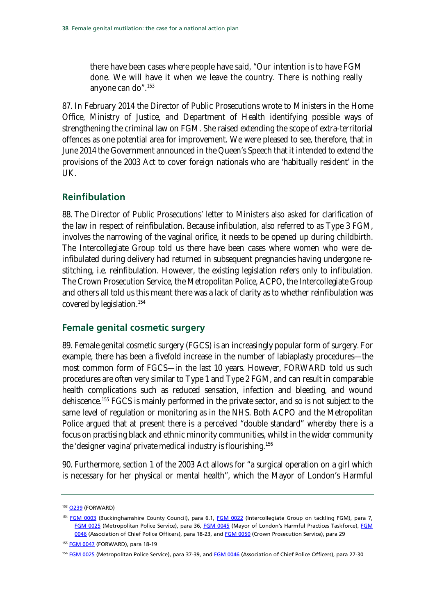there have been cases where people have said, "Our intention is to have FGM done. We will have it when we leave the country. There is nothing really anyone can do".[153](#page-37-2)

87. In February 2014 the Director of Public Prosecutions wrote to Ministers in the Home Office, Ministry of Justice, and Department of Health identifying possible ways of strengthening the criminal law on FGM. She raised extending the scope of extra-territorial offences as one potential area for improvement. We were pleased to see, therefore, that in June 2014 the Government announced in the Queen's Speech that it intended to extend the provisions of the 2003 Act to cover foreign nationals who are 'habitually resident' in the UK.

### <span id="page-37-0"></span>**Reinfibulation**

88. The Director of Public Prosecutions' letter to Ministers also asked for clarification of the law in respect of reinfibulation. Because infibulation, also referred to as Type 3 FGM, involves the narrowing of the vaginal orifice, it needs to be opened up during childbirth. The Intercollegiate Group told us there have been cases where women who were deinfibulated during delivery had returned in subsequent pregnancies having undergone restitching, i.e. reinfibulation. However, the existing legislation refers only to infibulation. The Crown Prosecution Service, the Metropolitan Police, ACPO, the Intercollegiate Group and others all told us this meant there was a lack of clarity as to whether reinfibulation was covered by legislation.[154](#page-37-2)

### <span id="page-37-1"></span>**Female genital cosmetic surgery**

89. Female genital cosmetic surgery (FGCS) is an increasingly popular form of surgery. For example, there has been a fivefold increase in the number of labiaplasty procedures—the most common form of FGCS—in the last 10 years. However, FORWARD told us such procedures are often very similar to Type 1 and Type 2 FGM, and can result in comparable health complications such as reduced sensation, infection and bleeding, and wound dehiscence.<sup>[155](#page-37-2)</sup> FGCS is mainly performed in the private sector, and so is not subject to the same level of regulation or monitoring as in the NHS. Both ACPO and the Metropolitan Police argued that at present there is a perceived "double standard" whereby there is a focus on practising black and ethnic minority communities, whilst in the wider community the 'designer vagina' private medical industry is flourishing.[156](#page-37-2)

90. Furthermore, section 1 of the 2003 Act allows for "a surgical operation on a girl which is necessary for her physical or mental health", which the Mayor of London's Harmful

<span id="page-37-2"></span><sup>153</sup> [Q239](http://data.parliament.uk/writtenevidence/committeeevidence.svc/evidencedocument/home-affairs-committee/female-genital-mutilation/oral/9021.pdf) (FORWARD)

<sup>154</sup> [FGM 0003](http://data.parliament.uk/writtenevidence/committeeevidence.svc/evidencedocument/home-affairs-committee/female-genital-mutilation/written/5979.pdf) (Buckinghamshire County Council), para 6.1, [FGM 0022](http://data.parliament.uk/writtenevidence/committeeevidence.svc/evidencedocument/home-affairs-committee/female-genital-mutilation/written/6044.pdf) (Intercollegiate Group on tackling FGM), para 7, [FGM 0025](http://data.parliament.uk/writtenevidence/committeeevidence.svc/evidencedocument/home-affairs-committee/female-genital-mutilation/written/6048.pdf) (Metropolitan Police Service), para 36, [FGM 0045](http://data.parliament.uk/writtenevidence/committeeevidence.svc/evidencedocument/home-affairs-committee/female-genital-mutilation/written/6524.pdf) (Mayor of London's Harmful Practices Taskforce), FGM [0046](http://data.parliament.uk/writtenevidence/committeeevidence.svc/evidencedocument/home-affairs-committee/female-genital-mutilation/written/6530.pdf) (Association of Chief Police Officers), para 18-23, and [FGM 0050](http://data.parliament.uk/writtenevidence/committeeevidence.svc/evidencedocument/home-affairs-committee/female-genital-mutilation/written/6536.pdf) (Crown Prosecution Service), para 29

<sup>155</sup> [FGM 0047](http://data.parliament.uk/writtenevidence/committeeevidence.svc/evidencedocument/home-affairs-committee/female-genital-mutilation/written/6531.pdf) (FORWARD), para 18-19

<sup>&</sup>lt;sup>156</sup> [FGM 0025](http://data.parliament.uk/writtenevidence/committeeevidence.svc/evidencedocument/home-affairs-committee/female-genital-mutilation/written/6048.pdf) (Metropolitan Police Service), para 37-39, and [FGM 0046](http://data.parliament.uk/writtenevidence/committeeevidence.svc/evidencedocument/home-affairs-committee/female-genital-mutilation/written/6530.pdf) (Association of Chief Police Officers), para 27-30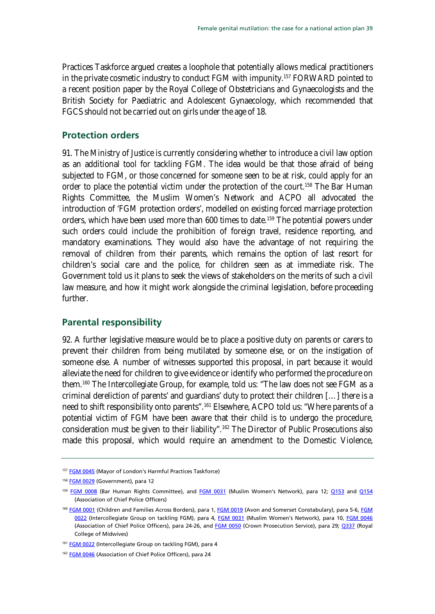Practices Taskforce argued creates a loophole that potentially allows medical practitioners in the private cosmetic industry to conduct FGM with impunity.[157](#page-38-2) FORWARD pointed to a recent position paper by the Royal College of Obstetricians and Gynaecologists and the British Society for Paediatric and Adolescent Gynaecology, which recommended that FGCS should not be carried out on girls under the age of 18.

### <span id="page-38-0"></span>**Protection orders**

91. The Ministry of Justice is currently considering whether to introduce a civil law option as an additional tool for tackling FGM. The idea would be that those afraid of being subjected to FGM, or those concerned for someone seen to be at risk, could apply for an order to place the potential victim under the protection of the court.<sup>[158](#page-38-2)</sup> The Bar Human Rights Committee, the Muslim Women's Network and ACPO all advocated the introduction of 'FGM protection orders', modelled on existing forced marriage protection orders, which have been used more than 600 times to date.[159](#page-38-2) The potential powers under such orders could include the prohibition of foreign travel, residence reporting, and mandatory examinations. They would also have the advantage of not requiring the removal of children from their parents, which remains the option of last resort for children's social care and the police, for children seen as at immediate risk. The Government told us it plans to seek the views of stakeholders on the merits of such a civil law measure, and how it might work alongside the criminal legislation, before proceeding further.

### <span id="page-38-1"></span>**Parental responsibility**

92. A further legislative measure would be to place a positive duty on parents or carers to prevent their children from being mutilated by someone else, or on the instigation of someone else. A number of witnesses supported this proposal, in part because it would alleviate the need for children to give evidence or identify who performed the procedure on them.[160](#page-38-2) The Intercollegiate Group, for example, told us: "The law does not see FGM as a criminal dereliction of parents' and guardians' duty to protect their children […] there is a need to shift responsibility onto parents".<sup>[161](#page-38-2)</sup> Elsewhere, ACPO told us: "Where parents of a potential victim of FGM have been aware that their child is to undergo the procedure, consideration must be given to their liability".[162](#page-38-2) The Director of Public Prosecutions also made this proposal, which would require an amendment to the Domestic Violence,

<span id="page-38-2"></span><sup>&</sup>lt;sup>157</sup> [FGM 0045](http://data.parliament.uk/writtenevidence/committeeevidence.svc/evidencedocument/home-affairs-committee/female-genital-mutilation/written/6524.pdf) (Mayor of London's Harmful Practices Taskforce)

<sup>&</sup>lt;sup>158</sup> [FGM 0029](http://data.parliament.uk/writtenevidence/committeeevidence.svc/evidencedocument/home-affairs-committee/female-genital-mutilation/written/6056.pdf) (Government), para 12

<sup>159</sup> [FGM 0008](http://data.parliament.uk/writtenevidence/committeeevidence.svc/evidencedocument/home-affairs-committee/female-genital-mutilation/written/6009.pdf) (Bar Human Rights Committee), and [FGM 0031](http://data.parliament.uk/writtenevidence/committeeevidence.svc/evidencedocument/home-affairs-committee/female-genital-mutilation/written/6058.pdf) (Muslim Women's Network), para 12; [Q153](http://data.parliament.uk/writtenevidence/committeeevidence.svc/evidencedocument/home-affairs-committee/female-genital-mutilation/oral/9021.pdf) and [Q154](http://data.parliament.uk/writtenevidence/committeeevidence.svc/evidencedocument/home-affairs-committee/female-genital-mutilation/oral/9021.pdf) (Association of Chief Police Officers)

<sup>160</sup> [FGM 0001](http://data.parliament.uk/writtenevidence/committeeevidence.svc/evidencedocument/home-affairs-committee/female-genital-mutilation/written/4910.pdf) (Children and Families Across Borders), para 1[, FGM 0019](http://data.parliament.uk/writtenevidence/committeeevidence.svc/evidencedocument/home-affairs-committee/female-genital-mutilation/written/6033.pdf) (Avon and Somerset Constabulary), para 5-6, [FGM](http://data.parliament.uk/writtenevidence/committeeevidence.svc/evidencedocument/home-affairs-committee/female-genital-mutilation/written/6044.pdf)  [0022](http://data.parliament.uk/writtenevidence/committeeevidence.svc/evidencedocument/home-affairs-committee/female-genital-mutilation/written/6044.pdf) (Intercollegiate Group on tackling FGM), para 4, [FGM 0031](http://data.parliament.uk/writtenevidence/committeeevidence.svc/evidencedocument/home-affairs-committee/female-genital-mutilation/written/6058.pdf) (Muslim Women's Network), para 10, [FGM 0046](http://data.parliament.uk/writtenevidence/committeeevidence.svc/evidencedocument/home-affairs-committee/female-genital-mutilation/written/6530.pdf) (Association of Chief Police Officers), para 24-26, and [FGM 0050](http://data.parliament.uk/writtenevidence/committeeevidence.svc/evidencedocument/home-affairs-committee/female-genital-mutilation/written/6536.pdf) (Crown Prosecution Service), para 29; [Q337](http://data.parliament.uk/writtenevidence/committeeevidence.svc/evidencedocument/home-affairs-committee/female-genital-mutilation/oral/9447.pdf) (Royal College of Midwives)

<sup>161</sup> [FGM 0022](http://data.parliament.uk/writtenevidence/committeeevidence.svc/evidencedocument/home-affairs-committee/female-genital-mutilation/written/6044.pdf) (Intercollegiate Group on tackling FGM), para 4

<sup>&</sup>lt;sup>162</sup> [FGM 0046](http://data.parliament.uk/writtenevidence/committeeevidence.svc/evidencedocument/home-affairs-committee/female-genital-mutilation/written/6530.pdf) (Association of Chief Police Officers), para 24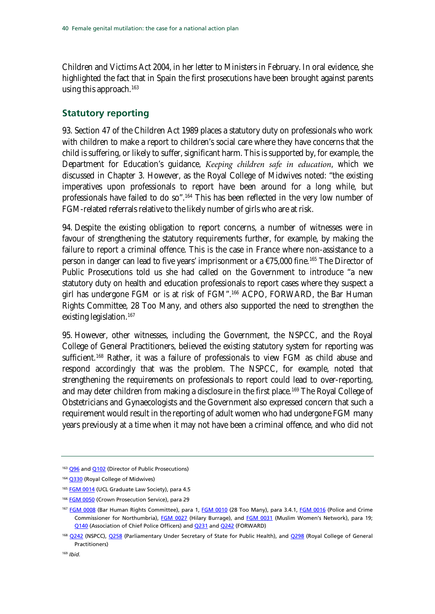Children and Victims Act 2004, in her letter to Ministers in February. In oral evidence, she highlighted the fact that in Spain the first prosecutions have been brought against parents using this approach.<sup>[163](#page-39-1)</sup>

### <span id="page-39-0"></span>**Statutory reporting**

93. Section 47 of the Children Act 1989 places a statutory duty on professionals who work with children to make a report to children's social care where they have concerns that the child is suffering, or likely to suffer, significant harm. This is supported by, for example, the Department for Education's guidance, *Keeping children safe in education*, which we discussed in Chapter 3. However, as the Royal College of Midwives noted: "the existing imperatives upon professionals to report have been around for a long while, but professionals have failed to do so".<sup>[164](#page-39-1)</sup> This has been reflected in the very low number of FGM-related referrals relative to the likely number of girls who are at risk.

94. Despite the existing obligation to report concerns, a number of witnesses were in favour of strengthening the statutory requirements further, for example, by making the failure to report a criminal offence. This is the case in France where non-assistance to a person in danger can lead to five years' imprisonment or a €75,000 fine.<sup>[165](#page-39-1)</sup> The Director of Public Prosecutions told us she had called on the Government to introduce "a new statutory duty on health and education professionals to report cases where they suspect a girl has undergone FGM or is at risk of FGM".[166](#page-39-1) ACPO, FORWARD, the Bar Human Rights Committee, 28 Too Many, and others also supported the need to strengthen the existing legislation.<sup>[167](#page-39-1)</sup>

95. However, other witnesses, including the Government, the NSPCC, and the Royal College of General Practitioners, believed the existing statutory system for reporting was sufficient.<sup>[168](#page-39-1)</sup> Rather, it was a failure of professionals to view FGM as child abuse and respond accordingly that was the problem. The NSPCC, for example, noted that strengthening the requirements on professionals to report could lead to over-reporting, and may deter children from making a disclosure in the first place.<sup>[169](#page-39-1)</sup> The Royal College of Obstetricians and Gynaecologists and the Government also expressed concern that such a requirement would result in the reporting of adult women who had undergone FGM many years previously at a time when it may not have been a criminal offence, and who did not

<span id="page-39-1"></span><sup>&</sup>lt;sup>163</sup> [Q96](http://data.parliament.uk/writtenevidence/committeeevidence.svc/evidencedocument/home-affairs-committee/female-genital-mutilation/oral/8083.pdf) an[d Q102](http://data.parliament.uk/writtenevidence/committeeevidence.svc/evidencedocument/home-affairs-committee/female-genital-mutilation/oral/8083.pdf) (Director of Public Prosecutions)

<sup>164</sup> [Q330](http://data.parliament.uk/writtenevidence/committeeevidence.svc/evidencedocument/home-affairs-committee/female-genital-mutilation/oral/9447.pdf) (Royal College of Midwives)

<sup>&</sup>lt;sup>165</sup> [FGM 0014](http://data.parliament.uk/writtenevidence/committeeevidence.svc/evidencedocument/home-affairs-committee/female-genital-mutilation/written/6027.pdf) (UCL Graduate Law Society), para 4.5

<sup>&</sup>lt;sup>166</sup> [FGM 0050](http://data.parliament.uk/writtenevidence/committeeevidence.svc/evidencedocument/home-affairs-committee/female-genital-mutilation/written/6536.pdf) (Crown Prosecution Service), para 29

<sup>167</sup> [FGM 0008](http://data.parliament.uk/writtenevidence/committeeevidence.svc/evidencedocument/home-affairs-committee/female-genital-mutilation/written/6009.pdf) (Bar Human Rights Committee), para 1, [FGM 0010](http://data.parliament.uk/writtenevidence/committeeevidence.svc/evidencedocument/home-affairs-committee/female-genital-mutilation/written/6016.pdf) (28 Too Many), para 3.4.1, [FGM 0016](http://data.parliament.uk/writtenevidence/committeeevidence.svc/evidencedocument/home-affairs-committee/female-genital-mutilation/written/6029.pdf) (Police and Crime Commissioner for Northumbria), [FGM 0027](http://data.parliament.uk/writtenevidence/committeeevidence.svc/evidencedocument/home-affairs-committee/female-genital-mutilation/written/6051.pdf) (Hilary Burrage), and [FGM 0031](http://data.parliament.uk/writtenevidence/committeeevidence.svc/evidencedocument/home-affairs-committee/female-genital-mutilation/written/6058.pdf) (Muslim Women's Network), para 19; [Q140](http://data.parliament.uk/writtenevidence/committeeevidence.svc/evidencedocument/home-affairs-committee/female-genital-mutilation/oral/9021.pdf) (Association of Chief Police Officers) an[d Q231](http://data.parliament.uk/writtenevidence/committeeevidence.svc/evidencedocument/home-affairs-committee/female-genital-mutilation/oral/9021.pdf) an[d Q242](http://data.parliament.uk/writtenevidence/committeeevidence.svc/evidencedocument/home-affairs-committee/female-genital-mutilation/oral/9021.pdf) (FORWARD)

<sup>168</sup> [Q242](http://data.parliament.uk/writtenevidence/committeeevidence.svc/evidencedocument/home-affairs-committee/female-genital-mutilation/oral/9021.pdf) (NSPCC), [Q258](http://data.parliament.uk/writtenevidence/committeeevidence.svc/evidencedocument/home-affairs-committee/female-genital-mutilation/oral/9021.pdf) (Parliamentary Under Secretary of State for Public Health), and [Q298](http://data.parliament.uk/writtenevidence/committeeevidence.svc/evidencedocument/home-affairs-committee/female-genital-mutilation/oral/9447.pdf) (Royal College of General Practitioners)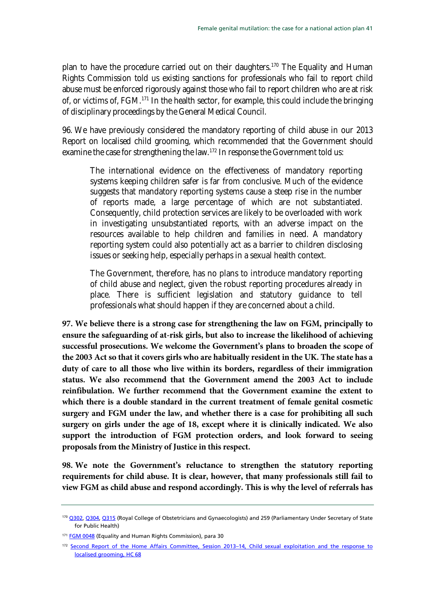plan to have the procedure carried out on their daughters.<sup>[170](#page-40-0)</sup> The Equality and Human Rights Commission told us existing sanctions for professionals who fail to report child abuse must be enforced rigorously against those who fail to report children who are at risk of, or victims of, FGM.[171](#page-40-0) In the health sector, for example, this could include the bringing of disciplinary proceedings by the General Medical Council.

96. We have previously considered the mandatory reporting of child abuse in our 2013 Report on localised child grooming, which recommended that the Government should examine the case for strengthening the law.<sup>[172](#page-40-0)</sup> In response the Government told us:

The international evidence on the effectiveness of mandatory reporting systems keeping children safer is far from conclusive. Much of the evidence suggests that mandatory reporting systems cause a steep rise in the number of reports made, a large percentage of which are not substantiated. Consequently, child protection services are likely to be overloaded with work in investigating unsubstantiated reports, with an adverse impact on the resources available to help children and families in need. A mandatory reporting system could also potentially act as a barrier to children disclosing issues or seeking help, especially perhaps in a sexual health context.

The Government, therefore, has no plans to introduce mandatory reporting of child abuse and neglect, given the robust reporting procedures already in place. There is sufficient legislation and statutory guidance to tell professionals what should happen if they are concerned about a child.

**97. We believe there is a strong case for strengthening the law on FGM, principally to ensure the safeguarding of at-risk girls, but also to increase the likelihood of achieving successful prosecutions. We welcome the Government's plans to broaden the scope of the 2003 Act so that it covers girls who are habitually resident in the UK. The state has a duty of care to all those who live within its borders, regardless of their immigration status. We also recommend that the Government amend the 2003 Act to include reinfibulation. We further recommend that the Government examine the extent to which there is a double standard in the current treatment of female genital cosmetic surgery and FGM under the law, and whether there is a case for prohibiting all such surgery on girls under the age of 18, except where it is clinically indicated. We also support the introduction of FGM protection orders, and look forward to seeing proposals from the Ministry of Justice in this respect.** 

**98. We note the Government's reluctance to strengthen the statutory reporting requirements for child abuse. It is clear, however, that many professionals still fail to view FGM as child abuse and respond accordingly. This is why the level of referrals has** 

<span id="page-40-0"></span><sup>170</sup> [Q302, Q304, Q315](http://data.parliament.uk/writtenevidence/committeeevidence.svc/evidencedocument/home-affairs-committee/female-genital-mutilation/oral/9447.pdf) (Royal College of Obstetricians and Gynaecologists) and 259 (Parliamentary Under Secretary of State for Public Health)

<sup>&</sup>lt;sup>171</sup> [FGM 0048](http://data.parliament.uk/writtenevidence/committeeevidence.svc/evidencedocument/home-affairs-committee/female-genital-mutilation/written/6532.pdf) (Equality and Human Rights Commission), para 30

<sup>172</sup> Second Report of the Home Affairs Committee, Session 2013-14, Child sexual exploitation and the response to [localised grooming, HC 68](http://www.publications.parliament.uk/pa/cm201314/cmselect/cmhaff/68/68i.pdf)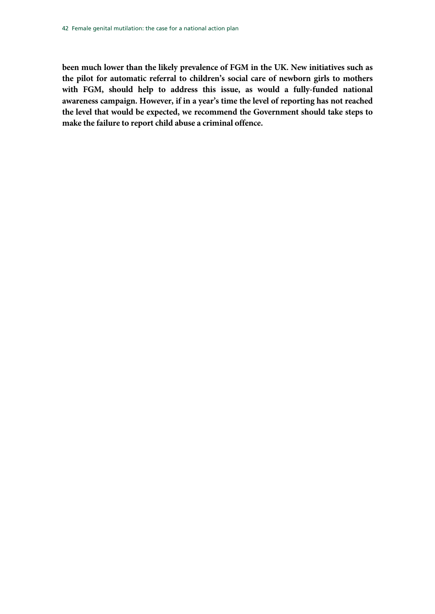**been much lower than the likely prevalence of FGM in the UK. New initiatives such as the pilot for automatic referral to children's social care of newborn girls to mothers with FGM, should help to address this issue, as would a fully-funded national awareness campaign. However, if in a year's time the level of reporting has not reached the level that would be expected, we recommend the Government should take steps to make the failure to report child abuse a criminal offence.**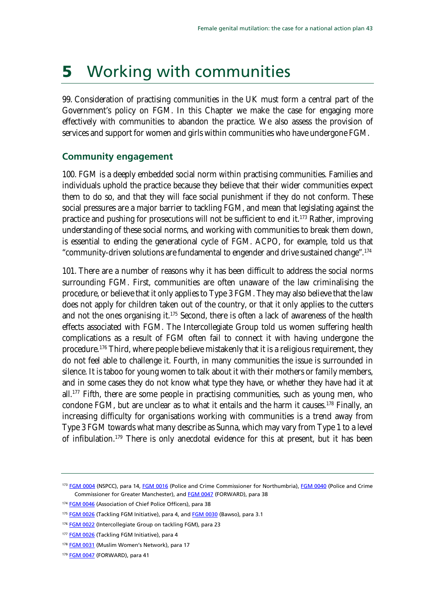## <span id="page-42-0"></span>5 Working with communities

99. Consideration of practising communities in the UK must form a central part of the Government's policy on FGM. In this Chapter we make the case for engaging more effectively with communities to abandon the practice. We also assess the provision of services and support for women and girls within communities who have undergone FGM.

### <span id="page-42-1"></span>**Community engagement**

100. FGM is a deeply embedded social norm within practising communities. Families and individuals uphold the practice because they believe that their wider communities expect them to do so, and that they will face social punishment if they do not conform. These social pressures are a major barrier to tackling FGM, and mean that legislating against the practice and pushing for prosecutions will not be sufficient to end it.[173](#page-42-2) Rather, improving understanding of these social norms, and working with communities to break them down, is essential to ending the generational cycle of FGM. ACPO, for example, told us that "community-driven solutions are fundamental to engender and drive sustained change".[174](#page-42-2)

101. There are a number of reasons why it has been difficult to address the social norms surrounding FGM. First, communities are often unaware of the law criminalising the procedure, or believe that it only applies to Type 3 FGM. They may also believe that the law does not apply for children taken out of the country, or that it only applies to the cutters and not the ones organising it.<sup>[175](#page-42-2)</sup> Second, there is often a lack of awareness of the health effects associated with FGM. The Intercollegiate Group told us women suffering health complications as a result of FGM often fail to connect it with having undergone the procedure.<sup>[176](#page-42-2)</sup> Third, where people believe mistakenly that it is a religious requirement, they do not feel able to challenge it. Fourth, in many communities the issue is surrounded in silence. It is taboo for young women to talk about it with their mothers or family members, and in some cases they do not know what type they have, or whether they have had it at all.[177](#page-42-2) Fifth, there are some people in practising communities, such as young men, who condone FGM, but are unclear as to what it entails and the harm it causes.[178](#page-42-2) Finally, an increasing difficulty for organisations working with communities is a trend away from Type 3 FGM towards what many describe as Sunna, which may vary from Type 1 to a level of infibulation.<sup>[179](#page-42-2)</sup> There is only anecdotal evidence for this at present, but it has been

<span id="page-42-2"></span><sup>173</sup> [FGM 0004](http://data.parliament.uk/writtenevidence/committeeevidence.svc/evidencedocument/home-affairs-committee/female-genital-mutilation/written/6004.pdf) (NSPCC), para 14, [FGM 0016](http://data.parliament.uk/writtenevidence/committeeevidence.svc/evidencedocument/home-affairs-committee/female-genital-mutilation/written/6029.pdf) (Police and Crime Commissioner for Northumbria)[, FGM 0040](http://data.parliament.uk/writtenevidence/committeeevidence.svc/evidencedocument/home-affairs-committee/female-genital-mutilation/written/6083.pdf) (Police and Crime Commissioner for Greater Manchester), and **FGM 0047** (FORWARD), para 38

<sup>&</sup>lt;sup>174</sup> [FGM 0046](http://data.parliament.uk/writtenevidence/committeeevidence.svc/evidencedocument/home-affairs-committee/female-genital-mutilation/written/6530.pdf) (Association of Chief Police Officers), para 38

<sup>&</sup>lt;sup>175</sup> [FGM 0026](http://data.parliament.uk/writtenevidence/committeeevidence.svc/evidencedocument/home-affairs-committee/female-genital-mutilation/written/6050.pdf) (Tackling FGM Initiative), para 4, an[d FGM 0030](http://data.parliament.uk/writtenevidence/committeeevidence.svc/evidencedocument/home-affairs-committee/female-genital-mutilation/written/6057.pdf) (Bawso), para 3.1

<sup>&</sup>lt;sup>176</sup> [FGM 0022](http://data.parliament.uk/writtenevidence/committeeevidence.svc/evidencedocument/home-affairs-committee/female-genital-mutilation/written/6044.pdf) (Intercollegiate Group on tackling FGM), para 23

<sup>177</sup> [FGM 0026](http://data.parliament.uk/writtenevidence/committeeevidence.svc/evidencedocument/home-affairs-committee/female-genital-mutilation/written/6050.pdf) (Tackling FGM Initiative), para 4

<sup>&</sup>lt;sup>178</sup> [FGM 0031](http://data.parliament.uk/writtenevidence/committeeevidence.svc/evidencedocument/home-affairs-committee/female-genital-mutilation/written/6058.pdf) (Muslim Women's Network), para 17

<sup>179</sup> [FGM 0047](http://data.parliament.uk/writtenevidence/committeeevidence.svc/evidencedocument/home-affairs-committee/female-genital-mutilation/written/6531.pdf) (FORWARD), para 41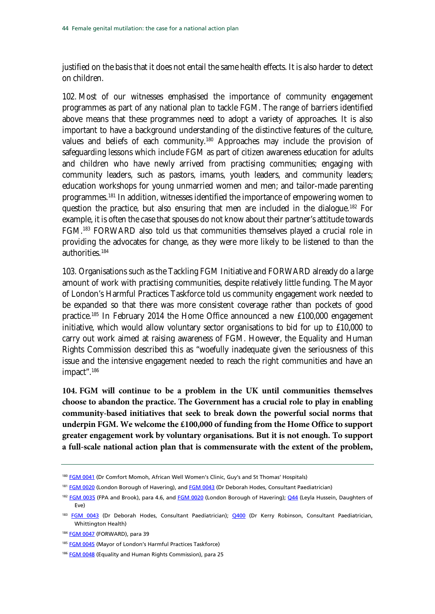justified on the basis that it does not entail the same health effects. It is also harder to detect on children.

102. Most of our witnesses emphasised the importance of community engagement programmes as part of any national plan to tackle FGM. The range of barriers identified above means that these programmes need to adopt a variety of approaches. It is also important to have a background understanding of the distinctive features of the culture, values and beliefs of each community.<sup>[180](#page-43-0)</sup> Approaches may include the provision of safeguarding lessons which include FGM as part of citizen awareness education for adults and children who have newly arrived from practising communities; engaging with community leaders, such as pastors, imams, youth leaders, and community leaders; education workshops for young unmarried women and men; and tailor-made parenting programmes.<sup>[181](#page-43-0)</sup> In addition, witnesses identified the importance of empowering women to question the practice, but also ensuring that men are included in the dialogue.[182](#page-43-0) For example, it is often the case that spouses do not know about their partner's attitude towards FGM.[183](#page-43-0) FORWARD also told us that communities themselves played a crucial role in providing the advocates for change, as they were more likely to be listened to than the authorities.[184](#page-43-0)

103. Organisations such as the Tackling FGM Initiative and FORWARD already do a large amount of work with practising communities, despite relatively little funding. The Mayor of London's Harmful Practices Taskforce told us community engagement work needed to be expanded so that there was more consistent coverage rather than pockets of good practice.[185](#page-43-0) In February 2014 the Home Office announced a new £100,000 engagement initiative, which would allow voluntary sector organisations to bid for up to £10,000 to carry out work aimed at raising awareness of FGM. However, the Equality and Human Rights Commission described this as "woefully inadequate given the seriousness of this issue and the intensive engagement needed to reach the right communities and have an impact".<sup>[186](#page-43-0)</sup>

<span id="page-43-1"></span>**104. FGM will continue to be a problem in the UK until communities themselves choose to abandon the practice. The Government has a crucial role to play in enabling community-based initiatives that seek to break down the powerful social norms that underpin FGM. We welcome the £100,000 of funding from the Home Office to support greater engagement work by voluntary organisations. But it is not enough. To support a full-scale national action plan that is commensurate with the extent of the problem,** 

<sup>184</sup> [FGM 0047](http://data.parliament.uk/writtenevidence/committeeevidence.svc/evidencedocument/home-affairs-committee/female-genital-mutilation/written/6531.pdf) (FORWARD), para 39

<span id="page-43-0"></span><sup>180</sup> [FGM 0041](http://data.parliament.uk/writtenevidence/committeeevidence.svc/evidencedocument/home-affairs-committee/female-genital-mutilation/written/6085.pdf) (Dr Comfort Momoh, African Well Women's Clinic, Guy's and St Thomas' Hospitals)

<sup>181</sup> [FGM 0020](http://data.parliament.uk/writtenevidence/committeeevidence.svc/evidencedocument/home-affairs-committee/female-genital-mutilation/written/6036.pdf) (London Borough of Havering), and [FGM 0043](http://data.parliament.uk/writtenevidence/committeeevidence.svc/evidencedocument/home-affairs-committee/female-genital-mutilation/written/6149.pdf) (Dr Deborah Hodes, Consultant Paediatrician)

<sup>182</sup> [FGM 0035](http://data.parliament.uk/writtenevidence/committeeevidence.svc/evidencedocument/home-affairs-committee/female-genital-mutilation/written/6066.pdf) (FPA and Brook), para 4.6, and [FGM 0020](http://data.parliament.uk/writtenevidence/committeeevidence.svc/evidencedocument/home-affairs-committee/female-genital-mutilation/written/6036.pdf) (London Borough of Havering)[; Q44](http://data.parliament.uk/writtenevidence/committeeevidence.svc/evidencedocument/home-affairs-committee/female-genital-mutilation/oral/7419.pdf) (Leyla Hussein, Daughters of Eve)

<sup>&</sup>lt;sup>183</sup> [FGM 0043](http://data.parliament.uk/writtenevidence/committeeevidence.svc/evidencedocument/home-affairs-committee/female-genital-mutilation/written/6149.pdf) (Dr Deborah Hodes, Consultant Paediatrician); [Q400](http://data.parliament.uk/writtenevidence/committeeevidence.svc/evidencedocument/home-affairs-committee/female-genital-mutilation/oral/9447.pdf) (Dr Kerry Robinson, Consultant Paediatrician, Whittington Health)

<sup>185</sup> [FGM 0045](http://data.parliament.uk/writtenevidence/committeeevidence.svc/evidencedocument/home-affairs-committee/female-genital-mutilation/written/6524.pdf) (Mayor of London's Harmful Practices Taskforce)

<sup>186</sup> [FGM 0048](http://data.parliament.uk/writtenevidence/committeeevidence.svc/evidencedocument/home-affairs-committee/female-genital-mutilation/written/6532.pdf) (Equality and Human Rights Commission), para 25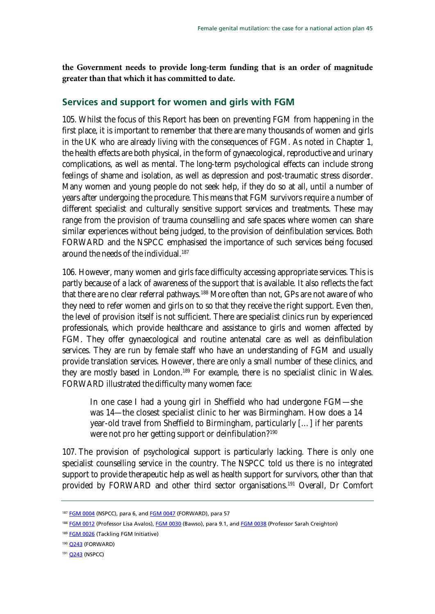**the Government needs to provide long-term funding that is an order of magnitude greater than that which it has committed to date.** 

### <span id="page-44-0"></span>**Services and support for women and girls with FGM**

105. Whilst the focus of this Report has been on preventing FGM from happening in the first place, it is important to remember that there are many thousands of women and girls in the UK who are already living with the consequences of FGM. As noted in Chapter 1, the health effects are both physical, in the form of gynaecological, reproductive and urinary complications, as well as mental. The long-term psychological effects can include strong feelings of shame and isolation, as well as depression and post-traumatic stress disorder. Many women and young people do not seek help, if they do so at all, until a number of years after undergoing the procedure. This means that FGM survivors require a number of different specialist and culturally sensitive support services and treatments. These may range from the provision of trauma counselling and safe spaces where women can share similar experiences without being judged, to the provision of deinfibulation services. Both FORWARD and the NSPCC emphasised the importance of such services being focused around the needs of the individual.<sup>187</sup>

106. However, many women and girls face difficulty accessing appropriate services. This is partly because of a lack of awareness of the support that is available. It also reflects the fact that there are no clear referral pathways.<sup>[188](#page-44-1)</sup> More often than not, GPs are not aware of who they need to refer women and girls on to so that they receive the right support. Even then, the level of provision itself is not sufficient. There are specialist clinics run by experienced professionals, which provide healthcare and assistance to girls and women affected by FGM. They offer gynaecological and routine antenatal care as well as deinfibulation services. They are run by female staff who have an understanding of FGM and usually provide translation services. However, there are only a small number of these clinics, and they are mostly based in London.<sup>[189](#page-44-1)</sup> For example, there is no specialist clinic in Wales. FORWARD illustrated the difficulty many women face:

In one case I had a young girl in Sheffield who had undergone FGM—she was 14—the closest specialist clinic to her was Birmingham. How does a 14 year-old travel from Sheffield to Birmingham, particularly […] if her parents were not pro her getting support or deinfibulation?<sup>[190](#page-44-1)</sup>

107. The provision of psychological support is particularly lacking. There is only one specialist counselling service in the country. The NSPCC told us there is no integrated support to provide therapeutic help as well as health support for survivors, other than that provided by FORWARD and other third sector organisations.<sup>[191](#page-44-1)</sup> Overall, Dr Comfort

<span id="page-44-1"></span><sup>187</sup> [FGM 0004](http://data.parliament.uk/writtenevidence/committeeevidence.svc/evidencedocument/home-affairs-committee/female-genital-mutilation/written/6004.pdf) (NSPCC), para 6, an[d FGM 0047](http://data.parliament.uk/writtenevidence/committeeevidence.svc/evidencedocument/home-affairs-committee/female-genital-mutilation/written/6531.pdf) (FORWARD), para 57

<sup>188</sup> [FGM 0012](http://data.parliament.uk/writtenevidence/committeeevidence.svc/evidencedocument/home-affairs-committee/female-genital-mutilation/written/6018.pdf) (Professor Lisa Avalos)[, FGM 0030](http://data.parliament.uk/writtenevidence/committeeevidence.svc/evidencedocument/home-affairs-committee/female-genital-mutilation/written/6057.pdf) (Bawso), para 9.1, an[d FGM 0038](http://data.parliament.uk/writtenevidence/committeeevidence.svc/evidencedocument/home-affairs-committee/female-genital-mutilation/written/6080.pdf) (Professor Sarah Creighton)

<sup>189</sup> **[FGM 0026](http://data.parliament.uk/writtenevidence/committeeevidence.svc/evidencedocument/home-affairs-committee/female-genital-mutilation/written/6050.pdf)** (Tackling FGM Initiative)

<sup>190</sup> **[Q243](http://data.parliament.uk/writtenevidence/committeeevidence.svc/evidencedocument/home-affairs-committee/female-genital-mutilation/oral/9021.pdf)** (FORWARD)

<sup>191</sup> **[Q243](http://data.parliament.uk/writtenevidence/committeeevidence.svc/evidencedocument/home-affairs-committee/female-genital-mutilation/oral/9021.pdf)** (NSPCC)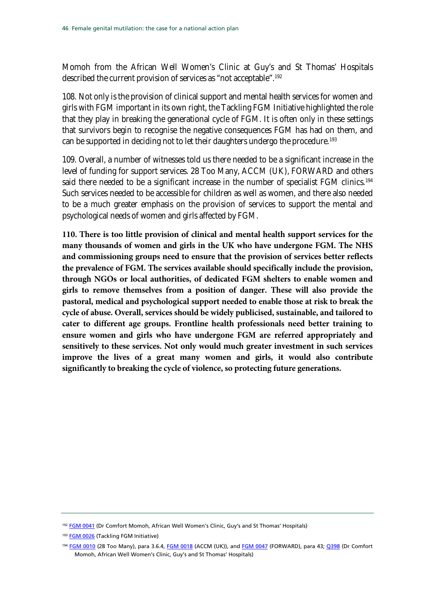Momoh from the African Well Women's Clinic at Guy's and St Thomas' Hospitals described the current provision of services as "not acceptable".[192](#page-45-0)

108. Not only is the provision of clinical support and mental health services for women and girls with FGM important in its own right, the Tackling FGM Initiative highlighted the role that they play in breaking the generational cycle of FGM. It is often only in these settings that survivors begin to recognise the negative consequences FGM has had on them, and can be supported in deciding not to let their daughters undergo the procedure.<sup>[193](#page-45-0)</sup>

109. Overall, a number of witnesses told us there needed to be a significant increase in the level of funding for support services. 28 Too Many, ACCM (UK), FORWARD and others said there needed to be a significant increase in the number of specialist FGM clinics.<sup>[194](#page-45-0)</sup> Such services needed to be accessible for children as well as women, and there also needed to be a much greater emphasis on the provision of services to support the mental and psychological needs of women and girls affected by FGM.

**110. There is too little provision of clinical and mental health support services for the many thousands of women and girls in the UK who have undergone FGM. The NHS and commissioning groups need to ensure that the provision of services better reflects the prevalence of FGM. The services available should specifically include the provision, through NGOs or local authorities, of dedicated FGM shelters to enable women and girls to remove themselves from a position of danger. These will also provide the pastoral, medical and psychological support needed to enable those at risk to break the cycle of abuse. Overall, services should be widely publicised, sustainable, and tailored to cater to different age groups. Frontline health professionals need better training to ensure women and girls who have undergone FGM are referred appropriately and sensitively to these services. Not only would much greater investment in such services improve the lives of a great many women and girls, it would also contribute significantly to breaking the cycle of violence, so protecting future generations.**

<span id="page-45-0"></span><sup>&</sup>lt;sup>192</sup> [FGM 0041](http://data.parliament.uk/writtenevidence/committeeevidence.svc/evidencedocument/home-affairs-committee/female-genital-mutilation/written/6085.pdf) (Dr Comfort Momoh, African Well Women's Clinic, Guy's and St Thomas' Hospitals)

<sup>193</sup> [FGM 0026](http://data.parliament.uk/writtenevidence/committeeevidence.svc/evidencedocument/home-affairs-committee/female-genital-mutilation/written/6050.pdf) (Tackling FGM Initiative)

<sup>194</sup> [FGM 0010](http://data.parliament.uk/writtenevidence/committeeevidence.svc/evidencedocument/home-affairs-committee/female-genital-mutilation/written/6016.pdf) (28 Too Many), para 3.6.4, [FGM 0018](http://data.parliament.uk/writtenevidence/committeeevidence.svc/evidencedocument/home-affairs-committee/female-genital-mutilation/written/6032.pdf) (ACCM (UK)), and [FGM](http://data.parliament.uk/writtenevidence/committeeevidence.svc/evidencedocument/home-affairs-committee/female-genital-mutilation/written/6531.pdf) 0047 (FORWARD), para 43; [Q398](http://data.parliament.uk/writtenevidence/committeeevidence.svc/evidencedocument/home-affairs-committee/female-genital-mutilation/oral/9447.pdf) (Dr Comfort Momoh, African Well Women's Clinic, Guy's and St Thomas' Hospitals)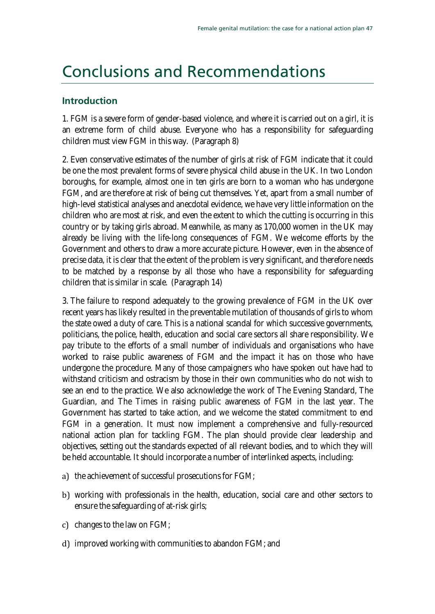### <span id="page-46-0"></span>Conclusions and Recommendations

### **Introduction**

1. FGM is a severe form of [gender-based violence, and where it is carried out on a girl, it is](#page-6-2)  [an extreme form of child abuse. Everyone who has a responsibility for safeguarding](#page-6-2)  [children must view FGM in this way. \(Paragraph 8\)](#page-6-2)

2. [Even conservative estimates of the number of girls at risk of FGM indicate that it could](#page-6-2)  [be one the most prevalent forms of severe physical child abuse in the UK. In two London](#page-6-2)  [boroughs, for example, almost one in ten girls are born to a woman who has undergone](#page-6-2)  [FGM, and are therefore at risk of being cut themselves. Yet, apart from a small number of](#page-6-2)  [high-level statistical analyses and anecdotal evidence, we have very little information on the](#page-6-2)  [children who are most at risk, and even the extent to which the cutting is occurring in this](#page-6-2)  [country or by taking girls abroad. Meanwhile, as many as 170,000 women in the UK may](#page-6-2)  [already be living with the life-long consequences of FGM. We welcome efforts by the](#page-6-2)  [Government and others to draw a more accurate picture. However, even in the absence of](#page-6-2)  [precise data, it is clear that the extent of the problem is very significant, and therefore needs](#page-6-2)  [to be matched by a response by all those who have a responsibility for safeguarding](#page-6-2)  [children that is similar in scale. \(Paragraph 14\)](#page-6-2)

3. [The failure to respond adequately to the growing prevalence of FGM in the UK over](#page-6-2)  [recent years has likely resulted in the preventable mutilation of thousands of girls to whom](#page-6-2)  [the state owed a duty of care. This is a national scandal for which successive governments,](#page-6-2)  [politicians, the police, health, education and social care sectors all share responsibility. We](#page-6-2)  [pay tribute to the efforts of a small number of individuals and organisations who have](#page-6-2)  [worked to raise public awareness of FGM and the impact it has on those who have](#page-6-2)  [undergone the procedure. Many of those campaigners who have spoken out have had to](#page-6-2)  [withstand criticism and ostracism by those in their own communities](#page-6-2) who do not wish to [see an end to the practice. We also acknowledge the work of The Evening Standard, The](#page-6-2)  [Guardian, and The Times in raising public awareness of FGM in the last year. The](#page-6-2)  [Government has started to take action, and we welcome the stated commitment to end](#page-6-2)  [FGM in a generation. It must now implement a comprehensive and fully-resourced](#page-6-2)  [national action plan for tackling FGM. The plan should provide clear leadership and](#page-6-2)  [objectives, setting out the standards expected of all relevant bodies, and to which they will](#page-6-2)  [be held accountable. It should incorporate a number of interlinked aspects, including:](#page-6-2) 

- a) [the achievement of successful prosecutions for FGM;](#page-6-2)
- b) working with professionals in the health, [education, social care and other sectors to](#page-6-2)  [ensure the safeguarding of at-risk girls;](#page-6-2)
- c) [changes to the law on FGM;](#page-6-2)
- d) [improved working with communities to abandon FGM; and](#page-6-2)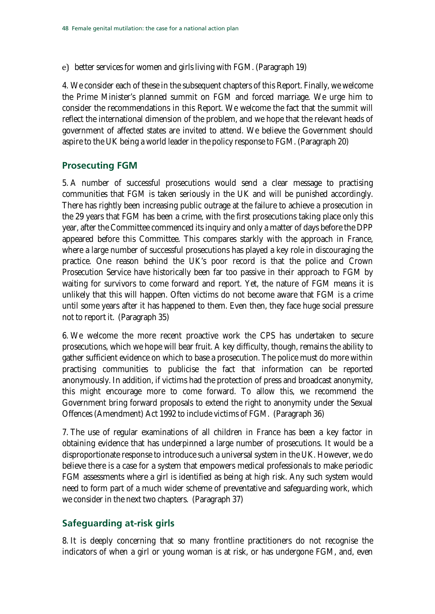e) [better services for women and girls living with FGM. \(Paragraph 19\)](#page-10-0)

4. [We consider each of these in the subsequent chapters of this Report. Finally, we welcome](#page-10-0)  [the Prime Minister's planned summit on FGM and forced marriage. We urge him to](#page-10-0)  [consider the recommendations in this Report. We welcome the fact that the summit will](#page-10-0)  [reflect the international dimension of the problem, and we hope that the relevant heads of](#page-10-0)  [government of affected states are invited to attend. We believe the Government should](#page-10-0)  [aspire to the UK being a world leader in the policy response to FGM. \(Paragraph 20\)](#page-10-0)

### **[Prosecuting FGM](#page-10-0)**

5. [A number of successful prosecutions would send a clear message to practising](#page-10-0)  [communities that FGM is taken seriously in the UK and will be punished accordingly.](#page-10-0)  [There has rightly been increasing public outrage at the failure to achieve a prosecution in](#page-10-0)  [the 29 years that FGM has been a crime, with the first prosecutions taking place only this](#page-10-0)  [year, after the Committee commenced its inquiry and only a matter of days before the DPP](#page-10-0)  [appeared before this Committee. This compares starkly with the approach in France,](#page-10-0)  [where a large number of successful prosecutions has](#page-10-0) played a key role in discouraging the [practice. One reason behind the UK's poor record is that the police and Crown](#page-10-0)  [Prosecution Service have historically been far too passive in their approach to FGM by](#page-10-0)  [waiting for survivors to come forward and report. Yet, the nature of FGM means it is](#page-10-0)  [unlikely that this will happen. Often victims do not become aware that FGM is a crime](#page-10-0)  [until some years after it has happened to them. Even then, they face huge social pressure](#page-10-0)  [not to report it. \(Paragraph 35\)](#page-10-0)

6. [We welcome the more recent proactive work the CPS has undertaken to secure](#page-10-0) [prosecutions, which we hope will bear fruit. A key difficulty, though, remains the ability to](#page-10-0)  [gather sufficient evidence on which to base a prosecution. The police must do more within](#page-10-0)  [practising communities to publicise the fact that information can be reported](#page-10-0)  [anonymously. In addition, if victims had the protection of press and broadcast anonymity,](#page-10-0)  [this might encourage more to come forward. To allow this, we recommend the](#page-10-0)  [Government bring forward proposals to extend the right to anonymity under the Sexual](#page-10-0) [Offences \(Amendment\) Act 1992 to include victims of FGM. \(Paragraph 36\)](#page-10-0)

7. [The use of regular examinations of all children in France has been a key factor in](#page-10-0)  [obtaining evidence that has underpinned a large number of prosecutions. It would be a](#page-10-0)  [disproportionate response to introduce such a universal system in the UK. However, we do](#page-10-0)  [believe there is a case for a system that empowers medical professionals to make periodic](#page-10-0)  [FGM assessments where a girl is identified as being at high risk. Any such system would](#page-10-0)  [need to form part of a much wider scheme of preventative and safeguarding work, which](#page-10-0)  [we consider in the next two chapters. \(](#page-10-0)Paragraph [37\)](#page-10-0)

### **[Safeguarding at-risk girls](#page-10-0)**

8. It is deeply concerning that so [many frontline practitioners do not recognise the](#page-10-0)  [indicators of when a girl or young woman is at risk, or has undergone FGM, and, even](#page-10-0)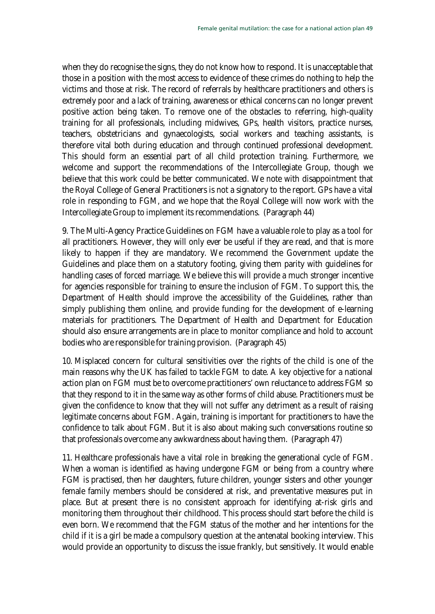when they do recognise the signs, they do not know how to respond. It is unacceptable that those in a position with the most access to evidence of these crimes do nothing to help the victims and those at risk. The record of referrals by healthcare practitioners and others is extremely poor and a lack of training, awareness or ethical concerns can no longer prevent positive action being taken. To remove one of the obstacles to referring, high-quality training for all professionals, including midwives, GPs, health visitors, practice nurses, teachers, obstetricians and gynaecologists, social workers and teaching assistants, is therefore vital both during education and through continued professional development. This should form an essential part of all child protection training. Furthermore, we welcome and support the recommendations of the Intercollegiate Group, though we believe that this work could be better communicated. We note with disappointment that the Royal College of General Practitioners is not a signatory to the report. GPs have a vital role in responding to FGM, and we hope that the Royal College will now work with the Intercollegiate Group to implement its recommendations. (Paragrap[h 44\)](#page-20-2)

9. [The Multi-Agency Practice Guidelines on FGM have a valuable role to play as a tool for](#page-20-3)  [all practitioners. However, they will only ever be useful if they are read, and that is more](#page-20-3)  [likely to happen if they are mandatory. We recommend the Government update the](#page-20-3)  [Guidelines and place them on a statutory footing, giving them parity with guidelines for](#page-20-3)  [handling cases of forced marriage. We believe this will provide a much stronger incentive](#page-20-3)  [for agencies responsible for training to ensure the inclusion of FGM. To support this, the](#page-20-3)  [Department of Health should improve the accessibility of the Guidelines, rather than](#page-20-3)  [simply publishing them online, and provide funding for the development of e-learning](#page-20-3)  [materials for practitioners. The Department of Health and Department for Education](#page-20-3)  [should also ensure arrangements are in place to monitor compliance and hold to account](#page-20-3)  [bodies who are responsible for training provision. \(Paragraph 45\)](#page-20-3)

10. [Misplaced concern for cultural sensitivities over the rights of the child is one of the](#page-20-3)  [main reasons why the UK has failed to tackle FGM to date. A key objective for a national](#page-20-3)  [action plan on FGM must be to overcome practitioners' own reluctance to address FGM so](#page-20-3)  [that they respond to it in the same way as other forms of child abuse. Practitioners must be](#page-20-3)  [given the confidence to know that they will not suffer any detriment as a result of raising](#page-20-3)  [legitimate concerns about FGM. Again, training is important for practitioners to have the](#page-20-3)  [confidence to talk about FGM. But it is also about making such conversations routine so](#page-20-3)  [that professionals overcome any awkwardness about having them. \(Paragraph 47\)](#page-20-3)

11. [Healthcare professionals have a vital role in breaking the generational cycle of FGM.](#page-20-3)  [When a woman is identified as having undergone FGM or being from a country where](#page-20-3)  [FGM is practised, then her daughters, future children, younger sisters and other younger](#page-20-3)  [female family members should be considered at risk, and preventative measures put in](#page-20-3)  [place. But at present there is no consistent approach for identifying at-risk girls and](#page-20-3)  [monitoring them throughout their childhood. This process should start before the child is](#page-20-3)  [even born. We recommend that the FGM status of the mother and her intentions for the](#page-20-3)  [child if it is a girl be made a compulsory question at the antenatal booking interview. This](#page-20-3)  [would provide an opportunity to discuss the issue frankly, but sensitively. It would enable](#page-20-3)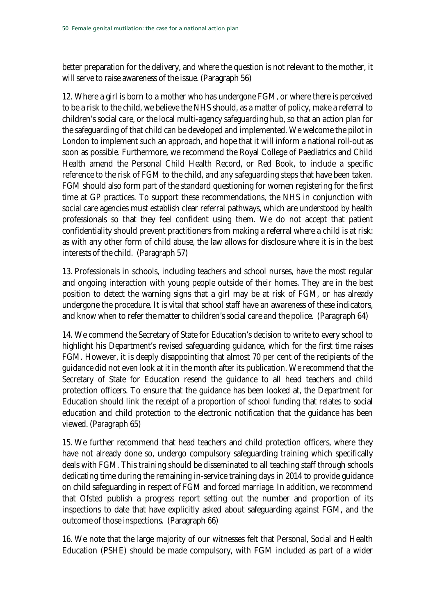better preparation for the delivery, and where the question is not relevant to the mother, it will serve to raise awareness of the issue. (Paragraph [56\)](#page-24-1)

12. [Where a girl is born to a mother who has undergone FGM, or where there is perceived](#page-25-1)  [to be a risk to the child, we believe the NHS should, as a matter of policy, make a referral to](#page-25-1)  [children's social care, or the local multi-agency safeguarding hub, so that an action plan for](#page-25-1)  [the safeguarding of that child can be developed and implemented. We welcome the pilot in](#page-25-1)  [London to implement such an approach, and hope that it will inform a national roll-out as](#page-25-1)  [soon as possible. Furthermore, we recommend the Royal College of Paediatrics and Child](#page-25-1)  [Health amend the Personal Child Health Record, or Red Book, to include a specific](#page-25-1)  [reference to the risk of FGM to the child, and any safeguarding steps that have been taken.](#page-25-1)  [FGM should also form part of the standard questioning](#page-25-1) for women registering for the first [time at GP practices. To support these recommendations, the NHS in conjunction with](#page-25-1)  [social care agencies must establish clear referral pathways, which are understood by health](#page-25-1)  [professionals so that they feel confident using them. We do not accept that patient](#page-25-1)  [confidentiality should prevent practitioners from making a referral where a child is at risk:](#page-25-1)  [as with any other form of child abuse, the law allows for disclosure where it is in the best](#page-25-1)  [interests of the child. \(Paragraph 57\)](#page-25-1)

13. [Professionals in schools, including teachers and school nurses, have the most regular](#page-25-1)  [and ongoing interaction with young people outside of their homes. They are in the best](#page-25-1)  [position to detect the warning signs that a girl may be at risk of FGM, or has already](#page-25-1)  [undergone the procedure. It is vital that school staff have an awareness of these indicators,](#page-25-1)  [and know when to refer the matter to children's social care and the police. \(Paragraph 64\)](#page-25-1)

14. [We commend the Secretary of State for Education's decision](#page-25-1) to write to every school to [highlight his Department's revised safeguarding guidance, which for the first time raises](#page-25-1)  [FGM. However, it is deeply disappointing that almost 70 per cent of the recipients of the](#page-25-1)  [guidance did not even look at it in the month after its publication. We recommend that the](#page-25-1)  [Secretary of State for Education resend the guidance to all head](#page-25-1) teachers and child [protection officers. To ensure that the guidance has been looked at, the Department for](#page-25-1)  [Education should link the receipt of a proportion of school funding that relates to social](#page-25-1)  [education and child protection to the electronic notification that the guidance has been](#page-25-1)  [viewed. \(Paragraph 65\)](#page-25-1)

15. We further recommend that head [teachers and child protection officers, where they](#page-25-1)  [have not already done so, undergo compulsory safeguarding training which specifically](#page-25-1)  [deals with FGM. This training should be disseminated to all teaching staff through schools](#page-25-1)  [dedicating time during the remaining in-service training days in 2014 to provide guidance](#page-25-1)  [on child safeguarding in respect of FGM and forced marriage. In addition, we recommend](#page-25-1)  [that Ofsted publish a progress report setting out the number and proportion of its](#page-25-1)  [inspections to date that have explicitly asked about safeguarding against FGM, and the](#page-25-1)  [outcome of those inspections. \(Paragraph 66\)](#page-25-1)

16. [We note that the large majority of our witnesses felt that Personal, Social and Health](#page-25-1)  [Education \(PSHE\) should be made compulsory, with FGM included as part of a wider](#page-25-1)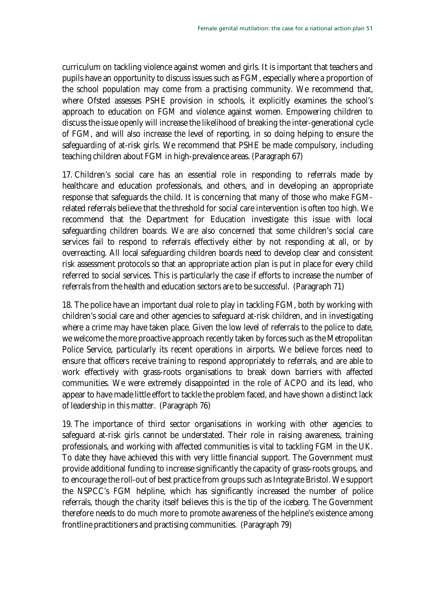curriculum on tackling violence against women and girls. It is important that teachers and pupils have an opportunity to discuss issues such as FGM, especially where a proportion of the school population may come from a practising community. We recommend that, where Ofsted assesses PSHE provision in schools, it explicitly examines the school's approach to education on FGM and violence against women. Empowering children to discuss the issue openly will increase the likelihood of breaking the inter-generational cycle of FGM, and will also increase the level of reporting, in so doing helping to ensure the safeguarding of at-risk girls. We recommend that PSHE be made compulsory, including teaching children about FGM in high-prevalence areas. (Paragrap[h 67\)](#page-28-1)

17. [Children's social care has an essential role in responding to referrals made by](#page-30-2)  [healthcare and education professionals, and others, and in developing an appropriate](#page-30-2)  [response that safeguards the child. It is concerning that many of those who make FGM](#page-30-2)[related referrals believe that the threshold for social care intervention is often too high. We](#page-30-2)  [recommend that the Department for Education investigate this issue with local](#page-30-2)  [safeguarding children boards. We are also concerned that some children's social care](#page-30-2)  [services fail to respond to referrals effectively either by not responding at all, or by](#page-30-2)  [overreacting. All local safeguarding children boards need to develop clear and consistent](#page-30-2)  [risk assessment protocols so that an appropriate action plan is put in place for](#page-30-2) every child [referred to social services. This is particularly the case if efforts to increase the number of](#page-30-2)  [referrals from the health and education sectors are to be successful. \(Paragraph 71\)](#page-30-2)

18. [The police have an important dual role to play in tackling FGM, both by working with](#page-30-2)  [children's social care and other agencies to safeguard at-risk children, and in investigating](#page-30-2)  where a crime [may have taken place. Given the low level of referrals to the police to date,](#page-30-2)  [we welcome the more proactive approach recently taken by forces such as the Metropolitan](#page-30-2)  [Police Service, particularly its recent operations in airports. We believe forces need to](#page-30-2)  [ensure that officers receive training to respond appropriately to referrals, and are able to](#page-30-2)  [work effectively with grass-roots organisations to break down barriers with affected](#page-30-2)  [communities. We were extremely disappointed in the role of ACPO and its lead, who](#page-30-2)  [appear to have made little effort to tackle the problem faced, and have shown a distinct lack](#page-30-2)  [of leadership in this matter. \(Paragraph 76\)](#page-30-2)

19. [The importance of third sector organisations in working with other agencies to](#page-30-2)  [safeguard at-risk girls cannot be understated. Their role in raising awareness, training](#page-30-2)  [professionals, and working with affected communities is vital to tackling FGM in the UK.](#page-30-2)  [To date they have achieved this with very little financial support. The Government must](#page-30-2)  [provide additional funding to increase significantly the capacity of grass-roots groups, and](#page-30-2)  [to encourage the roll-out of best practice from groups such as Integrate Bristol. We support](#page-30-2)  [the NSPCC's FGM helpline, which has significantly increased the number of police](#page-30-2)  [referrals, though the charity itself believes this is the tip of the iceberg. The Government](#page-30-2)  [therefore needs to do much more to promote awareness of the helpline's existence among](#page-30-2)  [frontline practitioners and practising communities. \(Paragraph 79\)](#page-30-2)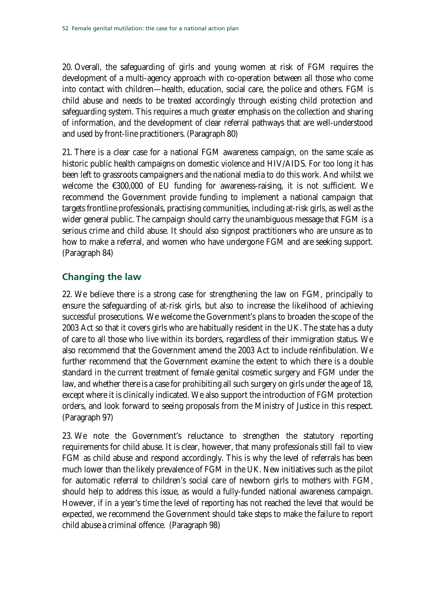20. [Overall, the safeguarding of girls and young women at risk of FGM requires the](#page-33-2)  [development of a multi-agency approach with co-operation between all those who come](#page-33-2)  [into contact with children—health, education, social care, the police and others. FGM is](#page-33-2)  [child abuse and needs to be treated accordingly through existing child protection and](#page-33-2)  [safeguarding system. This requires a much greater emphasis on the collection and sharing](#page-33-2)  [of information, and the development of clear referral pathways that are well-understood](#page-33-2)  [and used by front-line practitioners. \(Paragraph 80\)](#page-33-2)

21. [There is a clear case for a national FGM awareness campaign, on the same scale as](#page-33-2)  [historic public health campaigns on domestic violence and HIV/AIDS. For too long it has](#page-33-2)  [been left to grassroots campaigners and the national media to do this work. And whilst we](#page-33-2)  [welcome the €300,000 of EU funding for awareness-raising, it is not sufficient. We](#page-33-2)  recommend [the Government provide funding to implement a national campaign that](#page-33-2)  [targets frontline professionals, practising communities, including at-risk girls, as well as the](#page-33-2)  [wider general public. The campaign should carry the unambiguous message that FGM is a](#page-33-2)  [serious crime and child abuse. It should also signpost practitioners who are unsure as to](#page-33-2)  [how to make a referral, and women who have undergone FGM and are seeking support.](#page-33-2)  [\(Paragraph 84\)](#page-33-2)

### **[Changing the law](#page-33-2)**

22. [We believe there is a strong case for strengthening the law on FGM, principally to](#page-33-2)  [ensure the safeguarding of at-risk girls, but also to increase the likelihood of achieving](#page-33-2)  [successful prosecutions. We welcome the Government's plans to broaden the scope of](#page-33-2) the [2003 Act so that it covers girls who are habitually resident in the UK. The state has a duty](#page-33-2)  [of care to all those who live within its borders, regardless of their immigration status. We](#page-33-2)  [also recommend that the Government amend the 2003 Act to include reinfibulation. We](#page-33-2)  [further recommend that the Government examine the extent to which there is a double](#page-33-2)  [standard in the current treatment of female genital cosmetic surgery and FGM under the](#page-33-2)  [law, and whether there is a case for prohibiting all such surgery on girls under the age of 18,](#page-33-2)  [except where it is clinically indicated. We also support the introduction of FGM protection](#page-33-2)  [orders, and look forward to seeing proposals from the Ministry of Justice in this respect.](#page-33-2)  [\(Paragraph 97\)](#page-33-2)

23. [We note the Government's reluctance to strengthen the statutory reporting](#page-33-2)  [requirements for child abuse. It is clear, however, that many professionals still fail to view](#page-33-2)  [FGM as child abuse and respond accordingly. This is why the level of referrals has been](#page-33-2)  [much lower than the likely prevalence of FGM in the UK. New initiatives such as the pilot](#page-33-2)  [for automatic referral to children's social care of newborn girls to mothers with FGM,](#page-33-2)  [should help to address this issue, as would a fully-funded national awareness campaign.](#page-33-2)  [However, if in a year's time the level of reporting has not reached the level that would be](#page-33-2)  [expected, we recommend the Government should take steps to make the failure to report](#page-33-2)  [child abuse a criminal offence.](#page-33-2) (Paragrap[h 98\)](#page-33-2)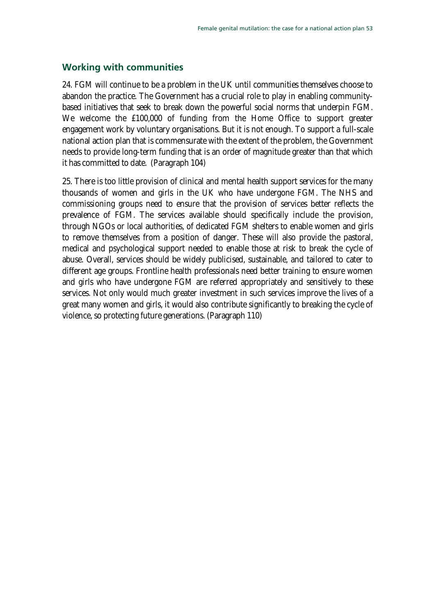### **Working with communities**

24. [FGM will continue to be a problem in the UK until communities themselves choose to](#page-43-1)  [abandon the practice. The Government has a crucial role to play in enabling community](#page-43-1)[based initiatives that seek to break down the powerful](#page-43-1) social norms that underpin FGM. [We welcome the £100,000 of funding from the Home Office to support greater](#page-43-1)  [engagement work by voluntary organisations. But it is not enough. To support a full-scale](#page-43-1)  [national action plan that is commensurate with the extent of the problem, the Government](#page-43-1)  [needs to provide long-term funding that is an order of magnitude greater than that which](#page-43-1)  [it has committed to date. \(Paragraph 104\)](#page-43-1)

25. [There is too little provision of clinical and mental health support services for the many](#page-43-1)  [thousands of women and girls in the UK who have undergone FGM. The NHS and](#page-43-1)  [commissioning groups need to ensure that the provision of services better reflects the](#page-43-1)  [prevalence of FGM. The services available should specifically include the provision,](#page-43-1)  [through NGOs or local authorities, of dedicated FGM shelters to enable women and girls](#page-43-1)  [to remove themselves from a position of danger. These will also provide the pastoral,](#page-43-1)  [medical and psychological support needed to enable those at risk to break the cycle of](#page-43-1)  [abuse. Overall, services should be widely publicised, sustainable, and tailored to cater to](#page-43-1)  [different age groups. Frontline health professionals need better training to ensure women](#page-43-1)  [and girls who have undergone FGM are referred appropriately and sensitively to these](#page-43-1)  [services. Not only would much greater investment in such services improve the lives of a](#page-43-1)  [great many women and girls, it would also contribute significantly to breaking the cycle of](#page-43-1)  [violence, so protecting future generations. \(Paragraph 110\)](#page-43-1)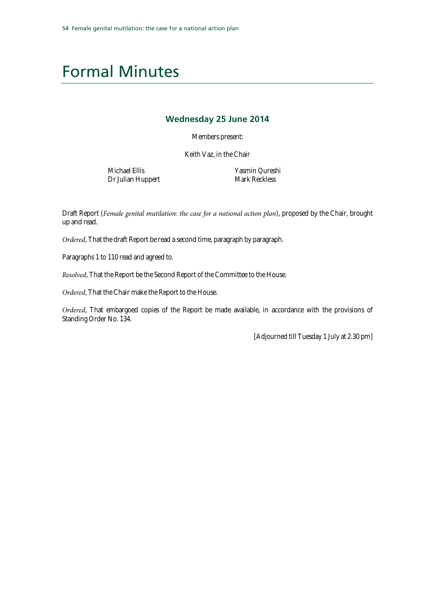### <span id="page-53-0"></span>Formal Minutes

#### **Wednesday 25 June 2014**

Members present:

Keith Vaz, in the Chair

Michael Ellis Dr Julian Huppert Yasmin Qureshi Mark Reckless

Draft Report (*Female genital mutilation: the case for a national action plan*), proposed by the Chair, brought up and read.

*Ordered*, That the draft Report be read a second time, paragraph by paragraph.

Paragraphs 1 to 110 read and agreed to.

*Resolved*, That the Report be the Second Report of the Committee to the House.

*Ordered*, That the Chair make the Report to the House.

*Ordered*, That embargoed copies of the Report be made available, in accordance with the provisions of Standing Order No. 134.

[Adjourned till Tuesday 1 July at 2.30 pm]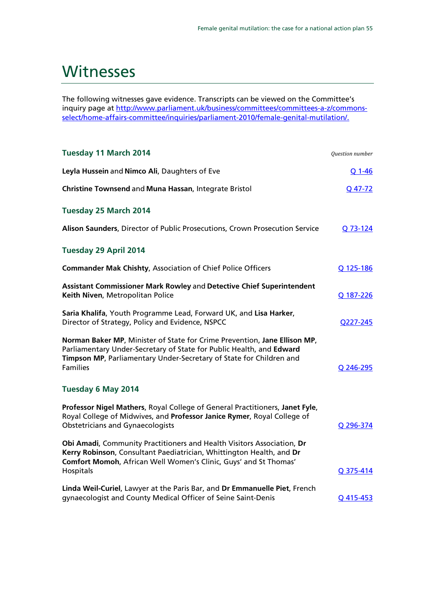### <span id="page-54-0"></span>**Witnesses**

The following witnesses gave evidence. Transcripts can be viewed on the Committee's inquiry page at http://www.parliament.uk/business/committees/committees-a-z/commonsselect/home-affairs-committee/inquiries/parliament-2010/female-genital-mutilation/.

| Tuesday 11 March 2014                                                                                                                                                                                                                       | Question number |
|---------------------------------------------------------------------------------------------------------------------------------------------------------------------------------------------------------------------------------------------|-----------------|
| Leyla Hussein and Nimco Ali, Daughters of Eve                                                                                                                                                                                               | Q 1-46          |
| Christine Townsend and Muna Hassan, Integrate Bristol                                                                                                                                                                                       | Q 47-72         |
| Tuesday 25 March 2014                                                                                                                                                                                                                       |                 |
| Alison Saunders, Director of Public Prosecutions, Crown Prosecution Service                                                                                                                                                                 | Q 73-124        |
| Tuesday 29 April 2014                                                                                                                                                                                                                       |                 |
| <b>Commander Mak Chishty, Association of Chief Police Officers</b>                                                                                                                                                                          | Q 125-186       |
| Assistant Commissioner Mark Rowley and Detective Chief Superintendent<br>Keith Niven, Metropolitan Police                                                                                                                                   | Q 187-226       |
| Saria Khalifa, Youth Programme Lead, Forward UK, and Lisa Harker,<br>Director of Strategy, Policy and Evidence, NSPCC                                                                                                                       | 0227-245        |
| Norman Baker MP, Minister of State for Crime Prevention, Jane Ellison MP,<br>Parliamentary Under-Secretary of State for Public Health, and Edward<br>Timpson MP, Parliamentary Under-Secretary of State for Children and<br><b>Families</b> | Q 246-295       |
| Tuesday 6 May 2014                                                                                                                                                                                                                          |                 |
| Professor Nigel Mathers, Royal College of General Practitioners, Janet Fyle,<br>Royal College of Midwives, and Professor Janice Rymer, Royal College of<br><b>Obstetricians and Gynaecologists</b>                                          | Q 296-374       |
| Obi Amadi, Community Practitioners and Health Visitors Association, Dr<br>Kerry Robinson, Consultant Paediatrician, Whittington Health, and Dr<br>Comfort Momoh, African Well Women's Clinic, Guys' and St Thomas'<br>Hospitals             | Q 375-414       |
| Linda Weil-Curiel, Lawyer at the Paris Bar, and Dr Emmanuelle Piet, French<br>gynaecologist and County Medical Officer of Seine Saint-Denis                                                                                                 | Q 415-453       |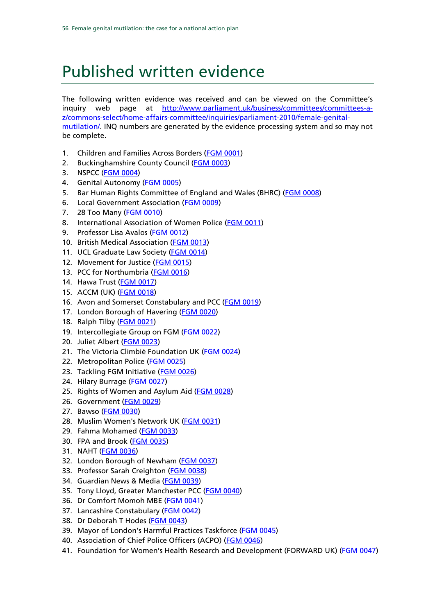## <span id="page-55-0"></span>Published written evidence

The following written evidence was received and can be viewed on the Committee's inquiry web page at [http://www.parliament.uk/business/committees/committees-a](http://www.parliament.uk/business/committees/committees-a-z/commons-select/home-affairs-committee/inquiries/parliament-2010/female-genital-mutilation/)[z/commons-select/home-affairs-committee/inquiries/parliament-2010/female-genital](http://www.parliament.uk/business/committees/committees-a-z/commons-select/home-affairs-committee/inquiries/parliament-2010/female-genital-mutilation/)[mutilation/.](http://www.parliament.uk/business/committees/committees-a-z/commons-select/home-affairs-committee/inquiries/parliament-2010/female-genital-mutilation/) INQ numbers are generated by the evidence processing system and so may not be complete.

- 1. Children and Families Across Borders [\(FGM 0001\)](http://data.parliament.uk/writtenevidence/committeeevidence.svc/evidencedocument/home-affairs-committee/female-genital-mutilation/written/4910.pdf)
- 2. Buckinghamshire County Council [\(FGM 0003\)](http://data.parliament.uk/writtenevidence/committeeevidence.svc/evidencedocument/home-affairs-committee/female-genital-mutilation/written/5979.pdf)
- 3. NSPCC [\(FGM 0004\)](http://data.parliament.uk/writtenevidence/committeeevidence.svc/evidencedocument/home-affairs-committee/female-genital-mutilation/written/6004.pdf)
- 4. Genital Autonomy [\(FGM 0005\)](http://data.parliament.uk/writtenevidence/committeeevidence.svc/evidencedocument/home-affairs-committee/female-genital-mutilation/written/6006.pdf)
- 5. Bar Human Rights Committee of England and Wales (BHRC) [\(FGM 0008\)](http://data.parliament.uk/writtenevidence/committeeevidence.svc/evidencedocument/home-affairs-committee/female-genital-mutilation/written/6009.pdf)
- 6. Local Government Association [\(FGM 0009\)](http://data.parliament.uk/writtenevidence/committeeevidence.svc/evidencedocument/home-affairs-committee/female-genital-mutilation/written/6011.pdf)
- 7. 28 Too Many [\(FGM 0010\)](http://data.parliament.uk/writtenevidence/committeeevidence.svc/evidencedocument/home-affairs-committee/female-genital-mutilation/written/6016.pdf)
- 8. International Association of Women Police [\(FGM 0011\)](http://data.parliament.uk/writtenevidence/committeeevidence.svc/evidencedocument/home-affairs-committee/female-genital-mutilation/written/6017.pdf)
- 9. Professor Lisa Avalos [\(FGM 0012\)](http://data.parliament.uk/writtenevidence/committeeevidence.svc/evidencedocument/home-affairs-committee/female-genital-mutilation/written/6018.pdf)
- 10. British Medical Association [\(FGM 0013\)](http://data.parliament.uk/writtenevidence/committeeevidence.svc/evidencedocument/home-affairs-committee/female-genital-mutilation/written/6020.pdf)
- 11. UCL Graduate Law Society [\(FGM 0014\)](http://data.parliament.uk/writtenevidence/committeeevidence.svc/evidencedocument/home-affairs-committee/female-genital-mutilation/written/6027.pdf)
- 12. Movement for Justice [\(FGM 0015\)](http://data.parliament.uk/writtenevidence/committeeevidence.svc/evidencedocument/home-affairs-committee/female-genital-mutilation/written/6028.pdf)
- 13. PCC for Northumbria [\(FGM 0016\)](http://data.parliament.uk/writtenevidence/committeeevidence.svc/evidencedocument/home-affairs-committee/female-genital-mutilation/written/6029.pdf)
- 14. Hawa Trust (**FGM 0017**)
- 15. ACCM (UK) [\(FGM 0018\)](http://data.parliament.uk/writtenevidence/committeeevidence.svc/evidencedocument/home-affairs-committee/female-genital-mutilation/written/6032.pdf)
- 16. Avon and Somerset Constabulary and PCC [\(FGM 0019\)](http://data.parliament.uk/writtenevidence/committeeevidence.svc/evidencedocument/home-affairs-committee/female-genital-mutilation/written/6033.pdf)
- 17. London Borough of Havering [\(FGM 0020\)](http://data.parliament.uk/writtenevidence/committeeevidence.svc/evidencedocument/home-affairs-committee/female-genital-mutilation/written/6036.pdf)
- 18. Ralph Tilby [\(FGM 0021\)](http://data.parliament.uk/writtenevidence/committeeevidence.svc/evidencedocument/home-affairs-committee/female-genital-mutilation/written/6042.pdf)
- 19. Intercollegiate Group on FGM [\(FGM 0022\)](http://data.parliament.uk/writtenevidence/committeeevidence.svc/evidencedocument/home-affairs-committee/female-genital-mutilation/written/6044.pdf)
- 20. Juliet Albert [\(FGM 0023\)](http://data.parliament.uk/writtenevidence/committeeevidence.svc/evidencedocument/home-affairs-committee/female-genital-mutilation/written/6046.pdf)
- 21. The Victoria Climbié Foundation UK [\(FGM 0024\)](http://data.parliament.uk/writtenevidence/committeeevidence.svc/evidencedocument/home-affairs-committee/female-genital-mutilation/written/6047.pdf)
- 22. Metropolitan Police [\(FGM 0025\)](http://data.parliament.uk/writtenevidence/committeeevidence.svc/evidencedocument/home-affairs-committee/female-genital-mutilation/written/6048.pdf)
- 23. Tackling FGM Initiative [\(FGM 0026\)](http://data.parliament.uk/writtenevidence/committeeevidence.svc/evidencedocument/home-affairs-committee/female-genital-mutilation/written/6050.pdf)
- 24. Hilary Burrage [\(FGM 0027\)](http://data.parliament.uk/writtenevidence/committeeevidence.svc/evidencedocument/home-affairs-committee/female-genital-mutilation/written/6051.pdf)
- 25. Rights of Women and Asylum Aid [\(FGM 0028\)](http://data.parliament.uk/writtenevidence/committeeevidence.svc/evidencedocument/home-affairs-committee/female-genital-mutilation/written/6052.pdf)
- 26. Government [\(FGM 0029\)](http://data.parliament.uk/writtenevidence/committeeevidence.svc/evidencedocument/home-affairs-committee/female-genital-mutilation/written/6056.pdf)
- 27. Bawso [\(FGM 0030\)](http://data.parliament.uk/writtenevidence/committeeevidence.svc/evidencedocument/home-affairs-committee/female-genital-mutilation/written/6057.pdf)
- 28. Muslim Women's Network UK [\(FGM 0031\)](http://data.parliament.uk/writtenevidence/committeeevidence.svc/evidencedocument/home-affairs-committee/female-genital-mutilation/written/6058.pdf)
- 29. Fahma Mohamed [\(FGM 0033\)](http://data.parliament.uk/writtenevidence/committeeevidence.svc/evidencedocument/home-affairs-committee/female-genital-mutilation/written/6064.pdf)
- 30. FPA and Brook [\(FGM 0035\)](http://data.parliament.uk/writtenevidence/committeeevidence.svc/evidencedocument/home-affairs-committee/female-genital-mutilation/written/6066.pdf)
- 31. NAHT [\(FGM 0036\)](http://data.parliament.uk/writtenevidence/committeeevidence.svc/evidencedocument/home-affairs-committee/female-genital-mutilation/written/6068.pdf)
- 32. London Borough of Newham [\(FGM 0037\)](http://data.parliament.uk/writtenevidence/committeeevidence.svc/evidencedocument/home-affairs-committee/female-genital-mutilation/written/6071.pdf)
- 33. Professor Sarah Creighton [\(FGM 0038\)](http://data.parliament.uk/writtenevidence/committeeevidence.svc/evidencedocument/home-affairs-committee/female-genital-mutilation/written/6080.pdf)
- 34. Guardian News & Media [\(FGM 0039\)](http://data.parliament.uk/writtenevidence/committeeevidence.svc/evidencedocument/home-affairs-committee/female-genital-mutilation/written/6082.pdf)
- 35. Tony Lloyd, Greater Manchester PCC [\(FGM 0040\)](http://data.parliament.uk/writtenevidence/committeeevidence.svc/evidencedocument/home-affairs-committee/female-genital-mutilation/written/6083.pdf)
- 36. Dr Comfort Momoh MBE [\(FGM 0041\)](http://data.parliament.uk/writtenevidence/committeeevidence.svc/evidencedocument/home-affairs-committee/female-genital-mutilation/written/6085.pdf)
- 37. Lancashire Constabulary [\(FGM 0042\)](http://data.parliament.uk/writtenevidence/committeeevidence.svc/evidencedocument/home-affairs-committee/female-genital-mutilation/written/6087.pdf)
- 38. Dr Deborah T Hodes [\(FGM 0043\)](http://data.parliament.uk/writtenevidence/committeeevidence.svc/evidencedocument/home-affairs-committee/female-genital-mutilation/written/6149.pdf)
- 39. Mayor of London's Harmful Practices Taskforce [\(FGM 0045\)](http://data.parliament.uk/writtenevidence/committeeevidence.svc/evidencedocument/home-affairs-committee/female-genital-mutilation/written/6524.pdf)
- 40. Association of Chief Police Officers (ACPO) [\(FGM 0046\)](http://data.parliament.uk/writtenevidence/committeeevidence.svc/evidencedocument/home-affairs-committee/female-genital-mutilation/written/6530.pdf)
- 41. Foundation for Women's Health Research and Development (FORWARD UK) (FGM [0047\)](http://data.parliament.uk/writtenevidence/committeeevidence.svc/evidencedocument/home-affairs-committee/female-genital-mutilation/written/6531.pdf)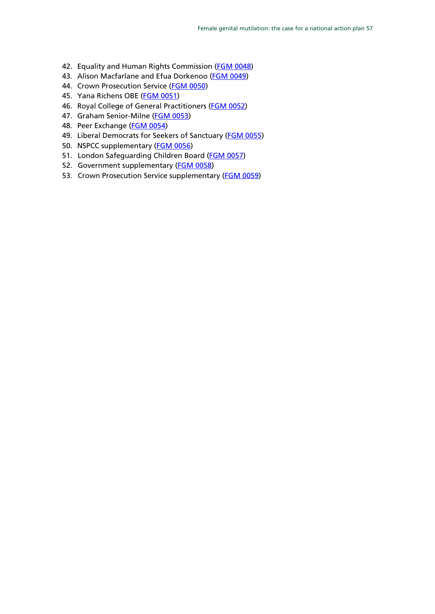- 42. Equality and Human Rights Commission [\(FGM 0048\)](http://data.parliament.uk/writtenevidence/committeeevidence.svc/evidencedocument/home-affairs-committee/female-genital-mutilation/written/6532.pdf)
- 43. Alison Macfarlane and Efua Dorkenoo [\(FGM 0049\)](http://data.parliament.uk/writtenevidence/committeeevidence.svc/evidencedocument/home-affairs-committee/female-genital-mutilation/written/6535.pdf)
- 44. Crown Prosecution Service [\(FGM 0050\)](http://data.parliament.uk/writtenevidence/committeeevidence.svc/evidencedocument/home-affairs-committee/female-genital-mutilation/written/6536.pdf)
- 45. Yana Richens OBE [\(FGM 0051\)](http://data.parliament.uk/writtenevidence/committeeevidence.svc/evidencedocument/home-affairs-committee/female-genital-mutilation/written/6548.pdf)
- 46. Royal College of General Practitioners [\(FGM 0052\)](http://data.parliament.uk/writtenevidence/committeeevidence.svc/evidencedocument/home-affairs-committee/female-genital-mutilation/written/6577.pdf)
- 47. Graham Senior-Milne [\(FGM 0053\)](http://data.parliament.uk/writtenevidence/committeeevidence.svc/evidencedocument/home-affairs-committee/female-genital-mutilation/written/6648.pdf)
- 48. Peer Exchange [\(FGM 0054\)](http://data.parliament.uk/writtenevidence/committeeevidence.svc/evidencedocument/home-affairs-committee/female-genital-mutilation/written/7051.pdf)
- 49. Liberal Democrats for Seekers of Sanctuary [\(FGM 0055\)](http://data.parliament.uk/writtenevidence/committeeevidence.svc/evidencedocument/home-affairs-committee/female-genital-mutilation/written/9299.pdf)
- 50. NSPCC supplementary [\(FGM 0056\)](http://data.parliament.uk/writtenevidence/committeeevidence.svc/evidencedocument/home-affairs-committee/female-genital-mutilation/written/9305.pdf)
- 51. London Safeguarding Children Board [\(FGM 0057\)](http://data.parliament.uk/writtenevidence/committeeevidence.svc/evidencedocument/home-affairs-committee/female-genital-mutilation/written/9483.pdf)
- 52. Government supplementary [\(FGM 0058\)](http://data.parliament.uk/writtenevidence/committeeevidence.svc/evidencedocument/home-affairs-committee/female-genital-mutilation/written/10451.html)
- 53. Crown Prosecution Service supplementary [\(FGM 0059\)](http://data.parliament.uk/writtenevidence/committeeevidence.svc/evidencedocument/home-affairs-committee/female-genital-mutilation/written/10453.html)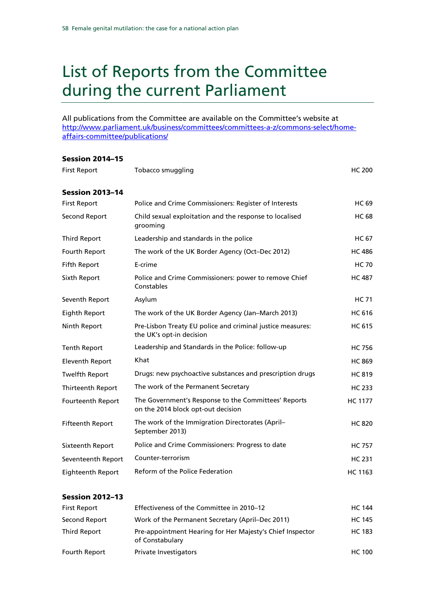### <span id="page-57-0"></span>List of Reports from the Committee during the current Parliament

All publications from the Committee are available on the Committee's website at [http://www.parliament.uk/business/committees/committees-a-z/commons-select/home](http://www.parliament.uk/business/committees/committees-a-z/commons-select/home-affairs-committee/publications/)[affairs-committee/publications/](http://www.parliament.uk/business/committees/committees-a-z/commons-select/home-affairs-committee/publications/)

#### Session 2014–15

| <b>First Report</b>      | Tobacco smuggling                                                                          | <b>HC 200</b>  |
|--------------------------|--------------------------------------------------------------------------------------------|----------------|
| <b>Session 2013-14</b>   |                                                                                            |                |
| <b>First Report</b>      | Police and Crime Commissioners: Register of Interests                                      | <b>HC 69</b>   |
| Second Report            | Child sexual exploitation and the response to localised<br>grooming                        | <b>HC 68</b>   |
| <b>Third Report</b>      | Leadership and standards in the police                                                     | <b>HC 67</b>   |
| Fourth Report            | The work of the UK Border Agency (Oct-Dec 2012)                                            | <b>HC 486</b>  |
| Fifth Report             | E-crime                                                                                    | <b>HC 70</b>   |
| Sixth Report             | Police and Crime Commissioners: power to remove Chief<br>Constables                        | <b>HC 487</b>  |
| Seventh Report           | Asylum                                                                                     | <b>HC 71</b>   |
| Eighth Report            | The work of the UK Border Agency (Jan-March 2013)                                          | <b>HC 616</b>  |
| Ninth Report             | Pre-Lisbon Treaty EU police and criminal justice measures:<br>the UK's opt-in decision     | <b>HC 615</b>  |
| <b>Tenth Report</b>      | Leadership and Standards in the Police: follow-up                                          | <b>HC 756</b>  |
| Eleventh Report          | Khat                                                                                       | <b>HC 869</b>  |
| <b>Twelfth Report</b>    | Drugs: new psychoactive substances and prescription drugs                                  | <b>HC 819</b>  |
| Thirteenth Report        | The work of the Permanent Secretary                                                        | <b>HC 233</b>  |
| Fourteenth Report        | The Government's Response to the Committees' Reports<br>on the 2014 block opt-out decision | <b>HC 1177</b> |
| <b>Fifteenth Report</b>  | The work of the Immigration Directorates (April-<br>September 2013)                        | <b>HC 820</b>  |
| Sixteenth Report         | Police and Crime Commissioners: Progress to date                                           | <b>HC 757</b>  |
| Seventeenth Report       | Counter-terrorism                                                                          | <b>HC 231</b>  |
| <b>Eighteenth Report</b> | <b>Reform of the Police Federation</b>                                                     | <b>HC 1163</b> |

#### Session 2012–13

| <b>First Report</b> | Effectiveness of the Committee in 2010–12                                    | <b>HC 144</b> |
|---------------------|------------------------------------------------------------------------------|---------------|
| Second Report       | Work of the Permanent Secretary (April–Dec 2011)                             | <b>HC 145</b> |
| Third Report        | Pre-appointment Hearing for Her Majesty's Chief Inspector<br>of Constabulary | HC 183        |
| Fourth Report       | Private Investigators                                                        | <b>HC 100</b> |